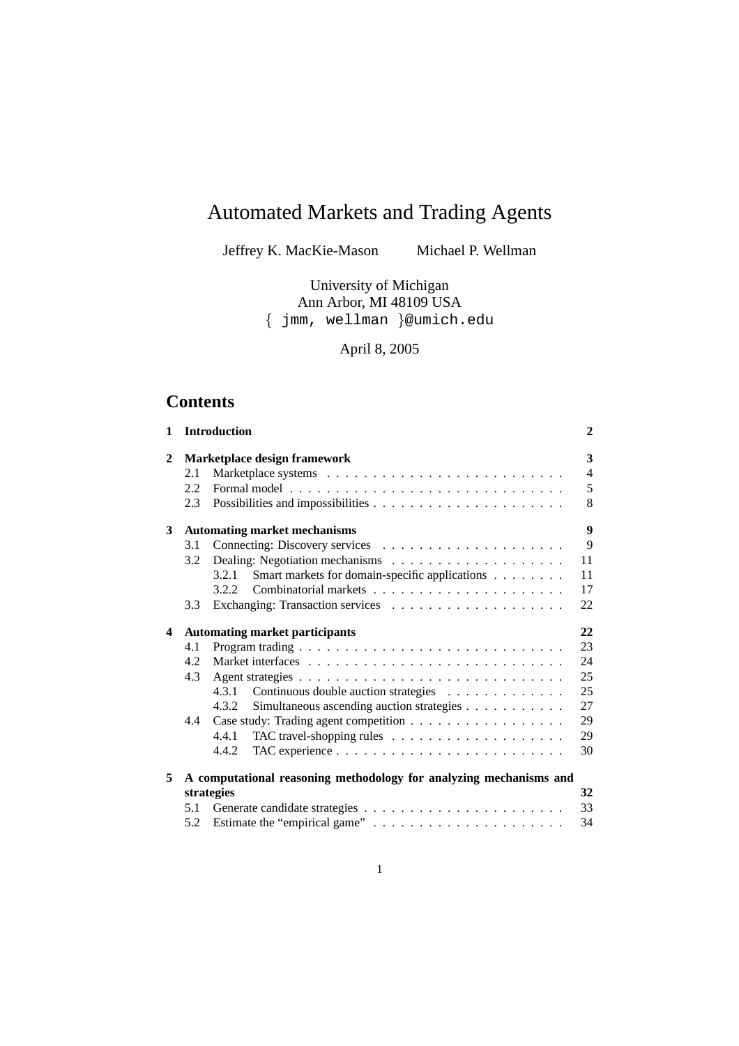# Automated Markets and Trading Agents

Jeffrey K. MacKie-Mason Michael P. Wellman

University of Michigan Ann Arbor, MI 48109 USA { jmm, wellman }@umich.edu

April 8, 2005

## **Contents**

| $\mathbf{1}$ |                                                                    | <b>Introduction</b>                                     | 2              |  |
|--------------|--------------------------------------------------------------------|---------------------------------------------------------|----------------|--|
| $\mathbf{2}$ |                                                                    | Marketplace design framework                            | 3              |  |
|              | 2.1                                                                |                                                         | $\overline{4}$ |  |
|              | 2.2.                                                               |                                                         | 5              |  |
|              | 2.3                                                                |                                                         | 8              |  |
| 3            |                                                                    | <b>Automating market mechanisms</b>                     | 9              |  |
|              | 3.1                                                                |                                                         | 9              |  |
|              | 3.2                                                                |                                                         | 11             |  |
|              |                                                                    | Smart markets for domain-specific applications<br>3.2.1 | 11             |  |
|              |                                                                    | 3.2.2                                                   | 17             |  |
|              | 3.3                                                                |                                                         | 22             |  |
| 4            |                                                                    | <b>Automating market participants</b>                   | 22             |  |
|              | 4.1                                                                |                                                         | 23             |  |
|              | 4.2                                                                |                                                         | 24             |  |
|              | 4.3                                                                |                                                         | 25             |  |
|              |                                                                    | Continuous double auction strategies<br>4.3.1           | 25             |  |
|              |                                                                    | Simultaneous ascending auction strategies<br>4.3.2      | 27             |  |
|              | 4.4                                                                |                                                         | 29             |  |
|              |                                                                    |                                                         | 29             |  |
|              |                                                                    | 4.4.2                                                   | 30             |  |
|              |                                                                    |                                                         |                |  |
| 5            | A computational reasoning methodology for analyzing mechanisms and |                                                         |                |  |
|              |                                                                    | strategies                                              | 32             |  |
|              | 5.1                                                                |                                                         | 33             |  |
|              | 5.2                                                                |                                                         | 34             |  |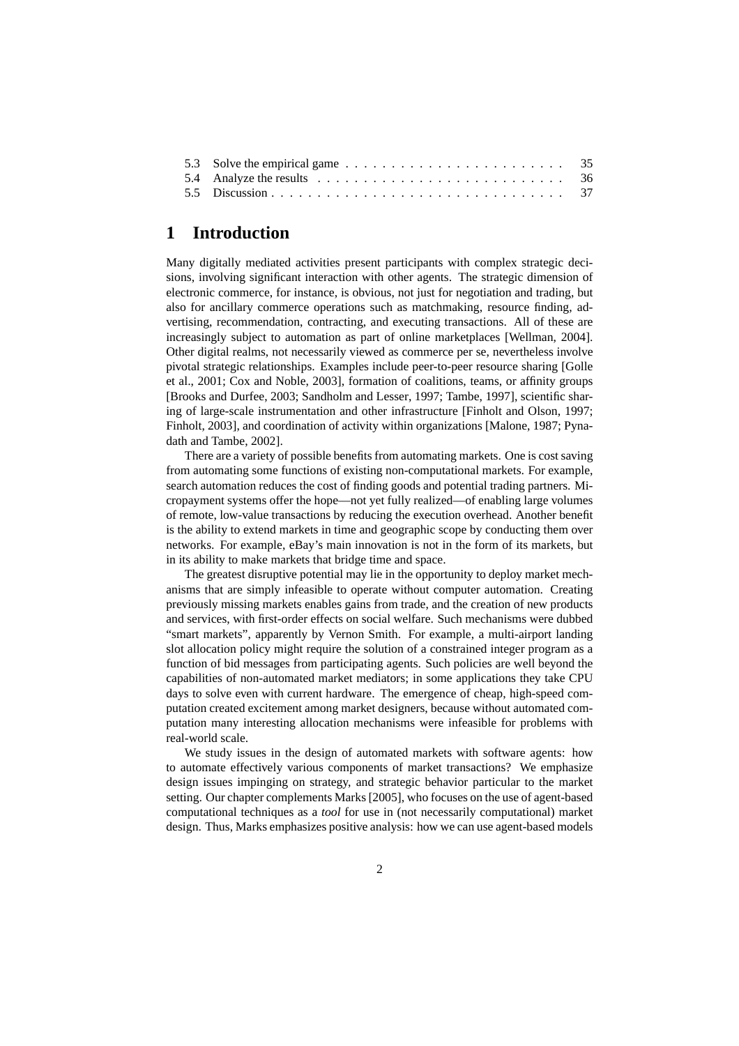| 5.4 Analyze the results $\dots \dots \dots \dots \dots \dots \dots \dots \dots \dots \dots \dots$ 36 |  |
|------------------------------------------------------------------------------------------------------|--|
|                                                                                                      |  |

## **1 Introduction**

Many digitally mediated activities present participants with complex strategic decisions, involving significant interaction with other agents. The strategic dimension of electronic commerce, for instance, is obvious, not just for negotiation and trading, but also for ancillary commerce operations such as matchmaking, resource finding, advertising, recommendation, contracting, and executing transactions. All of these are increasingly subject to automation as part of online marketplaces [Wellman, 2004]. Other digital realms, not necessarily viewed as commerce per se, nevertheless involve pivotal strategic relationships. Examples include peer-to-peer resource sharing [Golle et al., 2001; Cox and Noble, 2003], formation of coalitions, teams, or affinity groups [Brooks and Durfee, 2003; Sandholm and Lesser, 1997; Tambe, 1997], scientific sharing of large-scale instrumentation and other infrastructure [Finholt and Olson, 1997; Finholt, 2003], and coordination of activity within organizations [Malone, 1987; Pynadath and Tambe, 2002].

There are a variety of possible benefits from automating markets. One is cost saving from automating some functions of existing non-computational markets. For example, search automation reduces the cost of finding goods and potential trading partners. Micropayment systems offer the hope—not yet fully realized—of enabling large volumes of remote, low-value transactions by reducing the execution overhead. Another benefit is the ability to extend markets in time and geographic scope by conducting them over networks. For example, eBay's main innovation is not in the form of its markets, but in its ability to make markets that bridge time and space.

The greatest disruptive potential may lie in the opportunity to deploy market mechanisms that are simply infeasible to operate without computer automation. Creating previously missing markets enables gains from trade, and the creation of new products and services, with first-order effects on social welfare. Such mechanisms were dubbed "smart markets", apparently by Vernon Smith. For example, a multi-airport landing slot allocation policy might require the solution of a constrained integer program as a function of bid messages from participating agents. Such policies are well beyond the capabilities of non-automated market mediators; in some applications they take CPU days to solve even with current hardware. The emergence of cheap, high-speed computation created excitement among market designers, because without automated computation many interesting allocation mechanisms were infeasible for problems with real-world scale.

We study issues in the design of automated markets with software agents: how to automate effectively various components of market transactions? We emphasize design issues impinging on strategy, and strategic behavior particular to the market setting. Our chapter complements Marks [2005], who focuses on the use of agent-based computational techniques as a *tool* for use in (not necessarily computational) market design. Thus, Marks emphasizes positive analysis: how we can use agent-based models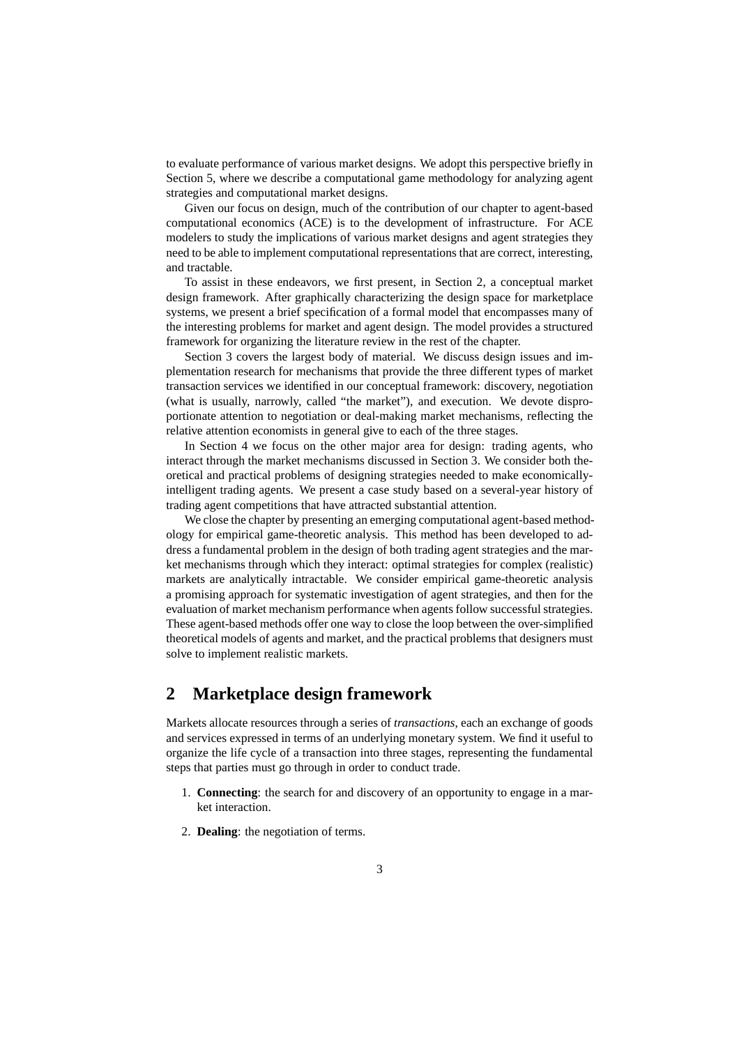to evaluate performance of various market designs. We adopt this perspective briefly in Section 5, where we describe a computational game methodology for analyzing agent strategies and computational market designs.

Given our focus on design, much of the contribution of our chapter to agent-based computational economics (ACE) is to the development of infrastructure. For ACE modelers to study the implications of various market designs and agent strategies they need to be able to implement computational representations that are correct, interesting, and tractable.

To assist in these endeavors, we first present, in Section 2, a conceptual market design framework. After graphically characterizing the design space for marketplace systems, we present a brief specification of a formal model that encompasses many of the interesting problems for market and agent design. The model provides a structured framework for organizing the literature review in the rest of the chapter.

Section 3 covers the largest body of material. We discuss design issues and implementation research for mechanisms that provide the three different types of market transaction services we identified in our conceptual framework: discovery, negotiation (what is usually, narrowly, called "the market"), and execution. We devote disproportionate attention to negotiation or deal-making market mechanisms, reflecting the relative attention economists in general give to each of the three stages.

In Section 4 we focus on the other major area for design: trading agents, who interact through the market mechanisms discussed in Section 3. We consider both theoretical and practical problems of designing strategies needed to make economicallyintelligent trading agents. We present a case study based on a several-year history of trading agent competitions that have attracted substantial attention.

We close the chapter by presenting an emerging computational agent-based methodology for empirical game-theoretic analysis. This method has been developed to address a fundamental problem in the design of both trading agent strategies and the market mechanisms through which they interact: optimal strategies for complex (realistic) markets are analytically intractable. We consider empirical game-theoretic analysis a promising approach for systematic investigation of agent strategies, and then for the evaluation of market mechanism performance when agents follow successful strategies. These agent-based methods offer one way to close the loop between the over-simplified theoretical models of agents and market, and the practical problems that designers must solve to implement realistic markets.

## **2 Marketplace design framework**

Markets allocate resources through a series of *transactions*, each an exchange of goods and services expressed in terms of an underlying monetary system. We find it useful to organize the life cycle of a transaction into three stages, representing the fundamental steps that parties must go through in order to conduct trade.

- 1. **Connecting**: the search for and discovery of an opportunity to engage in a market interaction.
- 2. **Dealing**: the negotiation of terms.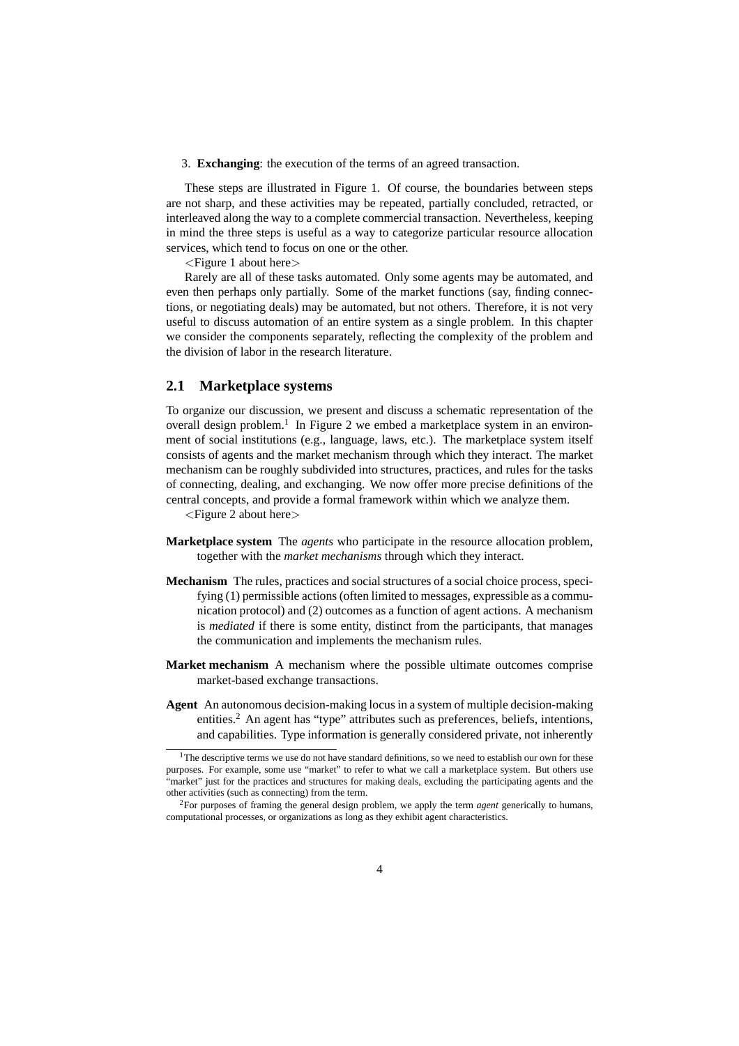3. **Exchanging**: the execution of the terms of an agreed transaction.

These steps are illustrated in Figure 1. Of course, the boundaries between steps are not sharp, and these activities may be repeated, partially concluded, retracted, or interleaved along the way to a complete commercial transaction. Nevertheless, keeping in mind the three steps is useful as a way to categorize particular resource allocation services, which tend to focus on one or the other.

<Figure 1 about here>

Rarely are all of these tasks automated. Only some agents may be automated, and even then perhaps only partially. Some of the market functions (say, finding connections, or negotiating deals) may be automated, but not others. Therefore, it is not very useful to discuss automation of an entire system as a single problem. In this chapter we consider the components separately, reflecting the complexity of the problem and the division of labor in the research literature.

#### **2.1 Marketplace systems**

To organize our discussion, we present and discuss a schematic representation of the overall design problem.<sup>1</sup> In Figure 2 we embed a marketplace system in an environment of social institutions (e.g., language, laws, etc.). The marketplace system itself consists of agents and the market mechanism through which they interact. The market mechanism can be roughly subdivided into structures, practices, and rules for the tasks of connecting, dealing, and exchanging. We now offer more precise definitions of the central concepts, and provide a formal framework within which we analyze them.

<Figure 2 about here>

- **Marketplace system** The *agents* who participate in the resource allocation problem, together with the *market mechanisms* through which they interact.
- **Mechanism** The rules, practices and social structures of a social choice process, specifying (1) permissible actions (often limited to messages, expressible as a communication protocol) and (2) outcomes as a function of agent actions. A mechanism is *mediated* if there is some entity, distinct from the participants, that manages the communication and implements the mechanism rules.
- **Market mechanism** A mechanism where the possible ultimate outcomes comprise market-based exchange transactions.
- **Agent** An autonomous decision-making locus in a system of multiple decision-making entities.<sup>2</sup> An agent has "type" attributes such as preferences, beliefs, intentions, and capabilities. Type information is generally considered private, not inherently

<sup>&</sup>lt;sup>1</sup>The descriptive terms we use do not have standard definitions, so we need to establish our own for these purposes. For example, some use "market" to refer to what we call a marketplace system. But others use "market" just for the practices and structures for making deals, excluding the participating agents and the other activities (such as connecting) from the term.

<sup>2</sup>For purposes of framing the general design problem, we apply the term *agent* generically to humans, computational processes, or organizations as long as they exhibit agent characteristics.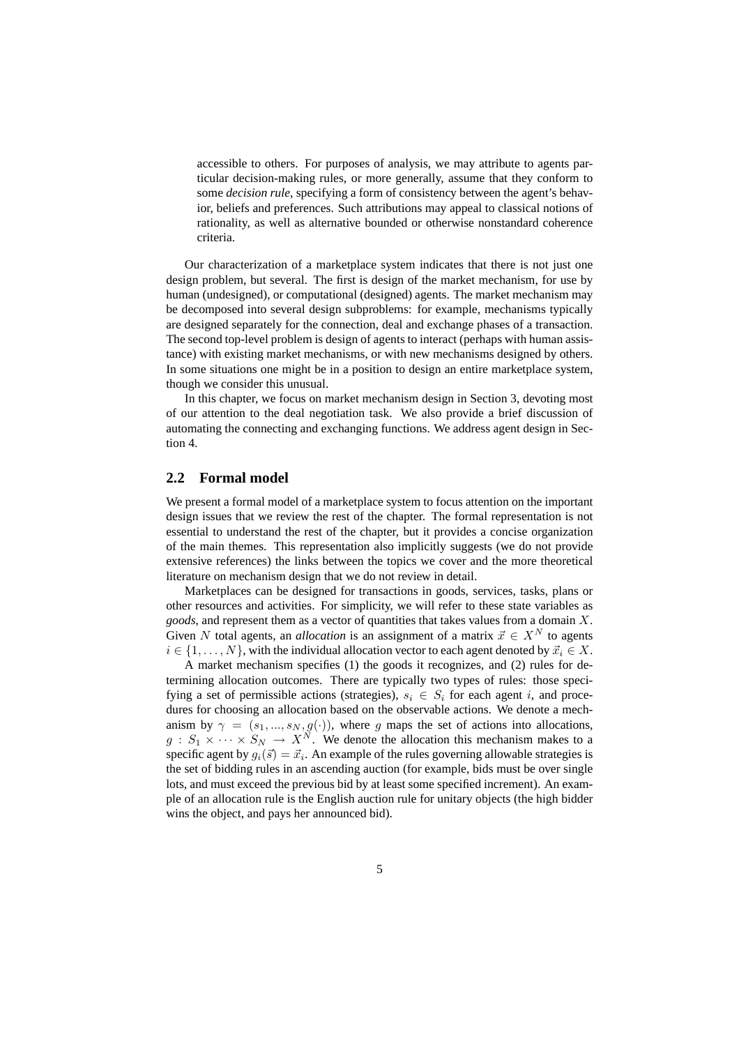accessible to others. For purposes of analysis, we may attribute to agents particular decision-making rules, or more generally, assume that they conform to some *decision rule*, specifying a form of consistency between the agent's behavior, beliefs and preferences. Such attributions may appeal to classical notions of rationality, as well as alternative bounded or otherwise nonstandard coherence criteria.

Our characterization of a marketplace system indicates that there is not just one design problem, but several. The first is design of the market mechanism, for use by human (undesigned), or computational (designed) agents. The market mechanism may be decomposed into several design subproblems: for example, mechanisms typically are designed separately for the connection, deal and exchange phases of a transaction. The second top-level problem is design of agents to interact (perhaps with human assistance) with existing market mechanisms, or with new mechanisms designed by others. In some situations one might be in a position to design an entire marketplace system, though we consider this unusual.

In this chapter, we focus on market mechanism design in Section 3, devoting most of our attention to the deal negotiation task. We also provide a brief discussion of automating the connecting and exchanging functions. We address agent design in Section 4.

#### **2.2 Formal model**

We present a formal model of a marketplace system to focus attention on the important design issues that we review the rest of the chapter. The formal representation is not essential to understand the rest of the chapter, but it provides a concise organization of the main themes. This representation also implicitly suggests (we do not provide extensive references) the links between the topics we cover and the more theoretical literature on mechanism design that we do not review in detail.

Marketplaces can be designed for transactions in goods, services, tasks, plans or other resources and activities. For simplicity, we will refer to these state variables as *goods*, and represent them as a vector of quantities that takes values from a domain X. Given N total agents, an *allocation* is an assignment of a matrix  $\vec{x} \in X^N$  to agents  $i \in \{1, \ldots, N\}$ , with the individual allocation vector to each agent denoted by  $\vec{x}_i \in X$ .

A market mechanism specifies (1) the goods it recognizes, and (2) rules for determining allocation outcomes. There are typically two types of rules: those specifying a set of permissible actions (strategies),  $s_i \in S_i$  for each agent i, and procedures for choosing an allocation based on the observable actions. We denote a mechanism by  $\gamma = (s_1, ..., s_N, g(\cdot))$ , where g maps the set of actions into allocations,  $g: S_1 \times \cdots \times S_N \to X^N$ . We denote the allocation this mechanism makes to a specific agent by  $g_i(\vec{s}) = \vec{x}_i$ . An example of the rules governing allowable strategies is the set of bidding rules in an ascending auction (for example, bids must be over single lots, and must exceed the previous bid by at least some specified increment). An example of an allocation rule is the English auction rule for unitary objects (the high bidder wins the object, and pays her announced bid).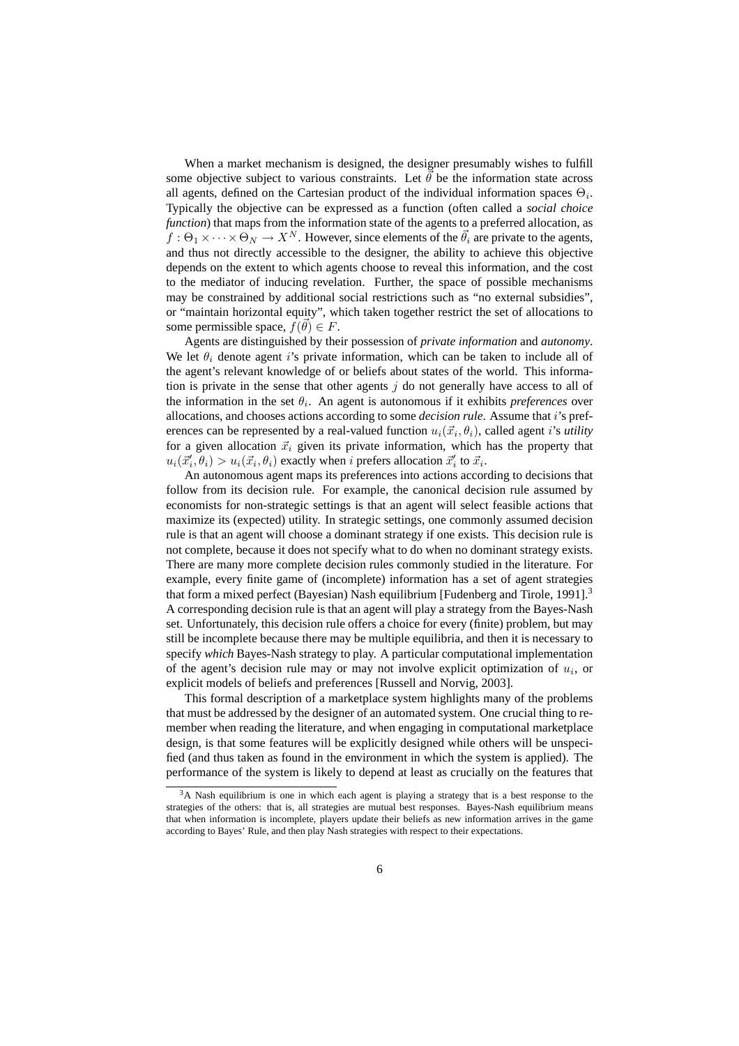When a market mechanism is designed, the designer presumably wishes to fulfill some objective subject to various constraints. Let  $\vec{\theta}$  be the information state across all agents, defined on the Cartesian product of the individual information spaces  $\Theta_i$ . Typically the objective can be expressed as a function (often called a *social choice function*) that maps from the information state of the agents to a preferred allocation, as  $f: \Theta_1 \times \cdots \times \Theta_N \to X^N$ . However, since elements of the  $\vec{\theta}_i$  are private to the agents, and thus not directly accessible to the designer, the ability to achieve this objective depends on the extent to which agents choose to reveal this information, and the cost to the mediator of inducing revelation. Further, the space of possible mechanisms may be constrained by additional social restrictions such as "no external subsidies", or "maintain horizontal equity", which taken together restrict the set of allocations to some permissible space,  $\overrightarrow{f}(\overrightarrow{\theta}) \in F$ .

Agents are distinguished by their possession of *private information* and *autonomy*. We let  $\theta_i$  denote agent is private information, which can be taken to include all of the agent's relevant knowledge of or beliefs about states of the world. This information is private in the sense that other agents  $j$  do not generally have access to all of the information in the set  $\theta_i$ . An agent is autonomous if it exhibits *preferences* over allocations, and chooses actions according to some *decision rule*. Assume that i's preferences can be represented by a real-valued function  $u_i(\vec{x}_i, \theta_i)$ , called agent *i*'s *utility* for a given allocation  $\vec{x}_i$  given its private information, which has the property that  $u_i(\vec{x}'_i, \theta_i) > u_i(\vec{x}_i, \theta_i)$  exactly when i prefers allocation  $\vec{x}'_i$  to  $\vec{x}_i$ .

An autonomous agent maps its preferences into actions according to decisions that follow from its decision rule. For example, the canonical decision rule assumed by economists for non-strategic settings is that an agent will select feasible actions that maximize its (expected) utility. In strategic settings, one commonly assumed decision rule is that an agent will choose a dominant strategy if one exists. This decision rule is not complete, because it does not specify what to do when no dominant strategy exists. There are many more complete decision rules commonly studied in the literature. For example, every finite game of (incomplete) information has a set of agent strategies that form a mixed perfect (Bayesian) Nash equilibrium [Fudenberg and Tirole, 1991].<sup>3</sup> A corresponding decision rule is that an agent will play a strategy from the Bayes-Nash set. Unfortunately, this decision rule offers a choice for every (finite) problem, but may still be incomplete because there may be multiple equilibria, and then it is necessary to specify *which* Bayes-Nash strategy to play. A particular computational implementation of the agent's decision rule may or may not involve explicit optimization of  $u_i$ , or explicit models of beliefs and preferences [Russell and Norvig, 2003].

This formal description of a marketplace system highlights many of the problems that must be addressed by the designer of an automated system. One crucial thing to remember when reading the literature, and when engaging in computational marketplace design, is that some features will be explicitly designed while others will be unspecified (and thus taken as found in the environment in which the system is applied). The performance of the system is likely to depend at least as crucially on the features that

<sup>&</sup>lt;sup>3</sup>A Nash equilibrium is one in which each agent is playing a strategy that is a best response to the strategies of the others: that is, all strategies are mutual best responses. Bayes-Nash equilibrium means that when information is incomplete, players update their beliefs as new information arrives in the game according to Bayes' Rule, and then play Nash strategies with respect to their expectations.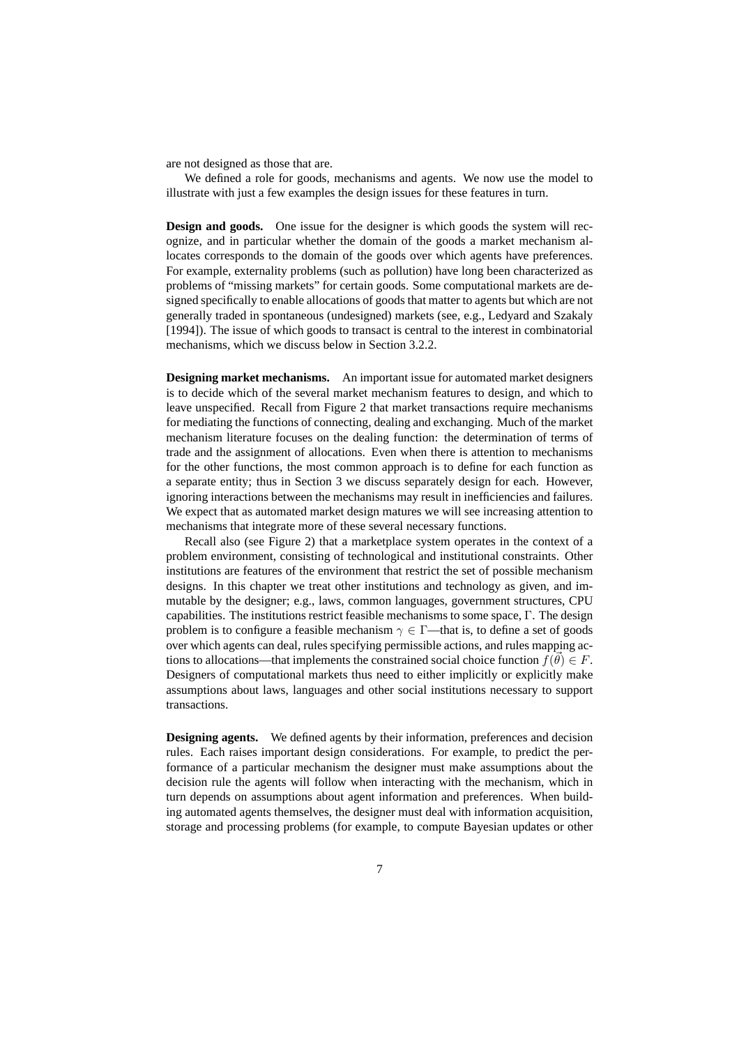are not designed as those that are.

We defined a role for goods, mechanisms and agents. We now use the model to illustrate with just a few examples the design issues for these features in turn.

**Design and goods.** One issue for the designer is which goods the system will recognize, and in particular whether the domain of the goods a market mechanism allocates corresponds to the domain of the goods over which agents have preferences. For example, externality problems (such as pollution) have long been characterized as problems of "missing markets" for certain goods. Some computational markets are designed specifically to enable allocations of goods that matter to agents but which are not generally traded in spontaneous (undesigned) markets (see, e.g., Ledyard and Szakaly [1994]). The issue of which goods to transact is central to the interest in combinatorial mechanisms, which we discuss below in Section 3.2.2.

**Designing market mechanisms.** An important issue for automated market designers is to decide which of the several market mechanism features to design, and which to leave unspecified. Recall from Figure 2 that market transactions require mechanisms for mediating the functions of connecting, dealing and exchanging. Much of the market mechanism literature focuses on the dealing function: the determination of terms of trade and the assignment of allocations. Even when there is attention to mechanisms for the other functions, the most common approach is to define for each function as a separate entity; thus in Section 3 we discuss separately design for each. However, ignoring interactions between the mechanisms may result in inefficiencies and failures. We expect that as automated market design matures we will see increasing attention to mechanisms that integrate more of these several necessary functions.

Recall also (see Figure 2) that a marketplace system operates in the context of a problem environment, consisting of technological and institutional constraints. Other institutions are features of the environment that restrict the set of possible mechanism designs. In this chapter we treat other institutions and technology as given, and immutable by the designer; e.g., laws, common languages, government structures, CPU capabilities. The institutions restrict feasible mechanisms to some space, Γ. The design problem is to configure a feasible mechanism  $\gamma \in \Gamma$ —that is, to define a set of goods over which agents can deal, rules specifying permissible actions, and rules mapping actions to allocations—that implements the constrained social choice function  $f(\vec{\theta}) \in F$ . Designers of computational markets thus need to either implicitly or explicitly make assumptions about laws, languages and other social institutions necessary to support transactions.

**Designing agents.** We defined agents by their information, preferences and decision rules. Each raises important design considerations. For example, to predict the performance of a particular mechanism the designer must make assumptions about the decision rule the agents will follow when interacting with the mechanism, which in turn depends on assumptions about agent information and preferences. When building automated agents themselves, the designer must deal with information acquisition, storage and processing problems (for example, to compute Bayesian updates or other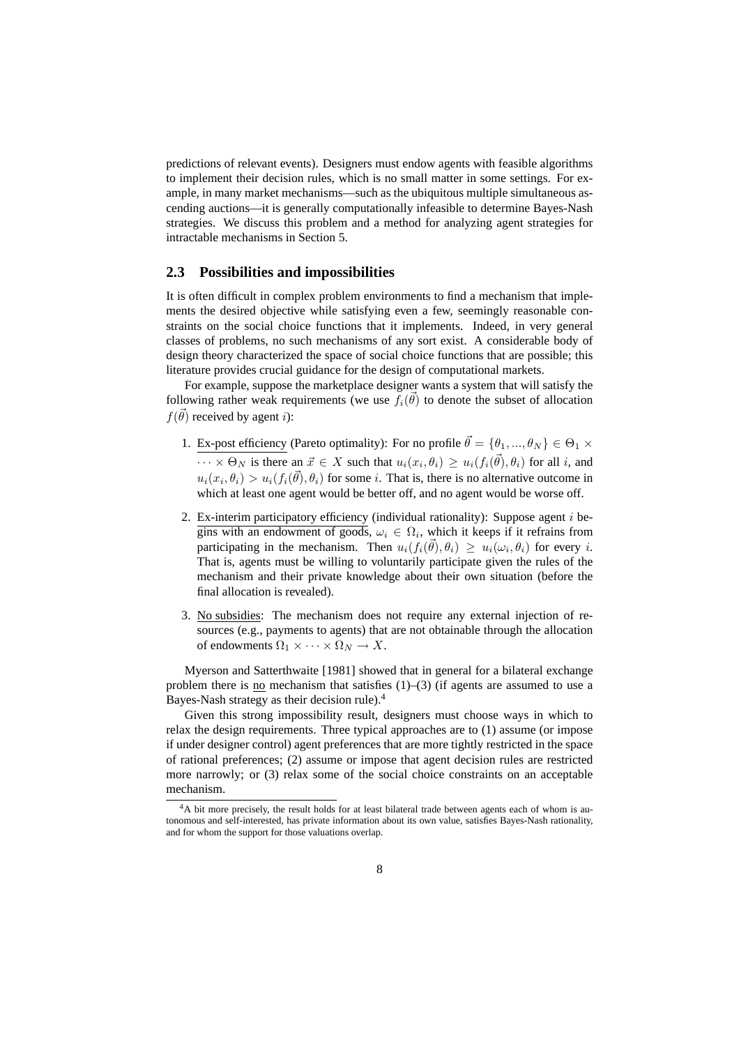predictions of relevant events). Designers must endow agents with feasible algorithms to implement their decision rules, which is no small matter in some settings. For example, in many market mechanisms—such as the ubiquitous multiple simultaneous ascending auctions—it is generally computationally infeasible to determine Bayes-Nash strategies. We discuss this problem and a method for analyzing agent strategies for intractable mechanisms in Section 5.

#### **2.3 Possibilities and impossibilities**

It is often difficult in complex problem environments to find a mechanism that implements the desired objective while satisfying even a few, seemingly reasonable constraints on the social choice functions that it implements. Indeed, in very general classes of problems, no such mechanisms of any sort exist. A considerable body of design theory characterized the space of social choice functions that are possible; this literature provides crucial guidance for the design of computational markets.

For example, suppose the marketplace designer wants a system that will satisfy the following rather weak requirements (we use  $f_i(\vec{\theta})$  to denote the subset of allocation  $f(\vec{\theta})$  received by agent *i*):

- 1. Ex-post efficiency (Pareto optimality): For no profile  $\vec{\theta} = {\theta_1, ..., \theta_N} \in \Theta_1 \times$  $\cdots \times \Theta_N$  is there an  $\vec{x} \in X$  such that  $u_i(x_i, \theta_i) \geq u_i(f_i(\vec{\theta}), \theta_i)$  for all i, and  $u_i(x_i, \theta_i) > u_i(f_i(\vec{\theta}), \theta_i)$  for some *i*. That is, there is no alternative outcome in which at least one agent would be better off, and no agent would be worse off.
- 2. Ex-interim participatory efficiency (individual rationality): Suppose agent  $i$  begins with an endowment of goods,  $\omega_i \in \Omega_i$ , which it keeps if it refrains from participating in the mechanism. Then  $u_i(f_i(\vec{\theta}), \theta_i) \geq u_i(\omega_i, \theta_i)$  for every i. That is, agents must be willing to voluntarily participate given the rules of the mechanism and their private knowledge about their own situation (before the final allocation is revealed).
- 3. No subsidies: The mechanism does not require any external injection of resources (e.g., payments to agents) that are not obtainable through the allocation of endowments  $\Omega_1 \times \cdots \times \Omega_N \to X$ .

Myerson and Satterthwaite [1981] showed that in general for a bilateral exchange problem there is no mechanism that satisfies  $(1)$ – $(3)$  (if agents are assumed to use a Bayes-Nash strategy as their decision rule).<sup>4</sup>

Given this strong impossibility result, designers must choose ways in which to relax the design requirements. Three typical approaches are to (1) assume (or impose if under designer control) agent preferences that are more tightly restricted in the space of rational preferences; (2) assume or impose that agent decision rules are restricted more narrowly; or (3) relax some of the social choice constraints on an acceptable mechanism.

<sup>&</sup>lt;sup>4</sup>A bit more precisely, the result holds for at least bilateral trade between agents each of whom is autonomous and self-interested, has private information about its own value, satisfies Bayes-Nash rationality, and for whom the support for those valuations overlap.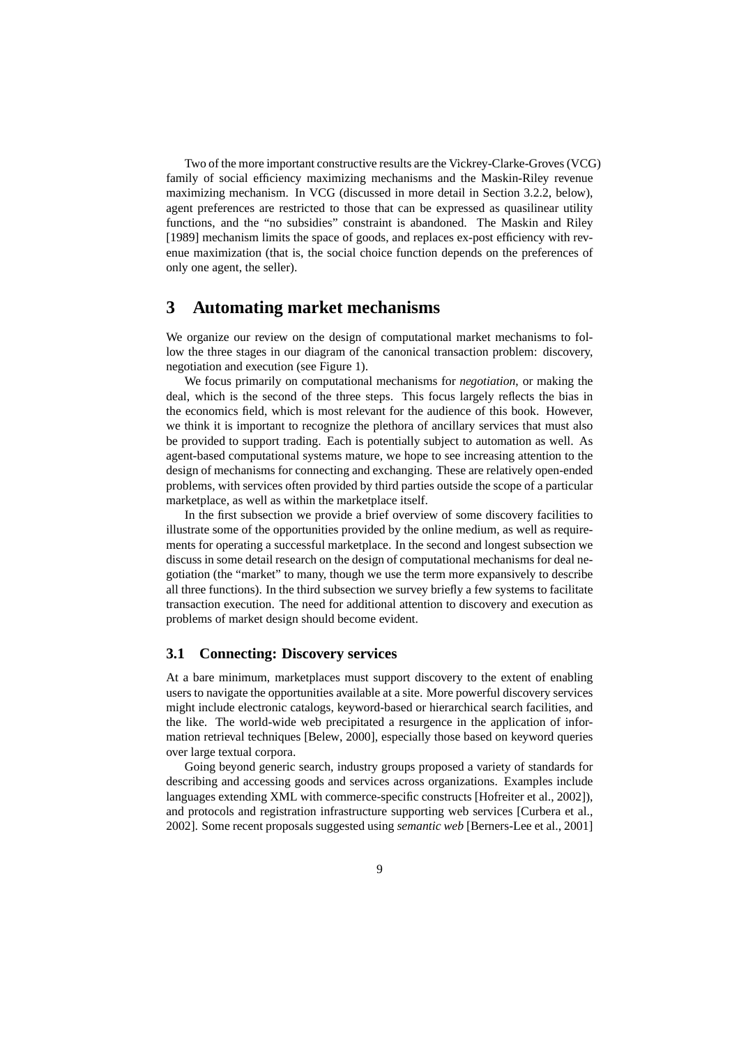Two of the more important constructive results are the Vickrey-Clarke-Groves (VCG) family of social efficiency maximizing mechanisms and the Maskin-Riley revenue maximizing mechanism. In VCG (discussed in more detail in Section 3.2.2, below), agent preferences are restricted to those that can be expressed as quasilinear utility functions, and the "no subsidies" constraint is abandoned. The Maskin and Riley [1989] mechanism limits the space of goods, and replaces ex-post efficiency with revenue maximization (that is, the social choice function depends on the preferences of only one agent, the seller).

### **3 Automating market mechanisms**

We organize our review on the design of computational market mechanisms to follow the three stages in our diagram of the canonical transaction problem: discovery, negotiation and execution (see Figure 1).

We focus primarily on computational mechanisms for *negotiation*, or making the deal, which is the second of the three steps. This focus largely reflects the bias in the economics field, which is most relevant for the audience of this book. However, we think it is important to recognize the plethora of ancillary services that must also be provided to support trading. Each is potentially subject to automation as well. As agent-based computational systems mature, we hope to see increasing attention to the design of mechanisms for connecting and exchanging. These are relatively open-ended problems, with services often provided by third parties outside the scope of a particular marketplace, as well as within the marketplace itself.

In the first subsection we provide a brief overview of some discovery facilities to illustrate some of the opportunities provided by the online medium, as well as requirements for operating a successful marketplace. In the second and longest subsection we discuss in some detail research on the design of computational mechanisms for deal negotiation (the "market" to many, though we use the term more expansively to describe all three functions). In the third subsection we survey briefly a few systems to facilitate transaction execution. The need for additional attention to discovery and execution as problems of market design should become evident.

#### **3.1 Connecting: Discovery services**

At a bare minimum, marketplaces must support discovery to the extent of enabling users to navigate the opportunities available at a site. More powerful discovery services might include electronic catalogs, keyword-based or hierarchical search facilities, and the like. The world-wide web precipitated a resurgence in the application of information retrieval techniques [Belew, 2000], especially those based on keyword queries over large textual corpora.

Going beyond generic search, industry groups proposed a variety of standards for describing and accessing goods and services across organizations. Examples include languages extending XML with commerce-specific constructs [Hofreiter et al., 2002]), and protocols and registration infrastructure supporting web services [Curbera et al., 2002]. Some recent proposals suggested using *semantic web* [Berners-Lee et al., 2001]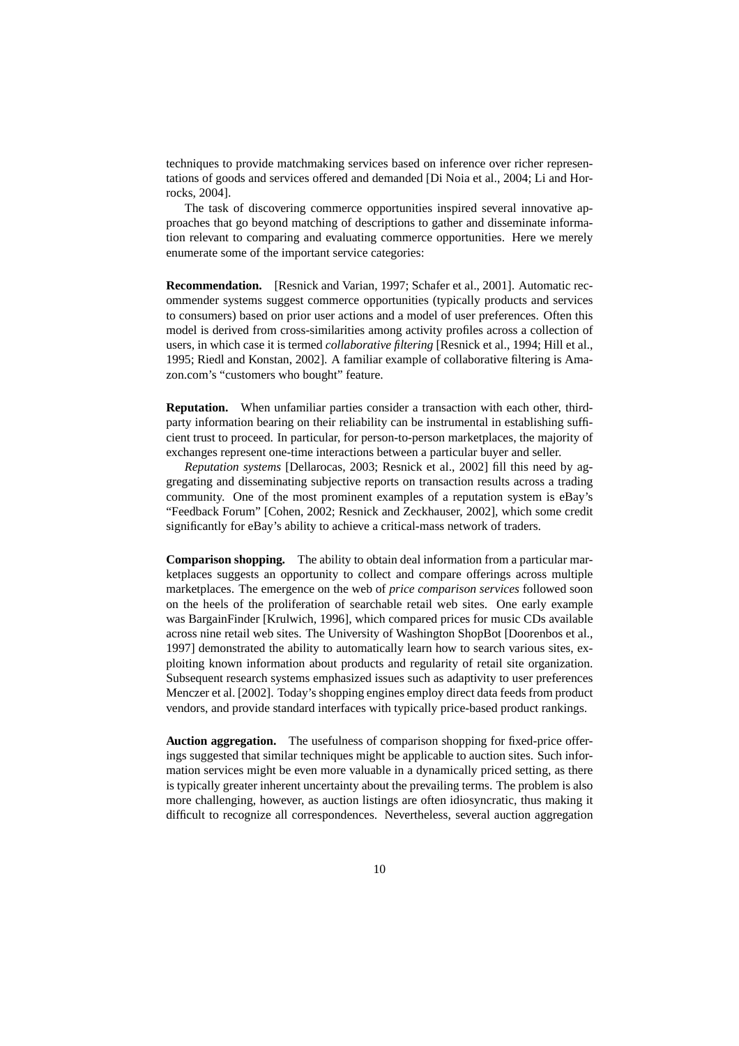techniques to provide matchmaking services based on inference over richer representations of goods and services offered and demanded [Di Noia et al., 2004; Li and Horrocks, 2004].

The task of discovering commerce opportunities inspired several innovative approaches that go beyond matching of descriptions to gather and disseminate information relevant to comparing and evaluating commerce opportunities. Here we merely enumerate some of the important service categories:

**Recommendation.** [Resnick and Varian, 1997; Schafer et al., 2001]. Automatic recommender systems suggest commerce opportunities (typically products and services to consumers) based on prior user actions and a model of user preferences. Often this model is derived from cross-similarities among activity profiles across a collection of users, in which case it is termed *collaborative filtering* [Resnick et al., 1994; Hill et al., 1995; Riedl and Konstan, 2002]. A familiar example of collaborative filtering is Amazon.com's "customers who bought" feature.

**Reputation.** When unfamiliar parties consider a transaction with each other, thirdparty information bearing on their reliability can be instrumental in establishing sufficient trust to proceed. In particular, for person-to-person marketplaces, the majority of exchanges represent one-time interactions between a particular buyer and seller.

*Reputation systems* [Dellarocas, 2003; Resnick et al., 2002] fill this need by aggregating and disseminating subjective reports on transaction results across a trading community. One of the most prominent examples of a reputation system is eBay's "Feedback Forum" [Cohen, 2002; Resnick and Zeckhauser, 2002], which some credit significantly for eBay's ability to achieve a critical-mass network of traders.

**Comparison shopping.** The ability to obtain deal information from a particular marketplaces suggests an opportunity to collect and compare offerings across multiple marketplaces. The emergence on the web of *price comparison services* followed soon on the heels of the proliferation of searchable retail web sites. One early example was BargainFinder [Krulwich, 1996], which compared prices for music CDs available across nine retail web sites. The University of Washington ShopBot [Doorenbos et al., 1997] demonstrated the ability to automatically learn how to search various sites, exploiting known information about products and regularity of retail site organization. Subsequent research systems emphasized issues such as adaptivity to user preferences Menczer et al. [2002]. Today's shopping engines employ direct data feeds from product vendors, and provide standard interfaces with typically price-based product rankings.

**Auction aggregation.** The usefulness of comparison shopping for fixed-price offerings suggested that similar techniques might be applicable to auction sites. Such information services might be even more valuable in a dynamically priced setting, as there is typically greater inherent uncertainty about the prevailing terms. The problem is also more challenging, however, as auction listings are often idiosyncratic, thus making it difficult to recognize all correspondences. Nevertheless, several auction aggregation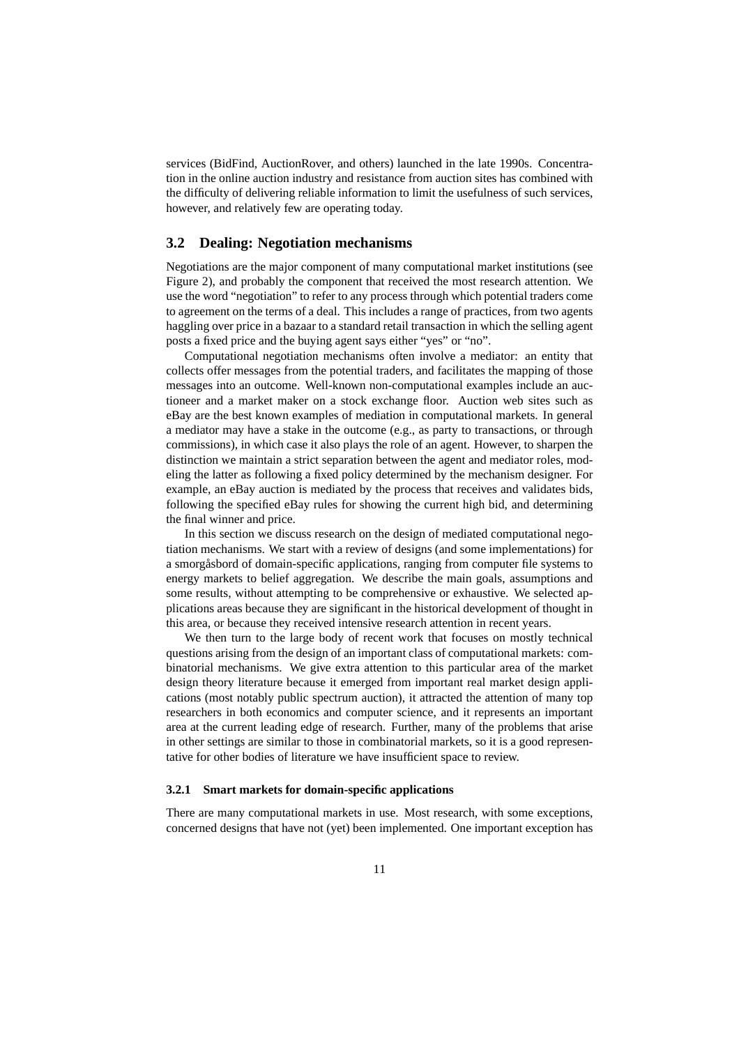services (BidFind, AuctionRover, and others) launched in the late 1990s. Concentration in the online auction industry and resistance from auction sites has combined with the difficulty of delivering reliable information to limit the usefulness of such services, however, and relatively few are operating today.

#### **3.2 Dealing: Negotiation mechanisms**

Negotiations are the major component of many computational market institutions (see Figure 2), and probably the component that received the most research attention. We use the word "negotiation" to refer to any process through which potential traders come to agreement on the terms of a deal. This includes a range of practices, from two agents haggling over price in a bazaar to a standard retail transaction in which the selling agent posts a fixed price and the buying agent says either "yes" or "no".

Computational negotiation mechanisms often involve a mediator: an entity that collects offer messages from the potential traders, and facilitates the mapping of those messages into an outcome. Well-known non-computational examples include an auctioneer and a market maker on a stock exchange floor. Auction web sites such as eBay are the best known examples of mediation in computational markets. In general a mediator may have a stake in the outcome (e.g., as party to transactions, or through commissions), in which case it also plays the role of an agent. However, to sharpen the distinction we maintain a strict separation between the agent and mediator roles, modeling the latter as following a fixed policy determined by the mechanism designer. For example, an eBay auction is mediated by the process that receives and validates bids, following the specified eBay rules for showing the current high bid, and determining the final winner and price.

In this section we discuss research on the design of mediated computational negotiation mechanisms. We start with a review of designs (and some implementations) for a smorgåsbord of domain-specific applications, ranging from computer file systems to energy markets to belief aggregation. We describe the main goals, assumptions and some results, without attempting to be comprehensive or exhaustive. We selected applications areas because they are significant in the historical development of thought in this area, or because they received intensive research attention in recent years.

We then turn to the large body of recent work that focuses on mostly technical questions arising from the design of an important class of computational markets: combinatorial mechanisms. We give extra attention to this particular area of the market design theory literature because it emerged from important real market design applications (most notably public spectrum auction), it attracted the attention of many top researchers in both economics and computer science, and it represents an important area at the current leading edge of research. Further, many of the problems that arise in other settings are similar to those in combinatorial markets, so it is a good representative for other bodies of literature we have insufficient space to review.

#### **3.2.1 Smart markets for domain-specific applications**

There are many computational markets in use. Most research, with some exceptions, concerned designs that have not (yet) been implemented. One important exception has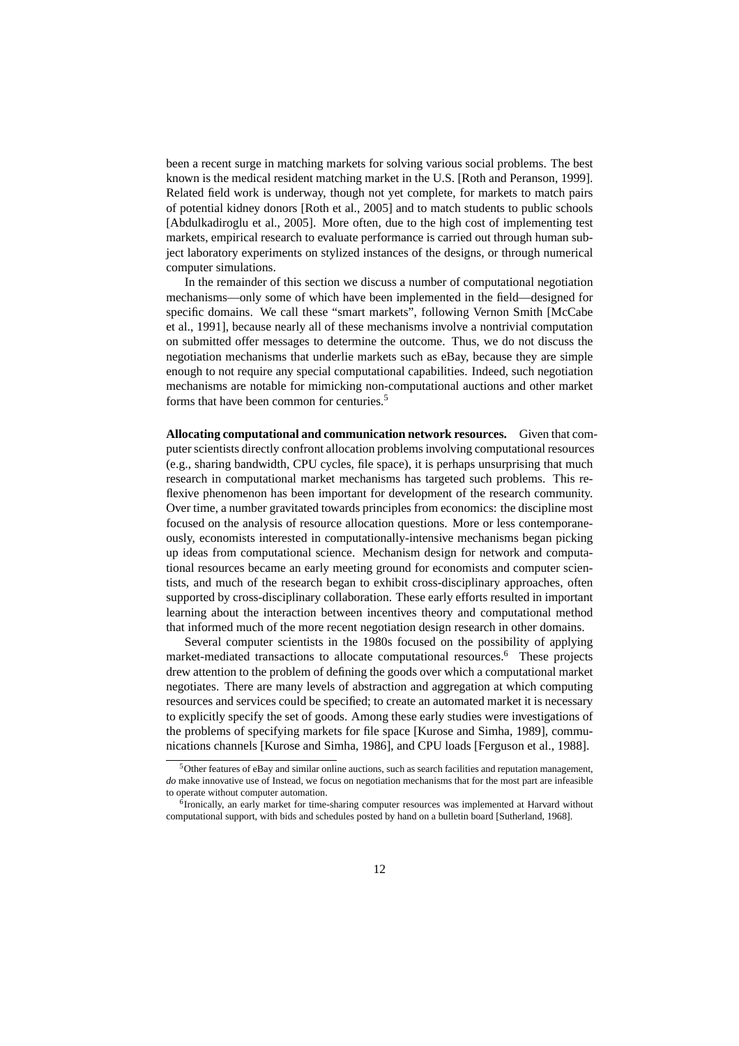been a recent surge in matching markets for solving various social problems. The best known is the medical resident matching market in the U.S. [Roth and Peranson, 1999]. Related field work is underway, though not yet complete, for markets to match pairs of potential kidney donors [Roth et al., 2005] and to match students to public schools [Abdulkadiroglu et al., 2005]. More often, due to the high cost of implementing test markets, empirical research to evaluate performance is carried out through human subject laboratory experiments on stylized instances of the designs, or through numerical computer simulations.

In the remainder of this section we discuss a number of computational negotiation mechanisms—only some of which have been implemented in the field—designed for specific domains. We call these "smart markets", following Vernon Smith [McCabe et al., 1991], because nearly all of these mechanisms involve a nontrivial computation on submitted offer messages to determine the outcome. Thus, we do not discuss the negotiation mechanisms that underlie markets such as eBay, because they are simple enough to not require any special computational capabilities. Indeed, such negotiation mechanisms are notable for mimicking non-computational auctions and other market forms that have been common for centuries.<sup>5</sup>

**Allocating computational and communication network resources.** Given that computer scientists directly confront allocation problems involving computational resources (e.g., sharing bandwidth, CPU cycles, file space), it is perhaps unsurprising that much research in computational market mechanisms has targeted such problems. This reflexive phenomenon has been important for development of the research community. Over time, a number gravitated towards principles from economics: the discipline most focused on the analysis of resource allocation questions. More or less contemporaneously, economists interested in computationally-intensive mechanisms began picking up ideas from computational science. Mechanism design for network and computational resources became an early meeting ground for economists and computer scientists, and much of the research began to exhibit cross-disciplinary approaches, often supported by cross-disciplinary collaboration. These early efforts resulted in important learning about the interaction between incentives theory and computational method that informed much of the more recent negotiation design research in other domains.

Several computer scientists in the 1980s focused on the possibility of applying market-mediated transactions to allocate computational resources.<sup>6</sup> These projects drew attention to the problem of defining the goods over which a computational market negotiates. There are many levels of abstraction and aggregation at which computing resources and services could be specified; to create an automated market it is necessary to explicitly specify the set of goods. Among these early studies were investigations of the problems of specifying markets for file space [Kurose and Simha, 1989], communications channels [Kurose and Simha, 1986], and CPU loads [Ferguson et al., 1988].

<sup>5</sup>Other features of eBay and similar online auctions, such as search facilities and reputation management, *do* make innovative use of Instead, we focus on negotiation mechanisms that for the most part are infeasible to operate without computer automation.

<sup>&</sup>lt;sup>6</sup> Ironically, an early market for time-sharing computer resources was implemented at Harvard without computational support, with bids and schedules posted by hand on a bulletin board [Sutherland, 1968].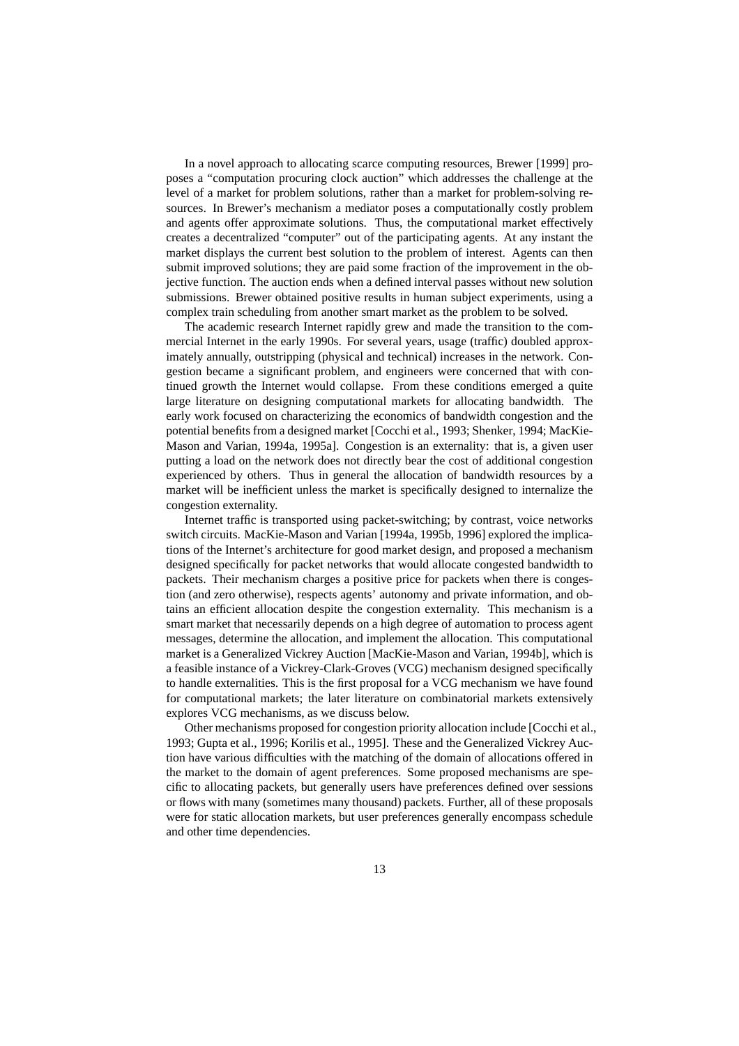In a novel approach to allocating scarce computing resources, Brewer [1999] proposes a "computation procuring clock auction" which addresses the challenge at the level of a market for problem solutions, rather than a market for problem-solving resources. In Brewer's mechanism a mediator poses a computationally costly problem and agents offer approximate solutions. Thus, the computational market effectively creates a decentralized "computer" out of the participating agents. At any instant the market displays the current best solution to the problem of interest. Agents can then submit improved solutions; they are paid some fraction of the improvement in the objective function. The auction ends when a defined interval passes without new solution submissions. Brewer obtained positive results in human subject experiments, using a complex train scheduling from another smart market as the problem to be solved.

The academic research Internet rapidly grew and made the transition to the commercial Internet in the early 1990s. For several years, usage (traffic) doubled approximately annually, outstripping (physical and technical) increases in the network. Congestion became a significant problem, and engineers were concerned that with continued growth the Internet would collapse. From these conditions emerged a quite large literature on designing computational markets for allocating bandwidth. The early work focused on characterizing the economics of bandwidth congestion and the potential benefits from a designed market [Cocchi et al., 1993; Shenker, 1994; MacKie-Mason and Varian, 1994a, 1995a]. Congestion is an externality: that is, a given user putting a load on the network does not directly bear the cost of additional congestion experienced by others. Thus in general the allocation of bandwidth resources by a market will be inefficient unless the market is specifically designed to internalize the congestion externality.

Internet traffic is transported using packet-switching; by contrast, voice networks switch circuits. MacKie-Mason and Varian [1994a, 1995b, 1996] explored the implications of the Internet's architecture for good market design, and proposed a mechanism designed specifically for packet networks that would allocate congested bandwidth to packets. Their mechanism charges a positive price for packets when there is congestion (and zero otherwise), respects agents' autonomy and private information, and obtains an efficient allocation despite the congestion externality. This mechanism is a smart market that necessarily depends on a high degree of automation to process agent messages, determine the allocation, and implement the allocation. This computational market is a Generalized Vickrey Auction [MacKie-Mason and Varian, 1994b], which is a feasible instance of a Vickrey-Clark-Groves (VCG) mechanism designed specifically to handle externalities. This is the first proposal for a VCG mechanism we have found for computational markets; the later literature on combinatorial markets extensively explores VCG mechanisms, as we discuss below.

Other mechanisms proposed for congestion priority allocation include [Cocchi et al., 1993; Gupta et al., 1996; Korilis et al., 1995]. These and the Generalized Vickrey Auction have various difficulties with the matching of the domain of allocations offered in the market to the domain of agent preferences. Some proposed mechanisms are specific to allocating packets, but generally users have preferences defined over sessions or flows with many (sometimes many thousand) packets. Further, all of these proposals were for static allocation markets, but user preferences generally encompass schedule and other time dependencies.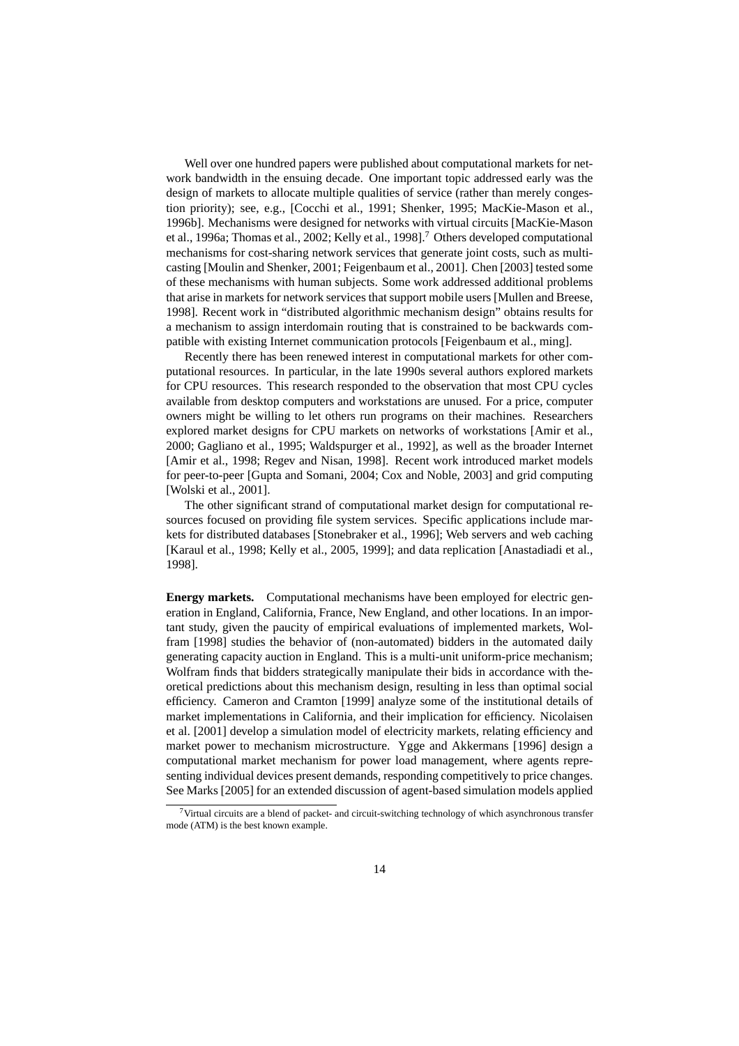Well over one hundred papers were published about computational markets for network bandwidth in the ensuing decade. One important topic addressed early was the design of markets to allocate multiple qualities of service (rather than merely congestion priority); see, e.g., [Cocchi et al., 1991; Shenker, 1995; MacKie-Mason et al., 1996b]. Mechanisms were designed for networks with virtual circuits [MacKie-Mason et al., 1996a; Thomas et al., 2002; Kelly et al., 1998].<sup>7</sup> Others developed computational mechanisms for cost-sharing network services that generate joint costs, such as multicasting [Moulin and Shenker, 2001; Feigenbaum et al., 2001]. Chen [2003] tested some of these mechanisms with human subjects. Some work addressed additional problems that arise in markets for network services that support mobile users [Mullen and Breese, 1998]. Recent work in "distributed algorithmic mechanism design" obtains results for a mechanism to assign interdomain routing that is constrained to be backwards compatible with existing Internet communication protocols [Feigenbaum et al., ming].

Recently there has been renewed interest in computational markets for other computational resources. In particular, in the late 1990s several authors explored markets for CPU resources. This research responded to the observation that most CPU cycles available from desktop computers and workstations are unused. For a price, computer owners might be willing to let others run programs on their machines. Researchers explored market designs for CPU markets on networks of workstations [Amir et al., 2000; Gagliano et al., 1995; Waldspurger et al., 1992], as well as the broader Internet [Amir et al., 1998; Regev and Nisan, 1998]. Recent work introduced market models for peer-to-peer [Gupta and Somani, 2004; Cox and Noble, 2003] and grid computing [Wolski et al., 2001].

The other significant strand of computational market design for computational resources focused on providing file system services. Specific applications include markets for distributed databases [Stonebraker et al., 1996]; Web servers and web caching [Karaul et al., 1998; Kelly et al., 2005, 1999]; and data replication [Anastadiadi et al., 1998].

**Energy markets.** Computational mechanisms have been employed for electric generation in England, California, France, New England, and other locations. In an important study, given the paucity of empirical evaluations of implemented markets, Wolfram [1998] studies the behavior of (non-automated) bidders in the automated daily generating capacity auction in England. This is a multi-unit uniform-price mechanism; Wolfram finds that bidders strategically manipulate their bids in accordance with theoretical predictions about this mechanism design, resulting in less than optimal social efficiency. Cameron and Cramton [1999] analyze some of the institutional details of market implementations in California, and their implication for efficiency. Nicolaisen et al. [2001] develop a simulation model of electricity markets, relating efficiency and market power to mechanism microstructure. Ygge and Akkermans [1996] design a computational market mechanism for power load management, where agents representing individual devices present demands, responding competitively to price changes. See Marks [2005] for an extended discussion of agent-based simulation models applied

<sup>7</sup>Virtual circuits are a blend of packet- and circuit-switching technology of which asynchronous transfer mode (ATM) is the best known example.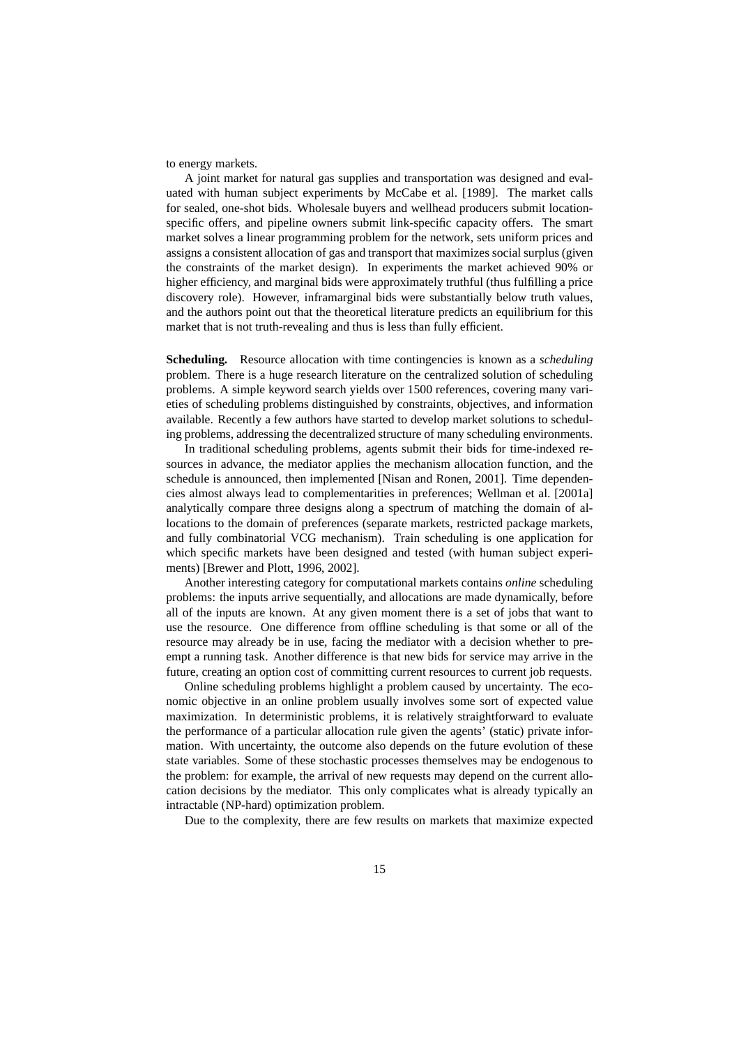to energy markets.

A joint market for natural gas supplies and transportation was designed and evaluated with human subject experiments by McCabe et al. [1989]. The market calls for sealed, one-shot bids. Wholesale buyers and wellhead producers submit locationspecific offers, and pipeline owners submit link-specific capacity offers. The smart market solves a linear programming problem for the network, sets uniform prices and assigns a consistent allocation of gas and transport that maximizes social surplus (given the constraints of the market design). In experiments the market achieved 90% or higher efficiency, and marginal bids were approximately truthful (thus fulfilling a price discovery role). However, inframarginal bids were substantially below truth values, and the authors point out that the theoretical literature predicts an equilibrium for this market that is not truth-revealing and thus is less than fully efficient.

**Scheduling.** Resource allocation with time contingencies is known as a *scheduling* problem. There is a huge research literature on the centralized solution of scheduling problems. A simple keyword search yields over 1500 references, covering many varieties of scheduling problems distinguished by constraints, objectives, and information available. Recently a few authors have started to develop market solutions to scheduling problems, addressing the decentralized structure of many scheduling environments.

In traditional scheduling problems, agents submit their bids for time-indexed resources in advance, the mediator applies the mechanism allocation function, and the schedule is announced, then implemented [Nisan and Ronen, 2001]. Time dependencies almost always lead to complementarities in preferences; Wellman et al. [2001a] analytically compare three designs along a spectrum of matching the domain of allocations to the domain of preferences (separate markets, restricted package markets, and fully combinatorial VCG mechanism). Train scheduling is one application for which specific markets have been designed and tested (with human subject experiments) [Brewer and Plott, 1996, 2002].

Another interesting category for computational markets contains *online* scheduling problems: the inputs arrive sequentially, and allocations are made dynamically, before all of the inputs are known. At any given moment there is a set of jobs that want to use the resource. One difference from offline scheduling is that some or all of the resource may already be in use, facing the mediator with a decision whether to preempt a running task. Another difference is that new bids for service may arrive in the future, creating an option cost of committing current resources to current job requests.

Online scheduling problems highlight a problem caused by uncertainty. The economic objective in an online problem usually involves some sort of expected value maximization. In deterministic problems, it is relatively straightforward to evaluate the performance of a particular allocation rule given the agents' (static) private information. With uncertainty, the outcome also depends on the future evolution of these state variables. Some of these stochastic processes themselves may be endogenous to the problem: for example, the arrival of new requests may depend on the current allocation decisions by the mediator. This only complicates what is already typically an intractable (NP-hard) optimization problem.

Due to the complexity, there are few results on markets that maximize expected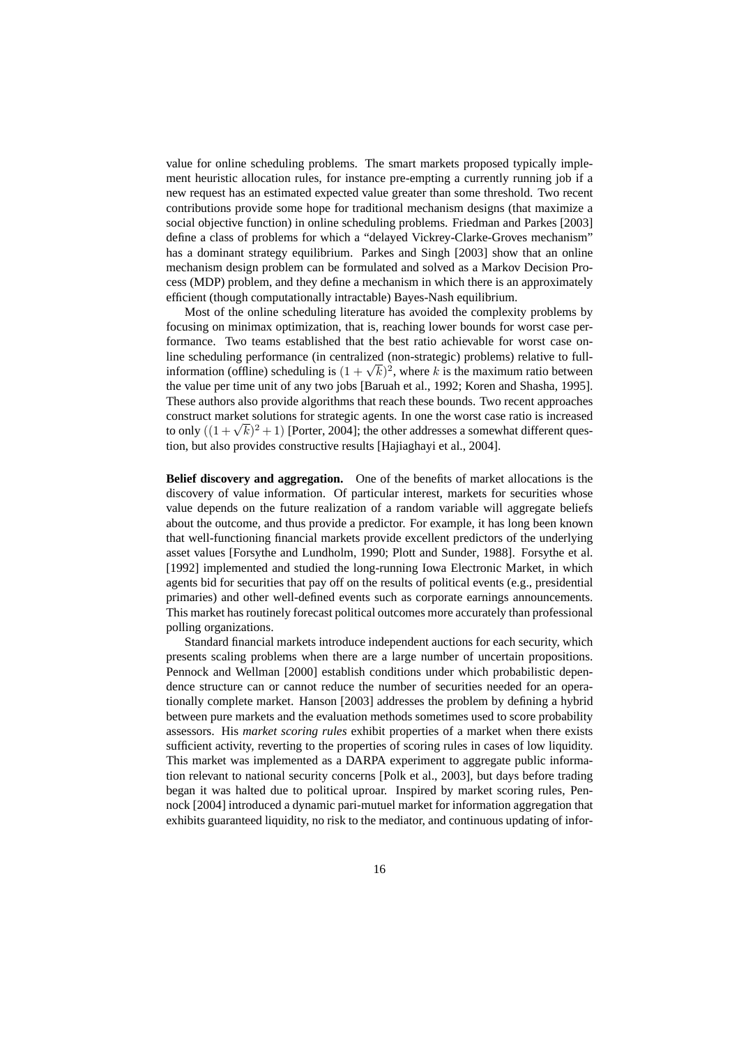value for online scheduling problems. The smart markets proposed typically implement heuristic allocation rules, for instance pre-empting a currently running job if a new request has an estimated expected value greater than some threshold. Two recent contributions provide some hope for traditional mechanism designs (that maximize a social objective function) in online scheduling problems. Friedman and Parkes [2003] define a class of problems for which a "delayed Vickrey-Clarke-Groves mechanism" has a dominant strategy equilibrium. Parkes and Singh [2003] show that an online mechanism design problem can be formulated and solved as a Markov Decision Process (MDP) problem, and they define a mechanism in which there is an approximately efficient (though computationally intractable) Bayes-Nash equilibrium.

Most of the online scheduling literature has avoided the complexity problems by focusing on minimax optimization, that is, reaching lower bounds for worst case performance. Two teams established that the best ratio achievable for worst case online scheduling performance (in centralized (non-strategic) problems) relative to fullline scheduling performance (in centralized (non-strategic) problems) relative to full-<br>information (offline) scheduling is  $(1 + \sqrt{k})^2$ , where k is the maximum ratio between the value per time unit of any two jobs [Baruah et al., 1992; Koren and Shasha, 1995]. These authors also provide algorithms that reach these bounds. Two recent approaches construct market solutions for strategic agents. In one the worst case ratio is increased construct market solutions for strategic agents. In one the worst case ratio is increased<br>to only  $((1 + \sqrt{k})^2 + 1)$  [Porter, 2004]; the other addresses a somewhat different question, but also provides constructive results [Hajiaghayi et al., 2004].

**Belief discovery and aggregation.** One of the benefits of market allocations is the discovery of value information. Of particular interest, markets for securities whose value depends on the future realization of a random variable will aggregate beliefs about the outcome, and thus provide a predictor. For example, it has long been known that well-functioning financial markets provide excellent predictors of the underlying asset values [Forsythe and Lundholm, 1990; Plott and Sunder, 1988]. Forsythe et al. [1992] implemented and studied the long-running Iowa Electronic Market, in which agents bid for securities that pay off on the results of political events (e.g., presidential primaries) and other well-defined events such as corporate earnings announcements. This market has routinely forecast political outcomes more accurately than professional polling organizations.

Standard financial markets introduce independent auctions for each security, which presents scaling problems when there are a large number of uncertain propositions. Pennock and Wellman [2000] establish conditions under which probabilistic dependence structure can or cannot reduce the number of securities needed for an operationally complete market. Hanson [2003] addresses the problem by defining a hybrid between pure markets and the evaluation methods sometimes used to score probability assessors. His *market scoring rules* exhibit properties of a market when there exists sufficient activity, reverting to the properties of scoring rules in cases of low liquidity. This market was implemented as a DARPA experiment to aggregate public information relevant to national security concerns [Polk et al., 2003], but days before trading began it was halted due to political uproar. Inspired by market scoring rules, Pennock [2004] introduced a dynamic pari-mutuel market for information aggregation that exhibits guaranteed liquidity, no risk to the mediator, and continuous updating of infor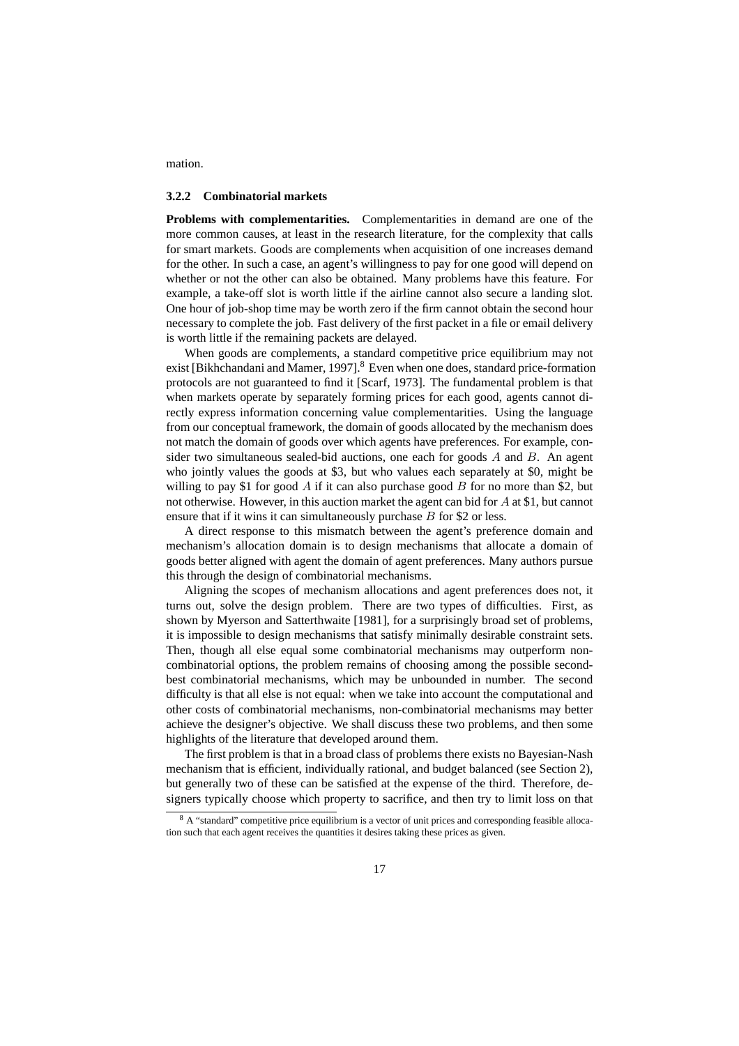mation.

#### **3.2.2 Combinatorial markets**

**Problems with complementarities.** Complementarities in demand are one of the more common causes, at least in the research literature, for the complexity that calls for smart markets. Goods are complements when acquisition of one increases demand for the other. In such a case, an agent's willingness to pay for one good will depend on whether or not the other can also be obtained. Many problems have this feature. For example, a take-off slot is worth little if the airline cannot also secure a landing slot. One hour of job-shop time may be worth zero if the firm cannot obtain the second hour necessary to complete the job. Fast delivery of the first packet in a file or email delivery is worth little if the remaining packets are delayed.

When goods are complements, a standard competitive price equilibrium may not exist [Bikhchandani and Mamer, 1997].<sup>8</sup> Even when one does, standard price-formation protocols are not guaranteed to find it [Scarf, 1973]. The fundamental problem is that when markets operate by separately forming prices for each good, agents cannot directly express information concerning value complementarities. Using the language from our conceptual framework, the domain of goods allocated by the mechanism does not match the domain of goods over which agents have preferences. For example, consider two simultaneous sealed-bid auctions, one each for goods  $A$  and  $B$ . An agent who jointly values the goods at \$3, but who values each separately at \$0, might be willing to pay \$1 for good A if it can also purchase good B for no more than \$2, but not otherwise. However, in this auction market the agent can bid for A at \$1, but cannot ensure that if it wins it can simultaneously purchase B for \$2 or less.

A direct response to this mismatch between the agent's preference domain and mechanism's allocation domain is to design mechanisms that allocate a domain of goods better aligned with agent the domain of agent preferences. Many authors pursue this through the design of combinatorial mechanisms.

Aligning the scopes of mechanism allocations and agent preferences does not, it turns out, solve the design problem. There are two types of difficulties. First, as shown by Myerson and Satterthwaite [1981], for a surprisingly broad set of problems, it is impossible to design mechanisms that satisfy minimally desirable constraint sets. Then, though all else equal some combinatorial mechanisms may outperform noncombinatorial options, the problem remains of choosing among the possible secondbest combinatorial mechanisms, which may be unbounded in number. The second difficulty is that all else is not equal: when we take into account the computational and other costs of combinatorial mechanisms, non-combinatorial mechanisms may better achieve the designer's objective. We shall discuss these two problems, and then some highlights of the literature that developed around them.

The first problem is that in a broad class of problems there exists no Bayesian-Nash mechanism that is efficient, individually rational, and budget balanced (see Section 2), but generally two of these can be satisfied at the expense of the third. Therefore, designers typically choose which property to sacrifice, and then try to limit loss on that

<sup>&</sup>lt;sup>8</sup> A "standard" competitive price equilibrium is a vector of unit prices and corresponding feasible allocation such that each agent receives the quantities it desires taking these prices as given.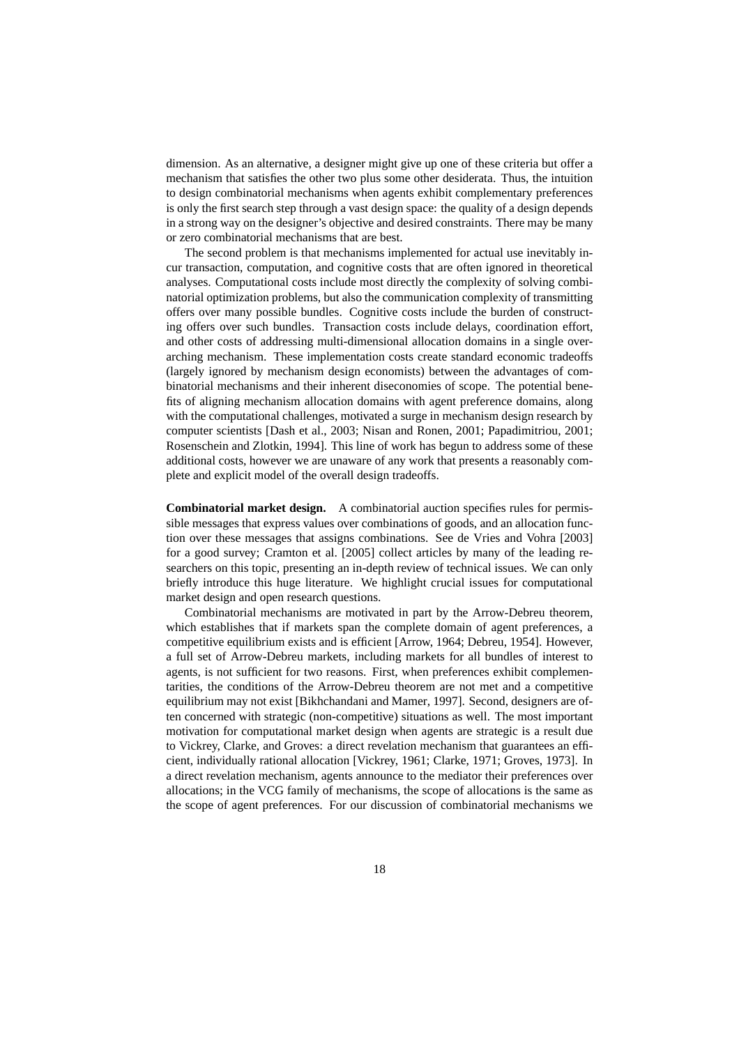dimension. As an alternative, a designer might give up one of these criteria but offer a mechanism that satisfies the other two plus some other desiderata. Thus, the intuition to design combinatorial mechanisms when agents exhibit complementary preferences is only the first search step through a vast design space: the quality of a design depends in a strong way on the designer's objective and desired constraints. There may be many or zero combinatorial mechanisms that are best.

The second problem is that mechanisms implemented for actual use inevitably incur transaction, computation, and cognitive costs that are often ignored in theoretical analyses. Computational costs include most directly the complexity of solving combinatorial optimization problems, but also the communication complexity of transmitting offers over many possible bundles. Cognitive costs include the burden of constructing offers over such bundles. Transaction costs include delays, coordination effort, and other costs of addressing multi-dimensional allocation domains in a single overarching mechanism. These implementation costs create standard economic tradeoffs (largely ignored by mechanism design economists) between the advantages of combinatorial mechanisms and their inherent diseconomies of scope. The potential benefits of aligning mechanism allocation domains with agent preference domains, along with the computational challenges, motivated a surge in mechanism design research by computer scientists [Dash et al., 2003; Nisan and Ronen, 2001; Papadimitriou, 2001; Rosenschein and Zlotkin, 1994]. This line of work has begun to address some of these additional costs, however we are unaware of any work that presents a reasonably complete and explicit model of the overall design tradeoffs.

**Combinatorial market design.** A combinatorial auction specifies rules for permissible messages that express values over combinations of goods, and an allocation function over these messages that assigns combinations. See de Vries and Vohra [2003] for a good survey; Cramton et al. [2005] collect articles by many of the leading researchers on this topic, presenting an in-depth review of technical issues. We can only briefly introduce this huge literature. We highlight crucial issues for computational market design and open research questions.

Combinatorial mechanisms are motivated in part by the Arrow-Debreu theorem, which establishes that if markets span the complete domain of agent preferences, a competitive equilibrium exists and is efficient [Arrow, 1964; Debreu, 1954]. However, a full set of Arrow-Debreu markets, including markets for all bundles of interest to agents, is not sufficient for two reasons. First, when preferences exhibit complementarities, the conditions of the Arrow-Debreu theorem are not met and a competitive equilibrium may not exist [Bikhchandani and Mamer, 1997]. Second, designers are often concerned with strategic (non-competitive) situations as well. The most important motivation for computational market design when agents are strategic is a result due to Vickrey, Clarke, and Groves: a direct revelation mechanism that guarantees an efficient, individually rational allocation [Vickrey, 1961; Clarke, 1971; Groves, 1973]. In a direct revelation mechanism, agents announce to the mediator their preferences over allocations; in the VCG family of mechanisms, the scope of allocations is the same as the scope of agent preferences. For our discussion of combinatorial mechanisms we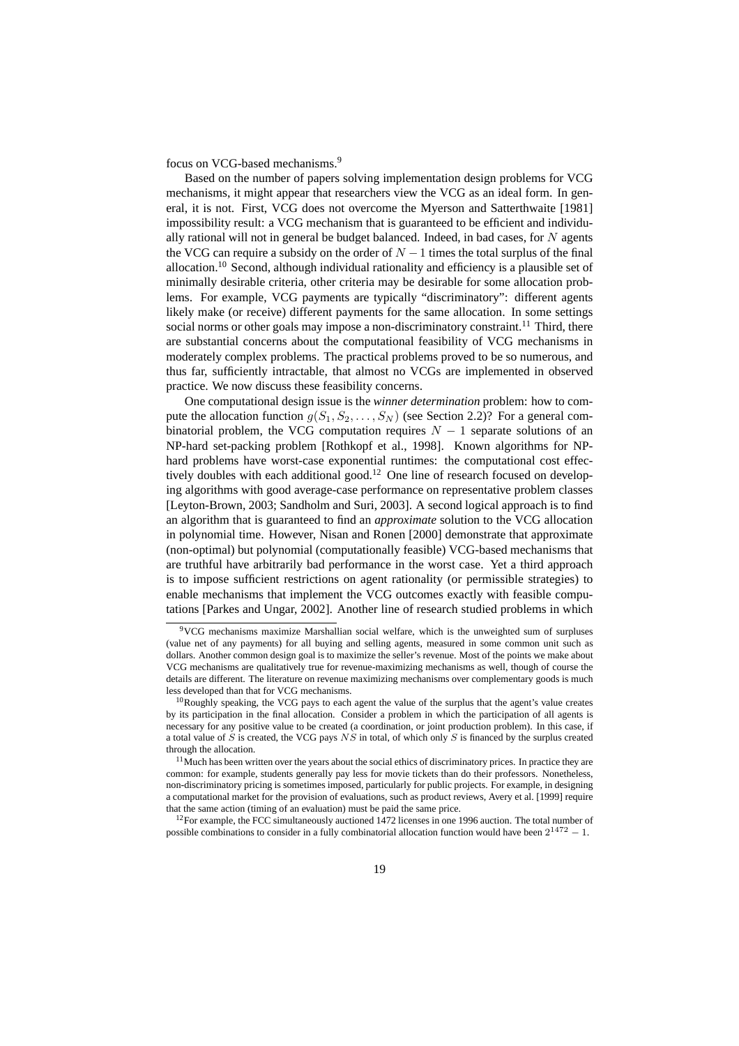focus on VCG-based mechanisms.<sup>9</sup>

Based on the number of papers solving implementation design problems for VCG mechanisms, it might appear that researchers view the VCG as an ideal form. In general, it is not. First, VCG does not overcome the Myerson and Satterthwaite [1981] impossibility result: a VCG mechanism that is guaranteed to be efficient and individually rational will not in general be budget balanced. Indeed, in bad cases, for  $N$  agents the VCG can require a subsidy on the order of  $N-1$  times the total surplus of the final allocation.<sup>10</sup> Second, although individual rationality and efficiency is a plausible set of minimally desirable criteria, other criteria may be desirable for some allocation problems. For example, VCG payments are typically "discriminatory": different agents likely make (or receive) different payments for the same allocation. In some settings social norms or other goals may impose a non-discriminatory constraint.<sup>11</sup> Third, there are substantial concerns about the computational feasibility of VCG mechanisms in moderately complex problems. The practical problems proved to be so numerous, and thus far, sufficiently intractable, that almost no VCGs are implemented in observed practice. We now discuss these feasibility concerns.

One computational design issue is the *winner determination* problem: how to compute the allocation function  $g(S_1, S_2, \ldots, S_N)$  (see Section 2.2)? For a general combinatorial problem, the VCG computation requires  $N - 1$  separate solutions of an NP-hard set-packing problem [Rothkopf et al., 1998]. Known algorithms for NPhard problems have worst-case exponential runtimes: the computational cost effectively doubles with each additional good.<sup>12</sup> One line of research focused on developing algorithms with good average-case performance on representative problem classes [Leyton-Brown, 2003; Sandholm and Suri, 2003]. A second logical approach is to find an algorithm that is guaranteed to find an *approximate* solution to the VCG allocation in polynomial time. However, Nisan and Ronen [2000] demonstrate that approximate (non-optimal) but polynomial (computationally feasible) VCG-based mechanisms that are truthful have arbitrarily bad performance in the worst case. Yet a third approach is to impose sufficient restrictions on agent rationality (or permissible strategies) to enable mechanisms that implement the VCG outcomes exactly with feasible computations [Parkes and Ungar, 2002]. Another line of research studied problems in which

<sup>9</sup>VCG mechanisms maximize Marshallian social welfare, which is the unweighted sum of surpluses (value net of any payments) for all buying and selling agents, measured in some common unit such as dollars. Another common design goal is to maximize the seller's revenue. Most of the points we make about VCG mechanisms are qualitatively true for revenue-maximizing mechanisms as well, though of course the details are different. The literature on revenue maximizing mechanisms over complementary goods is much less developed than that for VCG mechanisms.

<sup>&</sup>lt;sup>10</sup>Roughly speaking, the VCG pays to each agent the value of the surplus that the agent's value creates by its participation in the final allocation. Consider a problem in which the participation of all agents is necessary for any positive value to be created (a coordination, or joint production problem). In this case, if a total value of  $S$  is created, the VCG pays  $NS$  in total, of which only  $S$  is financed by the surplus created through the allocation.

 $11$  Much has been written over the years about the social ethics of discriminatory prices. In practice they are common: for example, students generally pay less for movie tickets than do their professors. Nonetheless, non-discriminatory pricing is sometimes imposed, particularly for public projects. For example, in designing a computational market for the provision of evaluations, such as product reviews, Avery et al. [1999] require that the same action (timing of an evaluation) must be paid the same price.

<sup>&</sup>lt;sup>12</sup>For example, the FCC simultaneously auctioned 1472 licenses in one 1996 auction. The total number of possible combinations to consider in a fully combinatorial allocation function would have been  $2^{1472} - 1$ .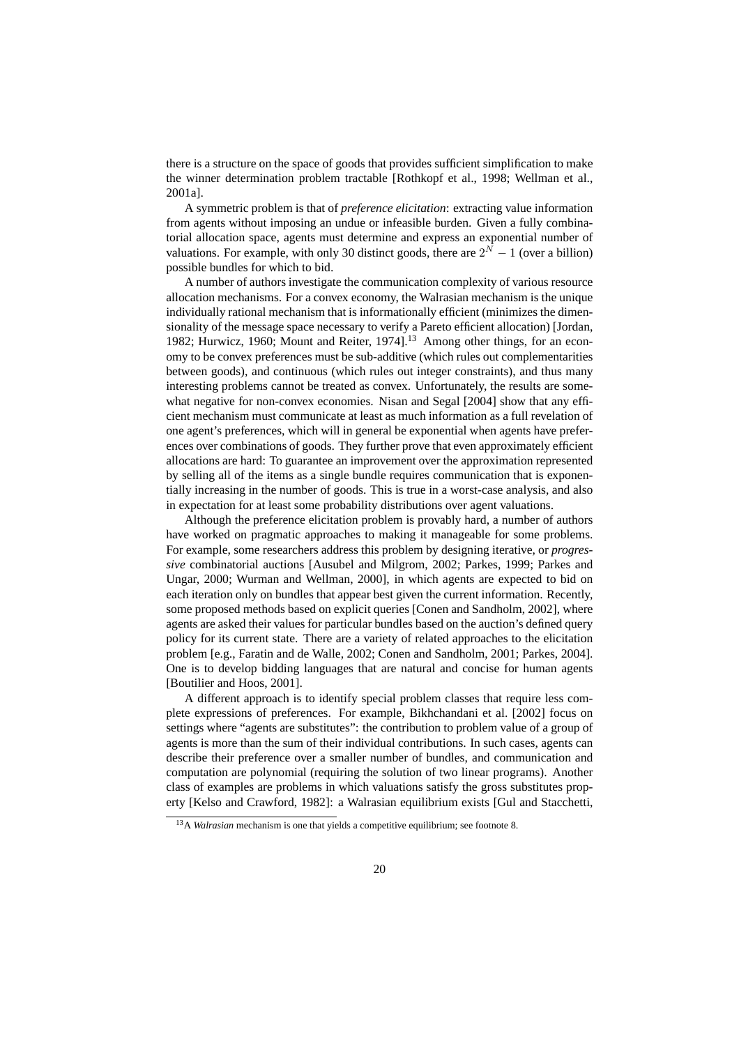there is a structure on the space of goods that provides sufficient simplification to make the winner determination problem tractable [Rothkopf et al., 1998; Wellman et al., 2001a].

A symmetric problem is that of *preference elicitation*: extracting value information from agents without imposing an undue or infeasible burden. Given a fully combinatorial allocation space, agents must determine and express an exponential number of valuations. For example, with only 30 distinct goods, there are  $2^N - 1$  (over a billion) possible bundles for which to bid.

A number of authors investigate the communication complexity of various resource allocation mechanisms. For a convex economy, the Walrasian mechanism is the unique individually rational mechanism that is informationally efficient (minimizes the dimensionality of the message space necessary to verify a Pareto efficient allocation) [Jordan, 1982; Hurwicz, 1960; Mount and Reiter, 1974 $1^{13}$  Among other things, for an economy to be convex preferences must be sub-additive (which rules out complementarities between goods), and continuous (which rules out integer constraints), and thus many interesting problems cannot be treated as convex. Unfortunately, the results are somewhat negative for non-convex economies. Nisan and Segal [2004] show that any efficient mechanism must communicate at least as much information as a full revelation of one agent's preferences, which will in general be exponential when agents have preferences over combinations of goods. They further prove that even approximately efficient allocations are hard: To guarantee an improvement over the approximation represented by selling all of the items as a single bundle requires communication that is exponentially increasing in the number of goods. This is true in a worst-case analysis, and also in expectation for at least some probability distributions over agent valuations.

Although the preference elicitation problem is provably hard, a number of authors have worked on pragmatic approaches to making it manageable for some problems. For example, some researchers address this problem by designing iterative, or *progressive* combinatorial auctions [Ausubel and Milgrom, 2002; Parkes, 1999; Parkes and Ungar, 2000; Wurman and Wellman, 2000], in which agents are expected to bid on each iteration only on bundles that appear best given the current information. Recently, some proposed methods based on explicit queries [Conen and Sandholm, 2002], where agents are asked their values for particular bundles based on the auction's defined query policy for its current state. There are a variety of related approaches to the elicitation problem [e.g., Faratin and de Walle, 2002; Conen and Sandholm, 2001; Parkes, 2004]. One is to develop bidding languages that are natural and concise for human agents [Boutilier and Hoos, 2001].

A different approach is to identify special problem classes that require less complete expressions of preferences. For example, Bikhchandani et al. [2002] focus on settings where "agents are substitutes": the contribution to problem value of a group of agents is more than the sum of their individual contributions. In such cases, agents can describe their preference over a smaller number of bundles, and communication and computation are polynomial (requiring the solution of two linear programs). Another class of examples are problems in which valuations satisfy the gross substitutes property [Kelso and Crawford, 1982]: a Walrasian equilibrium exists [Gul and Stacchetti,

<sup>&</sup>lt;sup>13</sup>A *Walrasian* mechanism is one that yields a competitive equilibrium; see footnote 8.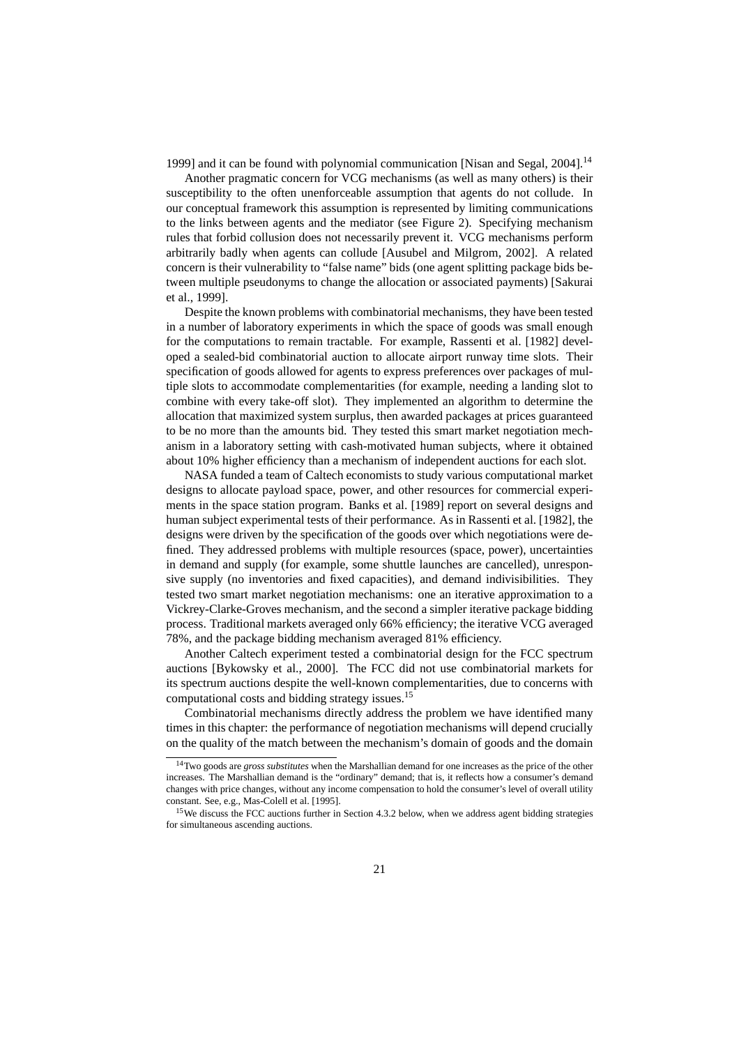1999] and it can be found with polynomial communication [Nisan and Segal, 2004].<sup>14</sup>

Another pragmatic concern for VCG mechanisms (as well as many others) is their susceptibility to the often unenforceable assumption that agents do not collude. In our conceptual framework this assumption is represented by limiting communications to the links between agents and the mediator (see Figure 2). Specifying mechanism rules that forbid collusion does not necessarily prevent it. VCG mechanisms perform arbitrarily badly when agents can collude [Ausubel and Milgrom, 2002]. A related concern is their vulnerability to "false name" bids (one agent splitting package bids between multiple pseudonyms to change the allocation or associated payments) [Sakurai et al., 1999].

Despite the known problems with combinatorial mechanisms, they have been tested in a number of laboratory experiments in which the space of goods was small enough for the computations to remain tractable. For example, Rassenti et al. [1982] developed a sealed-bid combinatorial auction to allocate airport runway time slots. Their specification of goods allowed for agents to express preferences over packages of multiple slots to accommodate complementarities (for example, needing a landing slot to combine with every take-off slot). They implemented an algorithm to determine the allocation that maximized system surplus, then awarded packages at prices guaranteed to be no more than the amounts bid. They tested this smart market negotiation mechanism in a laboratory setting with cash-motivated human subjects, where it obtained about 10% higher efficiency than a mechanism of independent auctions for each slot.

NASA funded a team of Caltech economists to study various computational market designs to allocate payload space, power, and other resources for commercial experiments in the space station program. Banks et al. [1989] report on several designs and human subject experimental tests of their performance. As in Rassenti et al. [1982], the designs were driven by the specification of the goods over which negotiations were defined. They addressed problems with multiple resources (space, power), uncertainties in demand and supply (for example, some shuttle launches are cancelled), unresponsive supply (no inventories and fixed capacities), and demand indivisibilities. They tested two smart market negotiation mechanisms: one an iterative approximation to a Vickrey-Clarke-Groves mechanism, and the second a simpler iterative package bidding process. Traditional markets averaged only 66% efficiency; the iterative VCG averaged 78%, and the package bidding mechanism averaged 81% efficiency.

Another Caltech experiment tested a combinatorial design for the FCC spectrum auctions [Bykowsky et al., 2000]. The FCC did not use combinatorial markets for its spectrum auctions despite the well-known complementarities, due to concerns with computational costs and bidding strategy issues.<sup>15</sup>

Combinatorial mechanisms directly address the problem we have identified many times in this chapter: the performance of negotiation mechanisms will depend crucially on the quality of the match between the mechanism's domain of goods and the domain

<sup>14</sup>Two goods are *gross substitutes* when the Marshallian demand for one increases as the price of the other increases. The Marshallian demand is the "ordinary" demand; that is, it reflects how a consumer's demand changes with price changes, without any income compensation to hold the consumer's level of overall utility constant. See, e.g., Mas-Colell et al. [1995].

<sup>&</sup>lt;sup>15</sup>We discuss the FCC auctions further in Section 4.3.2 below, when we address agent bidding strategies for simultaneous ascending auctions.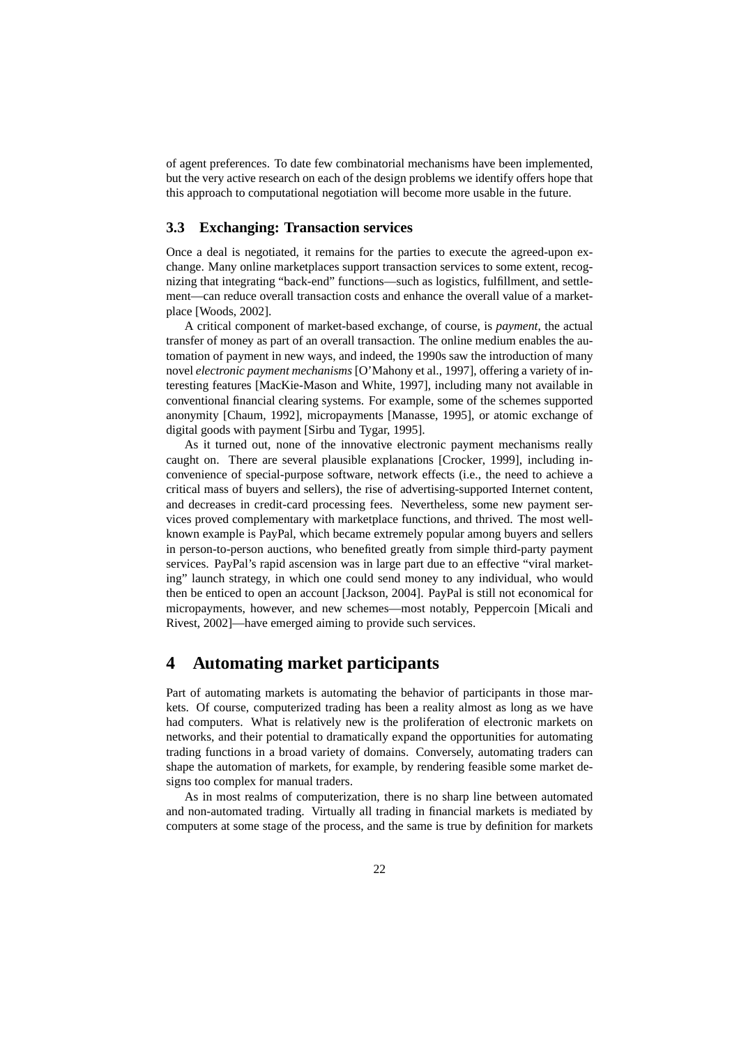of agent preferences. To date few combinatorial mechanisms have been implemented, but the very active research on each of the design problems we identify offers hope that this approach to computational negotiation will become more usable in the future.

#### **3.3 Exchanging: Transaction services**

Once a deal is negotiated, it remains for the parties to execute the agreed-upon exchange. Many online marketplaces support transaction services to some extent, recognizing that integrating "back-end" functions—such as logistics, fulfillment, and settlement—can reduce overall transaction costs and enhance the overall value of a marketplace [Woods, 2002].

A critical component of market-based exchange, of course, is *payment*, the actual transfer of money as part of an overall transaction. The online medium enables the automation of payment in new ways, and indeed, the 1990s saw the introduction of many novel *electronic payment mechanisms* [O'Mahony et al., 1997], offering a variety of interesting features [MacKie-Mason and White, 1997], including many not available in conventional financial clearing systems. For example, some of the schemes supported anonymity [Chaum, 1992], micropayments [Manasse, 1995], or atomic exchange of digital goods with payment [Sirbu and Tygar, 1995].

As it turned out, none of the innovative electronic payment mechanisms really caught on. There are several plausible explanations [Crocker, 1999], including inconvenience of special-purpose software, network effects (i.e., the need to achieve a critical mass of buyers and sellers), the rise of advertising-supported Internet content, and decreases in credit-card processing fees. Nevertheless, some new payment services proved complementary with marketplace functions, and thrived. The most wellknown example is PayPal, which became extremely popular among buyers and sellers in person-to-person auctions, who benefited greatly from simple third-party payment services. PayPal's rapid ascension was in large part due to an effective "viral marketing" launch strategy, in which one could send money to any individual, who would then be enticed to open an account [Jackson, 2004]. PayPal is still not economical for micropayments, however, and new schemes—most notably, Peppercoin [Micali and Rivest, 2002]—have emerged aiming to provide such services.

## **4 Automating market participants**

Part of automating markets is automating the behavior of participants in those markets. Of course, computerized trading has been a reality almost as long as we have had computers. What is relatively new is the proliferation of electronic markets on networks, and their potential to dramatically expand the opportunities for automating trading functions in a broad variety of domains. Conversely, automating traders can shape the automation of markets, for example, by rendering feasible some market designs too complex for manual traders.

As in most realms of computerization, there is no sharp line between automated and non-automated trading. Virtually all trading in financial markets is mediated by computers at some stage of the process, and the same is true by definition for markets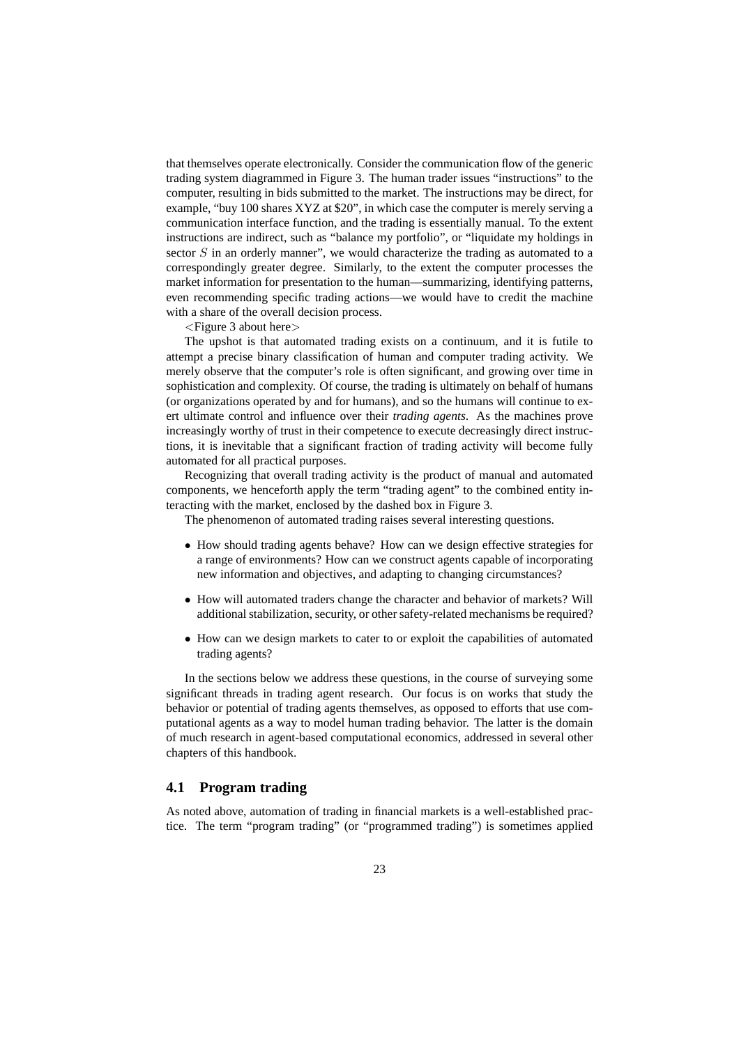that themselves operate electronically. Consider the communication flow of the generic trading system diagrammed in Figure 3. The human trader issues "instructions" to the computer, resulting in bids submitted to the market. The instructions may be direct, for example, "buy 100 shares XYZ at \$20", in which case the computer is merely serving a communication interface function, and the trading is essentially manual. To the extent instructions are indirect, such as "balance my portfolio", or "liquidate my holdings in sector  $S$  in an orderly manner", we would characterize the trading as automated to a correspondingly greater degree. Similarly, to the extent the computer processes the market information for presentation to the human—summarizing, identifying patterns, even recommending specific trading actions—we would have to credit the machine with a share of the overall decision process.

<Figure 3 about here>

The upshot is that automated trading exists on a continuum, and it is futile to attempt a precise binary classification of human and computer trading activity. We merely observe that the computer's role is often significant, and growing over time in sophistication and complexity. Of course, the trading is ultimately on behalf of humans (or organizations operated by and for humans), and so the humans will continue to exert ultimate control and influence over their *trading agents*. As the machines prove increasingly worthy of trust in their competence to execute decreasingly direct instructions, it is inevitable that a significant fraction of trading activity will become fully automated for all practical purposes.

Recognizing that overall trading activity is the product of manual and automated components, we henceforth apply the term "trading agent" to the combined entity interacting with the market, enclosed by the dashed box in Figure 3.

The phenomenon of automated trading raises several interesting questions.

- How should trading agents behave? How can we design effective strategies for a range of environments? How can we construct agents capable of incorporating new information and objectives, and adapting to changing circumstances?
- How will automated traders change the character and behavior of markets? Will additional stabilization, security, or other safety-related mechanisms be required?
- How can we design markets to cater to or exploit the capabilities of automated trading agents?

In the sections below we address these questions, in the course of surveying some significant threads in trading agent research. Our focus is on works that study the behavior or potential of trading agents themselves, as opposed to efforts that use computational agents as a way to model human trading behavior. The latter is the domain of much research in agent-based computational economics, addressed in several other chapters of this handbook.

#### **4.1 Program trading**

As noted above, automation of trading in financial markets is a well-established practice. The term "program trading" (or "programmed trading") is sometimes applied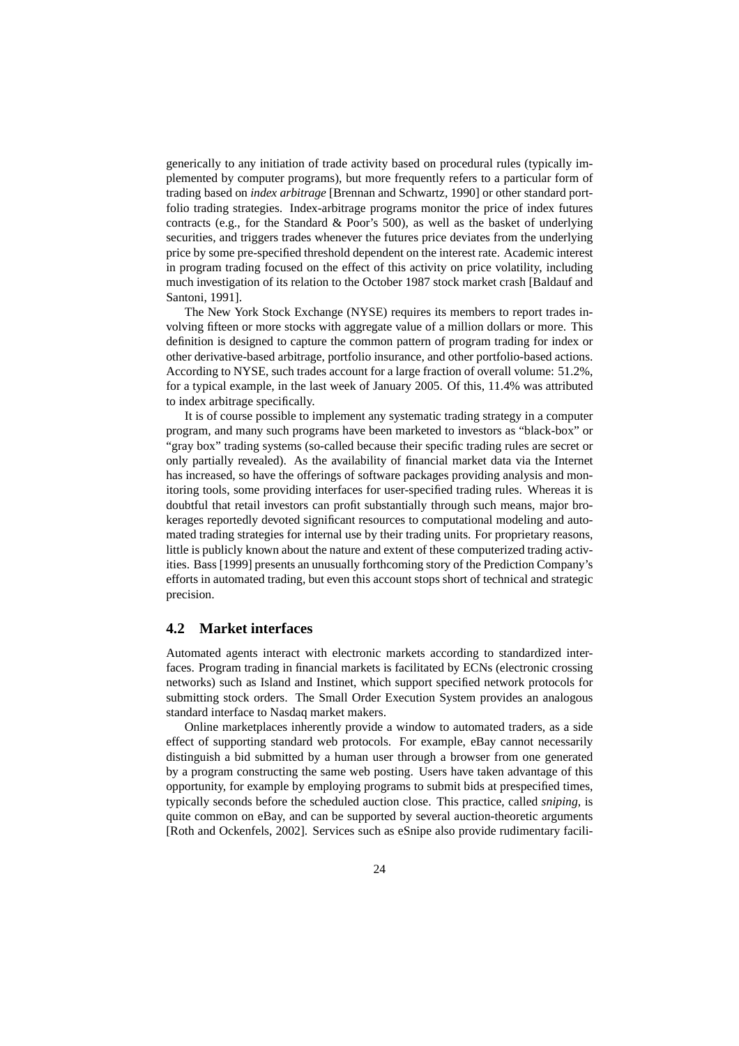generically to any initiation of trade activity based on procedural rules (typically implemented by computer programs), but more frequently refers to a particular form of trading based on *index arbitrage* [Brennan and Schwartz, 1990] or other standard portfolio trading strategies. Index-arbitrage programs monitor the price of index futures contracts (e.g., for the Standard & Poor's 500), as well as the basket of underlying securities, and triggers trades whenever the futures price deviates from the underlying price by some pre-specified threshold dependent on the interest rate. Academic interest in program trading focused on the effect of this activity on price volatility, including much investigation of its relation to the October 1987 stock market crash [Baldauf and Santoni, 1991].

The New York Stock Exchange (NYSE) requires its members to report trades involving fifteen or more stocks with aggregate value of a million dollars or more. This definition is designed to capture the common pattern of program trading for index or other derivative-based arbitrage, portfolio insurance, and other portfolio-based actions. According to NYSE, such trades account for a large fraction of overall volume: 51.2%, for a typical example, in the last week of January 2005. Of this, 11.4% was attributed to index arbitrage specifically.

It is of course possible to implement any systematic trading strategy in a computer program, and many such programs have been marketed to investors as "black-box" or "gray box" trading systems (so-called because their specific trading rules are secret or only partially revealed). As the availability of financial market data via the Internet has increased, so have the offerings of software packages providing analysis and monitoring tools, some providing interfaces for user-specified trading rules. Whereas it is doubtful that retail investors can profit substantially through such means, major brokerages reportedly devoted significant resources to computational modeling and automated trading strategies for internal use by their trading units. For proprietary reasons, little is publicly known about the nature and extent of these computerized trading activities. Bass [1999] presents an unusually forthcoming story of the Prediction Company's efforts in automated trading, but even this account stops short of technical and strategic precision.

#### **4.2 Market interfaces**

Automated agents interact with electronic markets according to standardized interfaces. Program trading in financial markets is facilitated by ECNs (electronic crossing networks) such as Island and Instinet, which support specified network protocols for submitting stock orders. The Small Order Execution System provides an analogous standard interface to Nasdaq market makers.

Online marketplaces inherently provide a window to automated traders, as a side effect of supporting standard web protocols. For example, eBay cannot necessarily distinguish a bid submitted by a human user through a browser from one generated by a program constructing the same web posting. Users have taken advantage of this opportunity, for example by employing programs to submit bids at prespecified times, typically seconds before the scheduled auction close. This practice, called *sniping*, is quite common on eBay, and can be supported by several auction-theoretic arguments [Roth and Ockenfels, 2002]. Services such as eSnipe also provide rudimentary facili-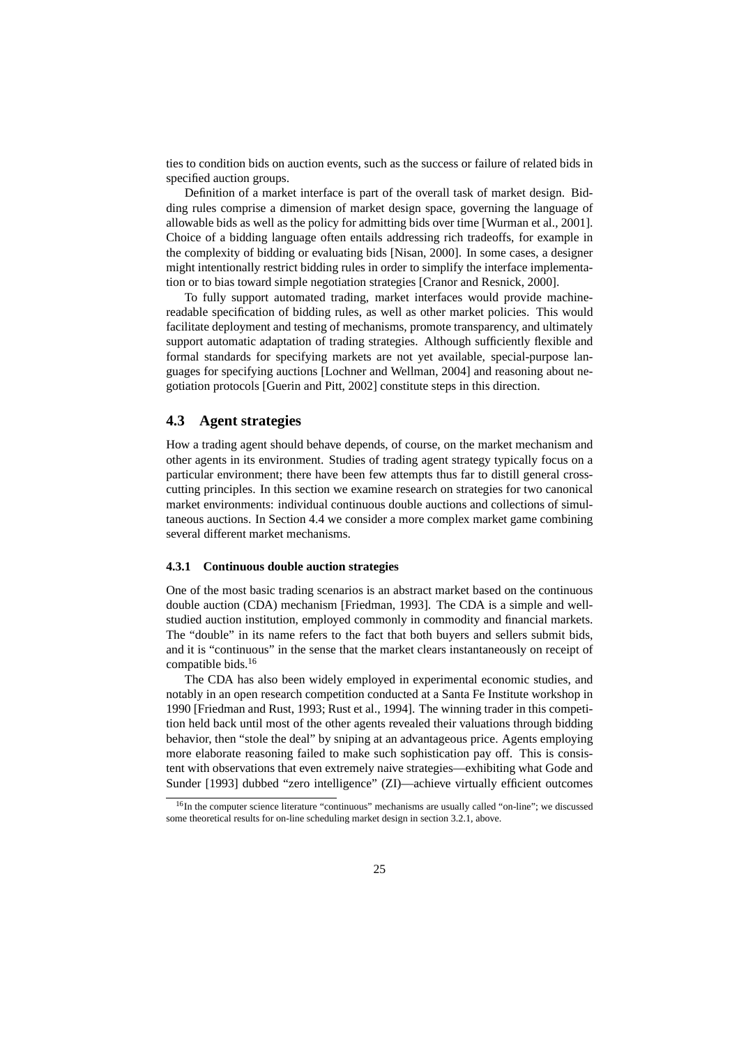ties to condition bids on auction events, such as the success or failure of related bids in specified auction groups.

Definition of a market interface is part of the overall task of market design. Bidding rules comprise a dimension of market design space, governing the language of allowable bids as well as the policy for admitting bids over time [Wurman et al., 2001]. Choice of a bidding language often entails addressing rich tradeoffs, for example in the complexity of bidding or evaluating bids [Nisan, 2000]. In some cases, a designer might intentionally restrict bidding rules in order to simplify the interface implementation or to bias toward simple negotiation strategies [Cranor and Resnick, 2000].

To fully support automated trading, market interfaces would provide machinereadable specification of bidding rules, as well as other market policies. This would facilitate deployment and testing of mechanisms, promote transparency, and ultimately support automatic adaptation of trading strategies. Although sufficiently flexible and formal standards for specifying markets are not yet available, special-purpose languages for specifying auctions [Lochner and Wellman, 2004] and reasoning about negotiation protocols [Guerin and Pitt, 2002] constitute steps in this direction.

#### **4.3 Agent strategies**

How a trading agent should behave depends, of course, on the market mechanism and other agents in its environment. Studies of trading agent strategy typically focus on a particular environment; there have been few attempts thus far to distill general crosscutting principles. In this section we examine research on strategies for two canonical market environments: individual continuous double auctions and collections of simultaneous auctions. In Section 4.4 we consider a more complex market game combining several different market mechanisms.

#### **4.3.1 Continuous double auction strategies**

One of the most basic trading scenarios is an abstract market based on the continuous double auction (CDA) mechanism [Friedman, 1993]. The CDA is a simple and wellstudied auction institution, employed commonly in commodity and financial markets. The "double" in its name refers to the fact that both buyers and sellers submit bids, and it is "continuous" in the sense that the market clears instantaneously on receipt of compatible bids.<sup>16</sup>

The CDA has also been widely employed in experimental economic studies, and notably in an open research competition conducted at a Santa Fe Institute workshop in 1990 [Friedman and Rust, 1993; Rust et al., 1994]. The winning trader in this competition held back until most of the other agents revealed their valuations through bidding behavior, then "stole the deal" by sniping at an advantageous price. Agents employing more elaborate reasoning failed to make such sophistication pay off. This is consistent with observations that even extremely naive strategies—exhibiting what Gode and Sunder [1993] dubbed "zero intelligence" (ZI)—achieve virtually efficient outcomes

<sup>&</sup>lt;sup>16</sup>In the computer science literature "continuous" mechanisms are usually called "on-line"; we discussed some theoretical results for on-line scheduling market design in section 3.2.1, above.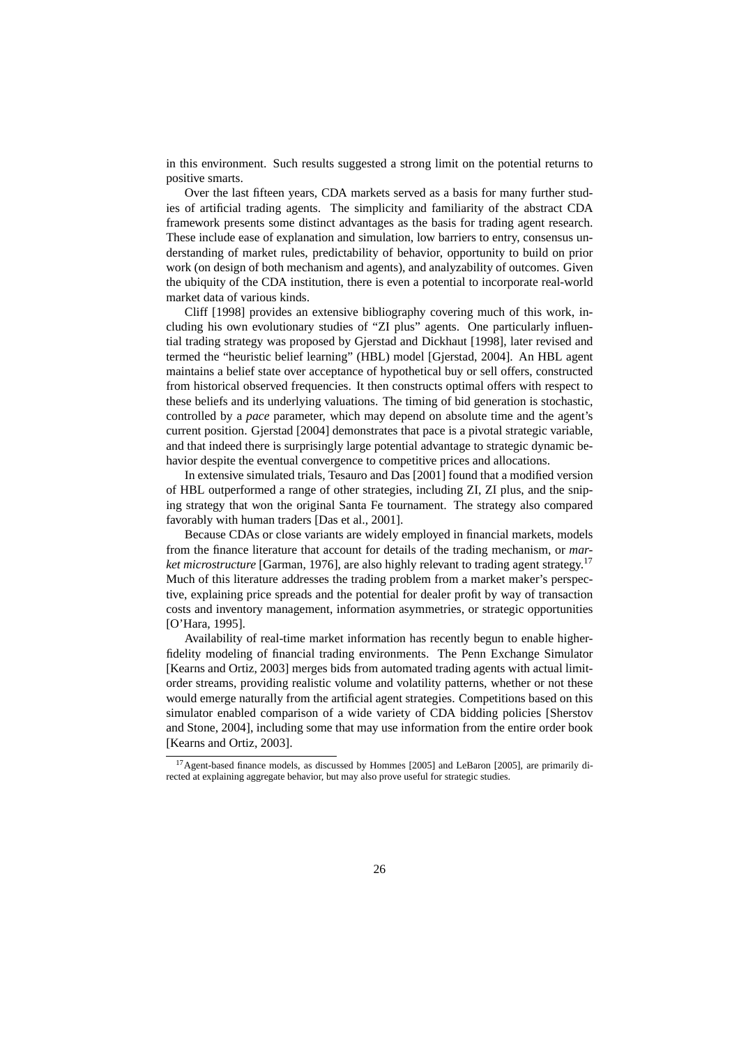in this environment. Such results suggested a strong limit on the potential returns to positive smarts.

Over the last fifteen years, CDA markets served as a basis for many further studies of artificial trading agents. The simplicity and familiarity of the abstract CDA framework presents some distinct advantages as the basis for trading agent research. These include ease of explanation and simulation, low barriers to entry, consensus understanding of market rules, predictability of behavior, opportunity to build on prior work (on design of both mechanism and agents), and analyzability of outcomes. Given the ubiquity of the CDA institution, there is even a potential to incorporate real-world market data of various kinds.

Cliff [1998] provides an extensive bibliography covering much of this work, including his own evolutionary studies of "ZI plus" agents. One particularly influential trading strategy was proposed by Gjerstad and Dickhaut [1998], later revised and termed the "heuristic belief learning" (HBL) model [Gjerstad, 2004]. An HBL agent maintains a belief state over acceptance of hypothetical buy or sell offers, constructed from historical observed frequencies. It then constructs optimal offers with respect to these beliefs and its underlying valuations. The timing of bid generation is stochastic, controlled by a *pace* parameter, which may depend on absolute time and the agent's current position. Gjerstad [2004] demonstrates that pace is a pivotal strategic variable, and that indeed there is surprisingly large potential advantage to strategic dynamic behavior despite the eventual convergence to competitive prices and allocations.

In extensive simulated trials, Tesauro and Das [2001] found that a modified version of HBL outperformed a range of other strategies, including ZI, ZI plus, and the sniping strategy that won the original Santa Fe tournament. The strategy also compared favorably with human traders [Das et al., 2001].

Because CDAs or close variants are widely employed in financial markets, models from the finance literature that account for details of the trading mechanism, or *market microstructure* [Garman, 1976], are also highly relevant to trading agent strategy.<sup>17</sup> Much of this literature addresses the trading problem from a market maker's perspective, explaining price spreads and the potential for dealer profit by way of transaction costs and inventory management, information asymmetries, or strategic opportunities [O'Hara, 1995].

Availability of real-time market information has recently begun to enable higherfidelity modeling of financial trading environments. The Penn Exchange Simulator [Kearns and Ortiz, 2003] merges bids from automated trading agents with actual limitorder streams, providing realistic volume and volatility patterns, whether or not these would emerge naturally from the artificial agent strategies. Competitions based on this simulator enabled comparison of a wide variety of CDA bidding policies [Sherstov and Stone, 2004], including some that may use information from the entire order book [Kearns and Ortiz, 2003].

<sup>&</sup>lt;sup>17</sup>Agent-based finance models, as discussed by Hommes [2005] and LeBaron [2005], are primarily directed at explaining aggregate behavior, but may also prove useful for strategic studies.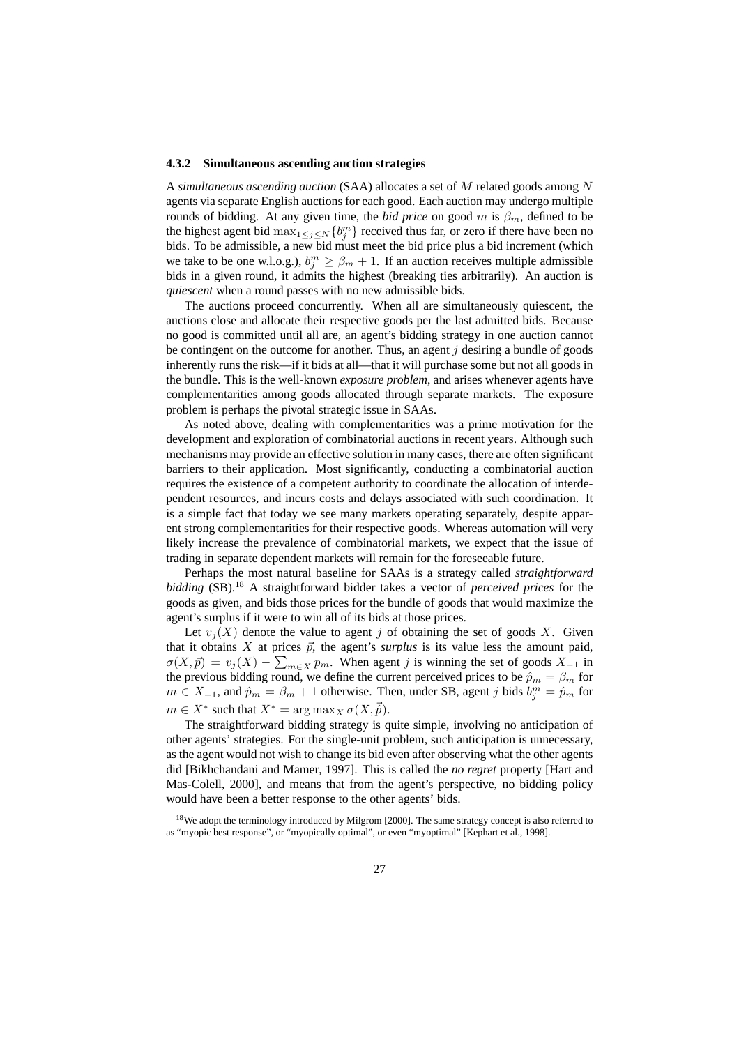#### **4.3.2 Simultaneous ascending auction strategies**

A *simultaneous ascending auction* (SAA) allocates a set of M related goods among N agents via separate English auctions for each good. Each auction may undergo multiple rounds of bidding. At any given time, the *bid price* on good m is  $\beta_m$ , defined to be the highest agent bid  $\max_{1 \leq j \leq N} \{b_j^m\}$  received thus far, or zero if there have been no bids. To be admissible, a new bid must meet the bid price plus a bid increment (which we take to be one w.l.o.g.),  $b_j^m \geq \beta_m + 1$ . If an auction receives multiple admissible bids in a given round, it admits the highest (breaking ties arbitrarily). An auction is *quiescent* when a round passes with no new admissible bids.

The auctions proceed concurrently. When all are simultaneously quiescent, the auctions close and allocate their respective goods per the last admitted bids. Because no good is committed until all are, an agent's bidding strategy in one auction cannot be contingent on the outcome for another. Thus, an agent  $j$  desiring a bundle of goods inherently runs the risk—if it bids at all—that it will purchase some but not all goods in the bundle. This is the well-known *exposure problem*, and arises whenever agents have complementarities among goods allocated through separate markets. The exposure problem is perhaps the pivotal strategic issue in SAAs.

As noted above, dealing with complementarities was a prime motivation for the development and exploration of combinatorial auctions in recent years. Although such mechanisms may provide an effective solution in many cases, there are often significant barriers to their application. Most significantly, conducting a combinatorial auction requires the existence of a competent authority to coordinate the allocation of interdependent resources, and incurs costs and delays associated with such coordination. It is a simple fact that today we see many markets operating separately, despite apparent strong complementarities for their respective goods. Whereas automation will very likely increase the prevalence of combinatorial markets, we expect that the issue of trading in separate dependent markets will remain for the foreseeable future.

Perhaps the most natural baseline for SAAs is a strategy called *straightforward bidding* (SB).<sup>18</sup> A straightforward bidder takes a vector of *perceived prices* for the goods as given, and bids those prices for the bundle of goods that would maximize the agent's surplus if it were to win all of its bids at those prices.

Let  $v_i(X)$  denote the value to agent j of obtaining the set of goods X. Given that it obtains  $X$  at prices  $\vec{p}$ , the agent's *surplus* is its value less the amount paid,  $\sigma(X, \vec{p}) = v_j(X) - \sum_{m \in X} p_m$ . When agent j is winning the set of goods  $X_{-1}$  in the previous bidding round, we define the current perceived prices to be  $\hat{p}_m = \beta_m$  for  $m \in X_{-1}$ , and  $\hat{p}_m = \beta_m + 1$  otherwise. Then, under SB, agent j bids  $b_j^m = \hat{p}_m$  for  $m \in X^*$  such that  $X^* = \arg \max_X \sigma(X, \vec{\hat{p}}).$ 

The straightforward bidding strategy is quite simple, involving no anticipation of other agents' strategies. For the single-unit problem, such anticipation is unnecessary, as the agent would not wish to change its bid even after observing what the other agents did [Bikhchandani and Mamer, 1997]. This is called the *no regret* property [Hart and Mas-Colell, 2000], and means that from the agent's perspective, no bidding policy would have been a better response to the other agents' bids.

<sup>&</sup>lt;sup>18</sup>We adopt the terminology introduced by Milgrom [2000]. The same strategy concept is also referred to as "myopic best response", or "myopically optimal", or even "myoptimal" [Kephart et al., 1998].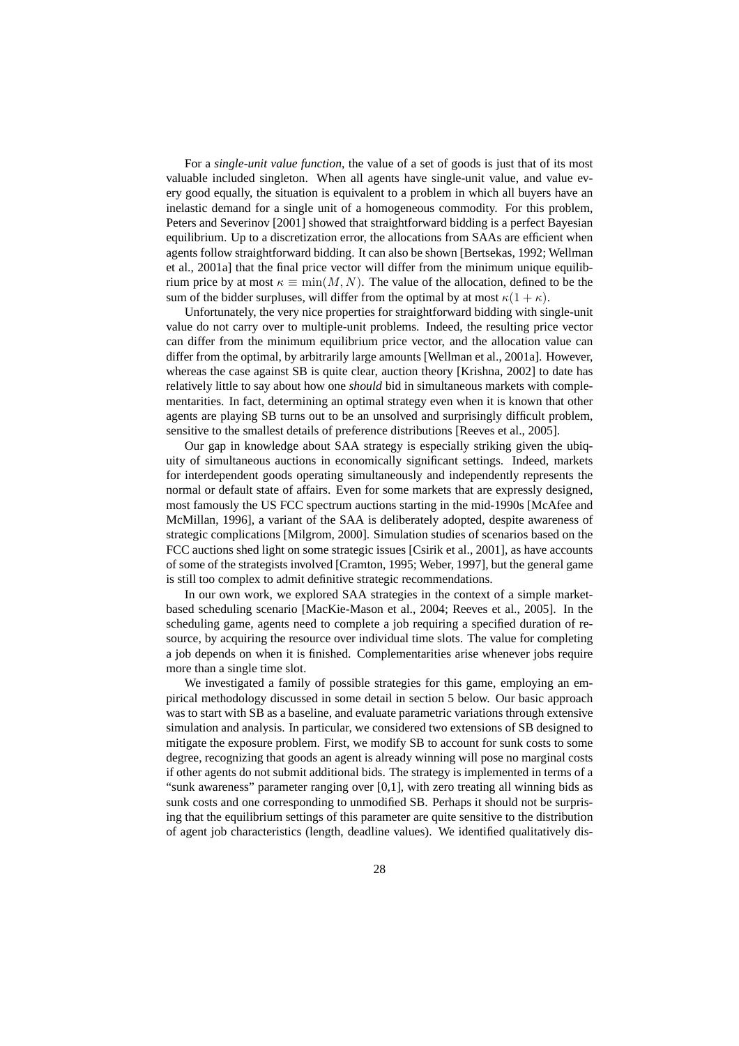For a *single-unit value function*, the value of a set of goods is just that of its most valuable included singleton. When all agents have single-unit value, and value every good equally, the situation is equivalent to a problem in which all buyers have an inelastic demand for a single unit of a homogeneous commodity. For this problem, Peters and Severinov [2001] showed that straightforward bidding is a perfect Bayesian equilibrium. Up to a discretization error, the allocations from SAAs are efficient when agents follow straightforward bidding. It can also be shown [Bertsekas, 1992; Wellman et al., 2001a] that the final price vector will differ from the minimum unique equilibrium price by at most  $\kappa \equiv \min(M, N)$ . The value of the allocation, defined to be the sum of the bidder surpluses, will differ from the optimal by at most  $\kappa(1 + \kappa)$ .

Unfortunately, the very nice properties for straightforward bidding with single-unit value do not carry over to multiple-unit problems. Indeed, the resulting price vector can differ from the minimum equilibrium price vector, and the allocation value can differ from the optimal, by arbitrarily large amounts [Wellman et al., 2001a]. However, whereas the case against SB is quite clear, auction theory [Krishna, 2002] to date has relatively little to say about how one *should* bid in simultaneous markets with complementarities. In fact, determining an optimal strategy even when it is known that other agents are playing SB turns out to be an unsolved and surprisingly difficult problem, sensitive to the smallest details of preference distributions [Reeves et al., 2005].

Our gap in knowledge about SAA strategy is especially striking given the ubiquity of simultaneous auctions in economically significant settings. Indeed, markets for interdependent goods operating simultaneously and independently represents the normal or default state of affairs. Even for some markets that are expressly designed, most famously the US FCC spectrum auctions starting in the mid-1990s [McAfee and McMillan, 1996], a variant of the SAA is deliberately adopted, despite awareness of strategic complications [Milgrom, 2000]. Simulation studies of scenarios based on the FCC auctions shed light on some strategic issues [Csirik et al., 2001], as have accounts of some of the strategists involved [Cramton, 1995; Weber, 1997], but the general game is still too complex to admit definitive strategic recommendations.

In our own work, we explored SAA strategies in the context of a simple marketbased scheduling scenario [MacKie-Mason et al., 2004; Reeves et al., 2005]. In the scheduling game, agents need to complete a job requiring a specified duration of resource, by acquiring the resource over individual time slots. The value for completing a job depends on when it is finished. Complementarities arise whenever jobs require more than a single time slot.

We investigated a family of possible strategies for this game, employing an empirical methodology discussed in some detail in section 5 below. Our basic approach was to start with SB as a baseline, and evaluate parametric variations through extensive simulation and analysis. In particular, we considered two extensions of SB designed to mitigate the exposure problem. First, we modify SB to account for sunk costs to some degree, recognizing that goods an agent is already winning will pose no marginal costs if other agents do not submit additional bids. The strategy is implemented in terms of a "sunk awareness" parameter ranging over [0,1], with zero treating all winning bids as sunk costs and one corresponding to unmodified SB. Perhaps it should not be surprising that the equilibrium settings of this parameter are quite sensitive to the distribution of agent job characteristics (length, deadline values). We identified qualitatively dis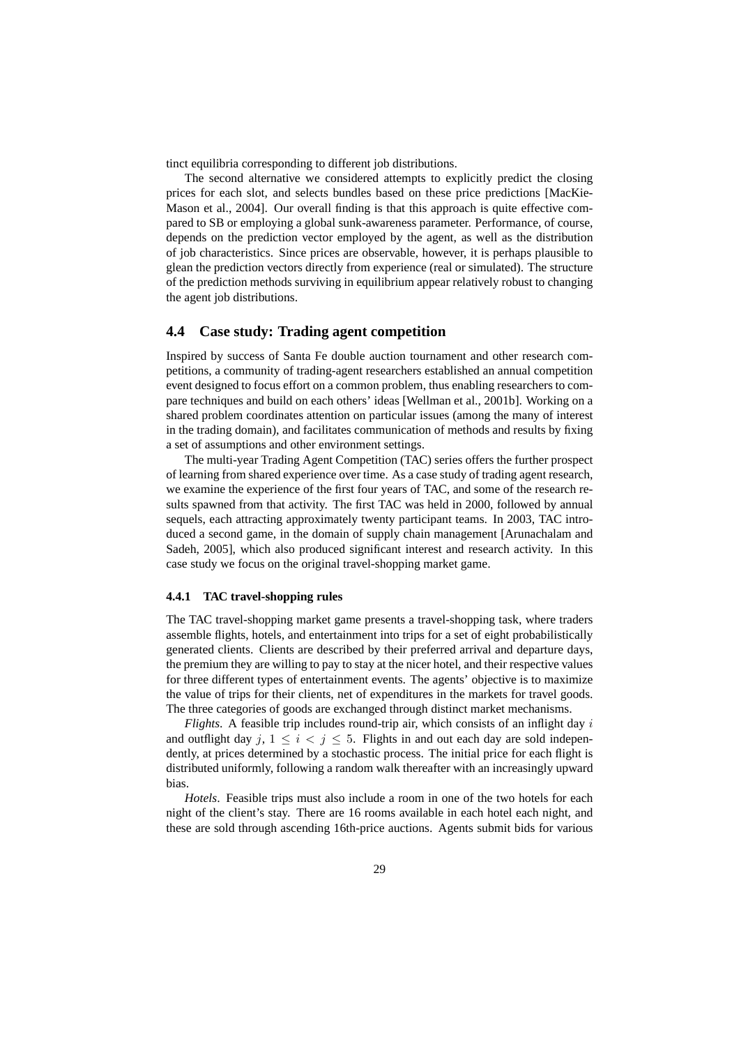tinct equilibria corresponding to different job distributions.

The second alternative we considered attempts to explicitly predict the closing prices for each slot, and selects bundles based on these price predictions [MacKie-Mason et al., 2004]. Our overall finding is that this approach is quite effective compared to SB or employing a global sunk-awareness parameter. Performance, of course, depends on the prediction vector employed by the agent, as well as the distribution of job characteristics. Since prices are observable, however, it is perhaps plausible to glean the prediction vectors directly from experience (real or simulated). The structure of the prediction methods surviving in equilibrium appear relatively robust to changing the agent job distributions.

### **4.4 Case study: Trading agent competition**

Inspired by success of Santa Fe double auction tournament and other research competitions, a community of trading-agent researchers established an annual competition event designed to focus effort on a common problem, thus enabling researchers to compare techniques and build on each others' ideas [Wellman et al., 2001b]. Working on a shared problem coordinates attention on particular issues (among the many of interest in the trading domain), and facilitates communication of methods and results by fixing a set of assumptions and other environment settings.

The multi-year Trading Agent Competition (TAC) series offers the further prospect of learning from shared experience over time. As a case study of trading agent research, we examine the experience of the first four years of TAC, and some of the research results spawned from that activity. The first TAC was held in 2000, followed by annual sequels, each attracting approximately twenty participant teams. In 2003, TAC introduced a second game, in the domain of supply chain management [Arunachalam and Sadeh, 2005], which also produced significant interest and research activity. In this case study we focus on the original travel-shopping market game.

#### **4.4.1 TAC travel-shopping rules**

The TAC travel-shopping market game presents a travel-shopping task, where traders assemble flights, hotels, and entertainment into trips for a set of eight probabilistically generated clients. Clients are described by their preferred arrival and departure days, the premium they are willing to pay to stay at the nicer hotel, and their respective values for three different types of entertainment events. The agents' objective is to maximize the value of trips for their clients, net of expenditures in the markets for travel goods. The three categories of goods are exchanged through distinct market mechanisms.

*Flights*. A feasible trip includes round-trip air, which consists of an inflight day i and outflight day j,  $1 \leq i < j \leq 5$ . Flights in and out each day are sold independently, at prices determined by a stochastic process. The initial price for each flight is distributed uniformly, following a random walk thereafter with an increasingly upward bias.

*Hotels*. Feasible trips must also include a room in one of the two hotels for each night of the client's stay. There are 16 rooms available in each hotel each night, and these are sold through ascending 16th-price auctions. Agents submit bids for various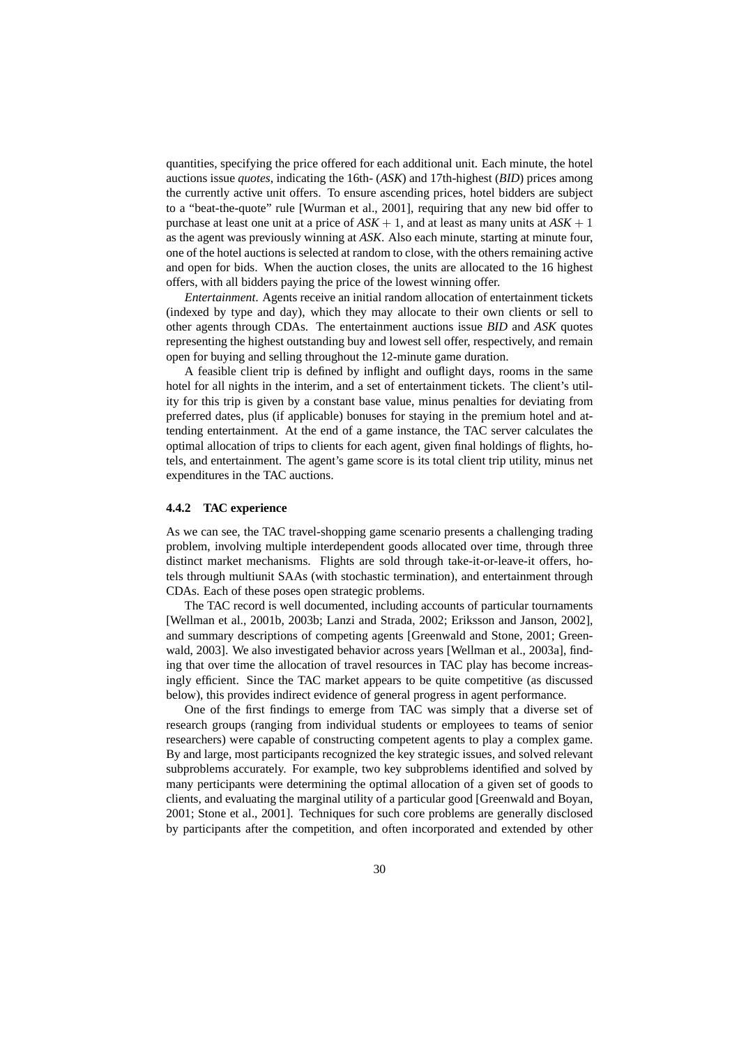quantities, specifying the price offered for each additional unit. Each minute, the hotel auctions issue *quotes*, indicating the 16th- (*ASK*) and 17th-highest (*BID*) prices among the currently active unit offers. To ensure ascending prices, hotel bidders are subject to a "beat-the-quote" rule [Wurman et al., 2001], requiring that any new bid offer to purchase at least one unit at a price of  $ASK + 1$ , and at least as many units at  $ASK + 1$ as the agent was previously winning at *ASK*. Also each minute, starting at minute four, one of the hotel auctions is selected at random to close, with the others remaining active and open for bids. When the auction closes, the units are allocated to the 16 highest offers, with all bidders paying the price of the lowest winning offer.

*Entertainment*. Agents receive an initial random allocation of entertainment tickets (indexed by type and day), which they may allocate to their own clients or sell to other agents through CDAs. The entertainment auctions issue *BID* and *ASK* quotes representing the highest outstanding buy and lowest sell offer, respectively, and remain open for buying and selling throughout the 12-minute game duration.

A feasible client trip is defined by inflight and ouflight days, rooms in the same hotel for all nights in the interim, and a set of entertainment tickets. The client's utility for this trip is given by a constant base value, minus penalties for deviating from preferred dates, plus (if applicable) bonuses for staying in the premium hotel and attending entertainment. At the end of a game instance, the TAC server calculates the optimal allocation of trips to clients for each agent, given final holdings of flights, hotels, and entertainment. The agent's game score is its total client trip utility, minus net expenditures in the TAC auctions.

#### **4.4.2 TAC experience**

As we can see, the TAC travel-shopping game scenario presents a challenging trading problem, involving multiple interdependent goods allocated over time, through three distinct market mechanisms. Flights are sold through take-it-or-leave-it offers, hotels through multiunit SAAs (with stochastic termination), and entertainment through CDAs. Each of these poses open strategic problems.

The TAC record is well documented, including accounts of particular tournaments [Wellman et al., 2001b, 2003b; Lanzi and Strada, 2002; Eriksson and Janson, 2002], and summary descriptions of competing agents [Greenwald and Stone, 2001; Greenwald, 2003]. We also investigated behavior across years [Wellman et al., 2003a], finding that over time the allocation of travel resources in TAC play has become increasingly efficient. Since the TAC market appears to be quite competitive (as discussed below), this provides indirect evidence of general progress in agent performance.

One of the first findings to emerge from TAC was simply that a diverse set of research groups (ranging from individual students or employees to teams of senior researchers) were capable of constructing competent agents to play a complex game. By and large, most participants recognized the key strategic issues, and solved relevant subproblems accurately. For example, two key subproblems identified and solved by many perticipants were determining the optimal allocation of a given set of goods to clients, and evaluating the marginal utility of a particular good [Greenwald and Boyan, 2001; Stone et al., 2001]. Techniques for such core problems are generally disclosed by participants after the competition, and often incorporated and extended by other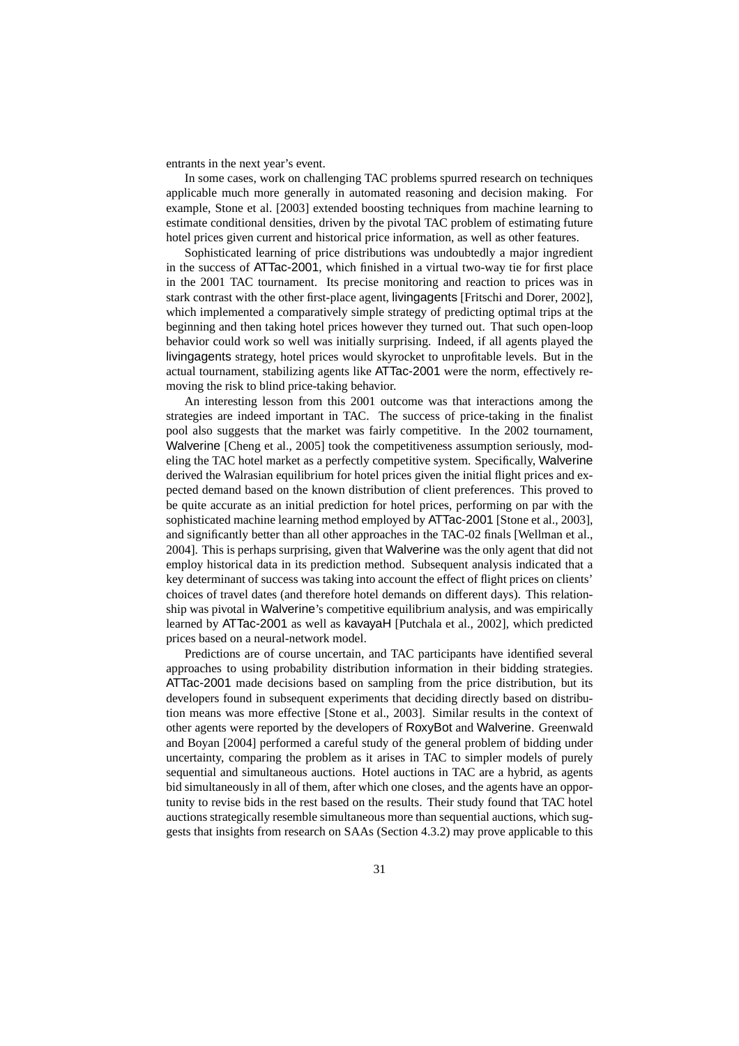entrants in the next year's event.

In some cases, work on challenging TAC problems spurred research on techniques applicable much more generally in automated reasoning and decision making. For example, Stone et al. [2003] extended boosting techniques from machine learning to estimate conditional densities, driven by the pivotal TAC problem of estimating future hotel prices given current and historical price information, as well as other features.

Sophisticated learning of price distributions was undoubtedly a major ingredient in the success of ATTac-2001, which finished in a virtual two-way tie for first place in the 2001 TAC tournament. Its precise monitoring and reaction to prices was in stark contrast with the other first-place agent, livingagents [Fritschi and Dorer, 2002], which implemented a comparatively simple strategy of predicting optimal trips at the beginning and then taking hotel prices however they turned out. That such open-loop behavior could work so well was initially surprising. Indeed, if all agents played the livingagents strategy, hotel prices would skyrocket to unprofitable levels. But in the actual tournament, stabilizing agents like ATTac-2001 were the norm, effectively removing the risk to blind price-taking behavior.

An interesting lesson from this 2001 outcome was that interactions among the strategies are indeed important in TAC. The success of price-taking in the finalist pool also suggests that the market was fairly competitive. In the 2002 tournament, Walverine [Cheng et al., 2005] took the competitiveness assumption seriously, modeling the TAC hotel market as a perfectly competitive system. Specifically, Walverine derived the Walrasian equilibrium for hotel prices given the initial flight prices and expected demand based on the known distribution of client preferences. This proved to be quite accurate as an initial prediction for hotel prices, performing on par with the sophisticated machine learning method employed by ATTac-2001 [Stone et al., 2003], and significantly better than all other approaches in the TAC-02 finals [Wellman et al., 2004]. This is perhaps surprising, given that Walverine was the only agent that did not employ historical data in its prediction method. Subsequent analysis indicated that a key determinant of success was taking into account the effect of flight prices on clients' choices of travel dates (and therefore hotel demands on different days). This relationship was pivotal in Walverine's competitive equilibrium analysis, and was empirically learned by ATTac-2001 as well as kavayaH [Putchala et al., 2002], which predicted prices based on a neural-network model.

Predictions are of course uncertain, and TAC participants have identified several approaches to using probability distribution information in their bidding strategies. ATTac-2001 made decisions based on sampling from the price distribution, but its developers found in subsequent experiments that deciding directly based on distribution means was more effective [Stone et al., 2003]. Similar results in the context of other agents were reported by the developers of RoxyBot and Walverine. Greenwald and Boyan [2004] performed a careful study of the general problem of bidding under uncertainty, comparing the problem as it arises in TAC to simpler models of purely sequential and simultaneous auctions. Hotel auctions in TAC are a hybrid, as agents bid simultaneously in all of them, after which one closes, and the agents have an opportunity to revise bids in the rest based on the results. Their study found that TAC hotel auctions strategically resemble simultaneous more than sequential auctions, which suggests that insights from research on SAAs (Section 4.3.2) may prove applicable to this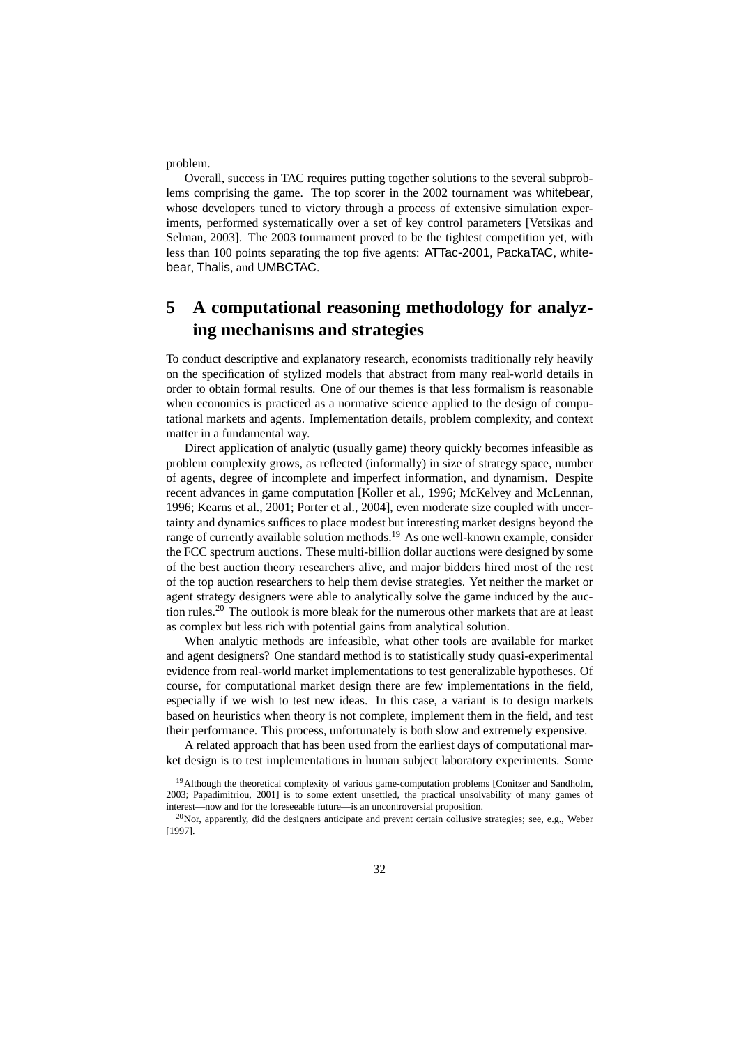problem.

Overall, success in TAC requires putting together solutions to the several subproblems comprising the game. The top scorer in the 2002 tournament was whitebear, whose developers tuned to victory through a process of extensive simulation experiments, performed systematically over a set of key control parameters [Vetsikas and Selman, 2003]. The 2003 tournament proved to be the tightest competition yet, with less than 100 points separating the top five agents: ATTac-2001, PackaTAC, whitebear, Thalis, and UMBCTAC.

## **5 A computational reasoning methodology for analyzing mechanisms and strategies**

To conduct descriptive and explanatory research, economists traditionally rely heavily on the specification of stylized models that abstract from many real-world details in order to obtain formal results. One of our themes is that less formalism is reasonable when economics is practiced as a normative science applied to the design of computational markets and agents. Implementation details, problem complexity, and context matter in a fundamental way.

Direct application of analytic (usually game) theory quickly becomes infeasible as problem complexity grows, as reflected (informally) in size of strategy space, number of agents, degree of incomplete and imperfect information, and dynamism. Despite recent advances in game computation [Koller et al., 1996; McKelvey and McLennan, 1996; Kearns et al., 2001; Porter et al., 2004], even moderate size coupled with uncertainty and dynamics suffices to place modest but interesting market designs beyond the range of currently available solution methods.<sup>19</sup> As one well-known example, consider the FCC spectrum auctions. These multi-billion dollar auctions were designed by some of the best auction theory researchers alive, and major bidders hired most of the rest of the top auction researchers to help them devise strategies. Yet neither the market or agent strategy designers were able to analytically solve the game induced by the auction rules.<sup>20</sup> The outlook is more bleak for the numerous other markets that are at least as complex but less rich with potential gains from analytical solution.

When analytic methods are infeasible, what other tools are available for market and agent designers? One standard method is to statistically study quasi-experimental evidence from real-world market implementations to test generalizable hypotheses. Of course, for computational market design there are few implementations in the field, especially if we wish to test new ideas. In this case, a variant is to design markets based on heuristics when theory is not complete, implement them in the field, and test their performance. This process, unfortunately is both slow and extremely expensive.

A related approach that has been used from the earliest days of computational market design is to test implementations in human subject laboratory experiments. Some

<sup>&</sup>lt;sup>19</sup> Although the theoretical complexity of various game-computation problems [Conitzer and Sandholm, 2003; Papadimitriou, 2001] is to some extent unsettled, the practical unsolvability of many games of interest—now and for the foreseeable future—is an uncontroversial proposition.

 $^{20}$ Nor, apparently, did the designers anticipate and prevent certain collusive strategies; see, e.g., Weber [1997].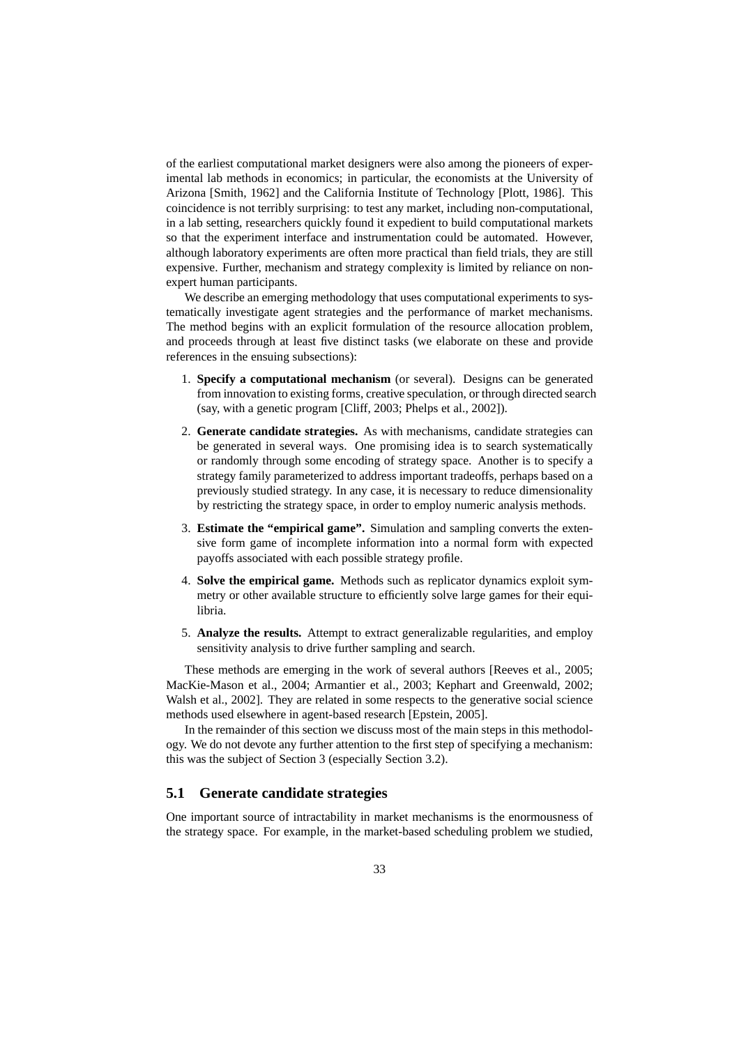of the earliest computational market designers were also among the pioneers of experimental lab methods in economics; in particular, the economists at the University of Arizona [Smith, 1962] and the California Institute of Technology [Plott, 1986]. This coincidence is not terribly surprising: to test any market, including non-computational, in a lab setting, researchers quickly found it expedient to build computational markets so that the experiment interface and instrumentation could be automated. However, although laboratory experiments are often more practical than field trials, they are still expensive. Further, mechanism and strategy complexity is limited by reliance on nonexpert human participants.

We describe an emerging methodology that uses computational experiments to systematically investigate agent strategies and the performance of market mechanisms. The method begins with an explicit formulation of the resource allocation problem, and proceeds through at least five distinct tasks (we elaborate on these and provide references in the ensuing subsections):

- 1. **Specify a computational mechanism** (or several). Designs can be generated from innovation to existing forms, creative speculation, or through directed search (say, with a genetic program [Cliff, 2003; Phelps et al., 2002]).
- 2. **Generate candidate strategies.** As with mechanisms, candidate strategies can be generated in several ways. One promising idea is to search systematically or randomly through some encoding of strategy space. Another is to specify a strategy family parameterized to address important tradeoffs, perhaps based on a previously studied strategy. In any case, it is necessary to reduce dimensionality by restricting the strategy space, in order to employ numeric analysis methods.
- 3. **Estimate the "empirical game".** Simulation and sampling converts the extensive form game of incomplete information into a normal form with expected payoffs associated with each possible strategy profile.
- 4. **Solve the empirical game.** Methods such as replicator dynamics exploit symmetry or other available structure to efficiently solve large games for their equilibria.
- 5. **Analyze the results.** Attempt to extract generalizable regularities, and employ sensitivity analysis to drive further sampling and search.

These methods are emerging in the work of several authors [Reeves et al., 2005; MacKie-Mason et al., 2004; Armantier et al., 2003; Kephart and Greenwald, 2002; Walsh et al., 2002]. They are related in some respects to the generative social science methods used elsewhere in agent-based research [Epstein, 2005].

In the remainder of this section we discuss most of the main steps in this methodology. We do not devote any further attention to the first step of specifying a mechanism: this was the subject of Section 3 (especially Section 3.2).

#### **5.1 Generate candidate strategies**

One important source of intractability in market mechanisms is the enormousness of the strategy space. For example, in the market-based scheduling problem we studied,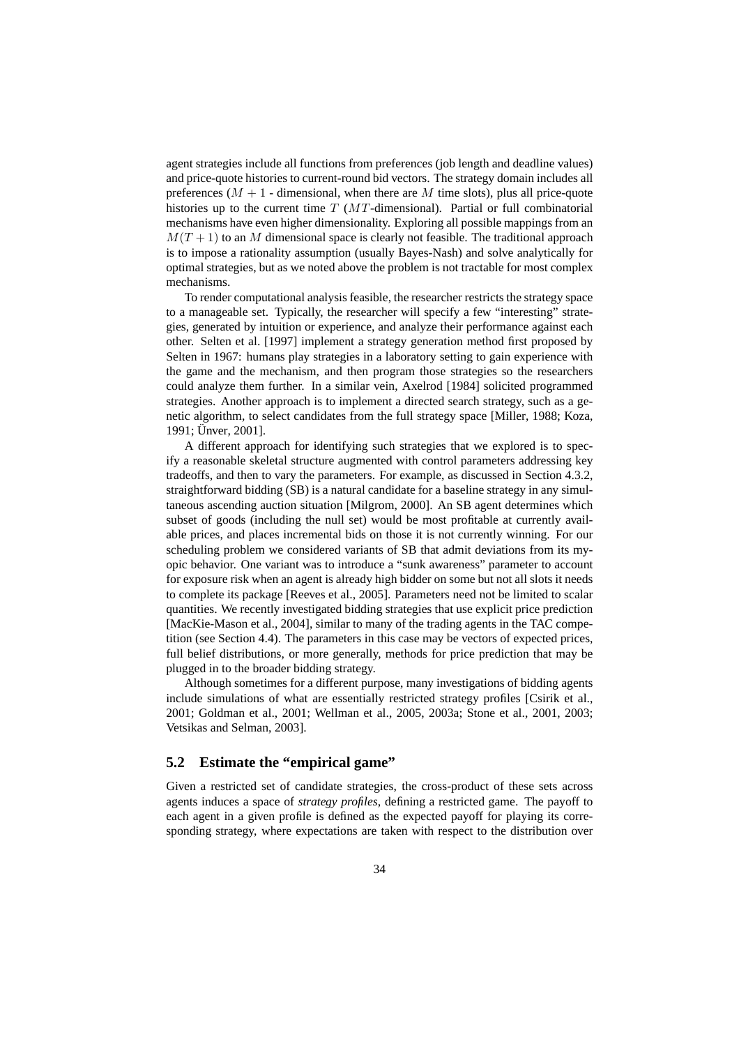agent strategies include all functions from preferences (job length and deadline values) and price-quote histories to current-round bid vectors. The strategy domain includes all preferences ( $M + 1$  - dimensional, when there are M time slots), plus all price-quote histories up to the current time  $T(MT$ -dimensional). Partial or full combinatorial mechanisms have even higher dimensionality. Exploring all possible mappings from an  $M(T + 1)$  to an M dimensional space is clearly not feasible. The traditional approach is to impose a rationality assumption (usually Bayes-Nash) and solve analytically for optimal strategies, but as we noted above the problem is not tractable for most complex mechanisms.

To render computational analysis feasible, the researcher restricts the strategy space to a manageable set. Typically, the researcher will specify a few "interesting" strategies, generated by intuition or experience, and analyze their performance against each other. Selten et al. [1997] implement a strategy generation method first proposed by Selten in 1967: humans play strategies in a laboratory setting to gain experience with the game and the mechanism, and then program those strategies so the researchers could analyze them further. In a similar vein, Axelrod [1984] solicited programmed strategies. Another approach is to implement a directed search strategy, such as a genetic algorithm, to select candidates from the full strategy space [Miller, 1988; Koza, 1991; Unver, 2001]. ¨

A different approach for identifying such strategies that we explored is to specify a reasonable skeletal structure augmented with control parameters addressing key tradeoffs, and then to vary the parameters. For example, as discussed in Section 4.3.2, straightforward bidding (SB) is a natural candidate for a baseline strategy in any simultaneous ascending auction situation [Milgrom, 2000]. An SB agent determines which subset of goods (including the null set) would be most profitable at currently available prices, and places incremental bids on those it is not currently winning. For our scheduling problem we considered variants of SB that admit deviations from its myopic behavior. One variant was to introduce a "sunk awareness" parameter to account for exposure risk when an agent is already high bidder on some but not all slots it needs to complete its package [Reeves et al., 2005]. Parameters need not be limited to scalar quantities. We recently investigated bidding strategies that use explicit price prediction [MacKie-Mason et al., 2004], similar to many of the trading agents in the TAC competition (see Section 4.4). The parameters in this case may be vectors of expected prices, full belief distributions, or more generally, methods for price prediction that may be plugged in to the broader bidding strategy.

Although sometimes for a different purpose, many investigations of bidding agents include simulations of what are essentially restricted strategy profiles [Csirik et al., 2001; Goldman et al., 2001; Wellman et al., 2005, 2003a; Stone et al., 2001, 2003; Vetsikas and Selman, 2003].

#### **5.2 Estimate the "empirical game"**

Given a restricted set of candidate strategies, the cross-product of these sets across agents induces a space of *strategy profiles*, defining a restricted game. The payoff to each agent in a given profile is defined as the expected payoff for playing its corresponding strategy, where expectations are taken with respect to the distribution over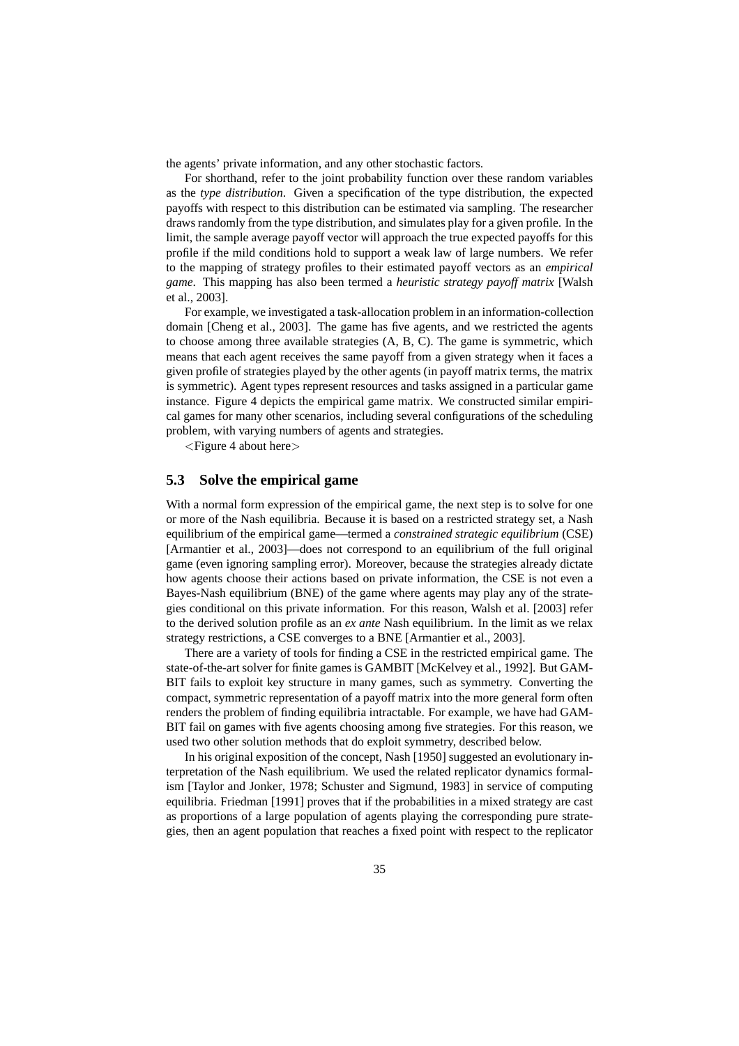the agents' private information, and any other stochastic factors.

For shorthand, refer to the joint probability function over these random variables as the *type distribution*. Given a specification of the type distribution, the expected payoffs with respect to this distribution can be estimated via sampling. The researcher draws randomly from the type distribution, and simulates play for a given profile. In the limit, the sample average payoff vector will approach the true expected payoffs for this profile if the mild conditions hold to support a weak law of large numbers. We refer to the mapping of strategy profiles to their estimated payoff vectors as an *empirical game*. This mapping has also been termed a *heuristic strategy payoff matrix* [Walsh et al., 2003].

For example, we investigated a task-allocation problem in an information-collection domain [Cheng et al., 2003]. The game has five agents, and we restricted the agents to choose among three available strategies (A, B, C). The game is symmetric, which means that each agent receives the same payoff from a given strategy when it faces a given profile of strategies played by the other agents (in payoff matrix terms, the matrix is symmetric). Agent types represent resources and tasks assigned in a particular game instance. Figure 4 depicts the empirical game matrix. We constructed similar empirical games for many other scenarios, including several configurations of the scheduling problem, with varying numbers of agents and strategies.

 $\leq$ Figure 4 about here $>$ 

#### **5.3 Solve the empirical game**

With a normal form expression of the empirical game, the next step is to solve for one or more of the Nash equilibria. Because it is based on a restricted strategy set, a Nash equilibrium of the empirical game—termed a *constrained strategic equilibrium* (CSE) [Armantier et al., 2003]—does not correspond to an equilibrium of the full original game (even ignoring sampling error). Moreover, because the strategies already dictate how agents choose their actions based on private information, the CSE is not even a Bayes-Nash equilibrium (BNE) of the game where agents may play any of the strategies conditional on this private information. For this reason, Walsh et al. [2003] refer to the derived solution profile as an *ex ante* Nash equilibrium. In the limit as we relax strategy restrictions, a CSE converges to a BNE [Armantier et al., 2003].

There are a variety of tools for finding a CSE in the restricted empirical game. The state-of-the-art solver for finite games is GAMBIT [McKelvey et al., 1992]. But GAM-BIT fails to exploit key structure in many games, such as symmetry. Converting the compact, symmetric representation of a payoff matrix into the more general form often renders the problem of finding equilibria intractable. For example, we have had GAM-BIT fail on games with five agents choosing among five strategies. For this reason, we used two other solution methods that do exploit symmetry, described below.

In his original exposition of the concept, Nash [1950] suggested an evolutionary interpretation of the Nash equilibrium. We used the related replicator dynamics formalism [Taylor and Jonker, 1978; Schuster and Sigmund, 1983] in service of computing equilibria. Friedman [1991] proves that if the probabilities in a mixed strategy are cast as proportions of a large population of agents playing the corresponding pure strategies, then an agent population that reaches a fixed point with respect to the replicator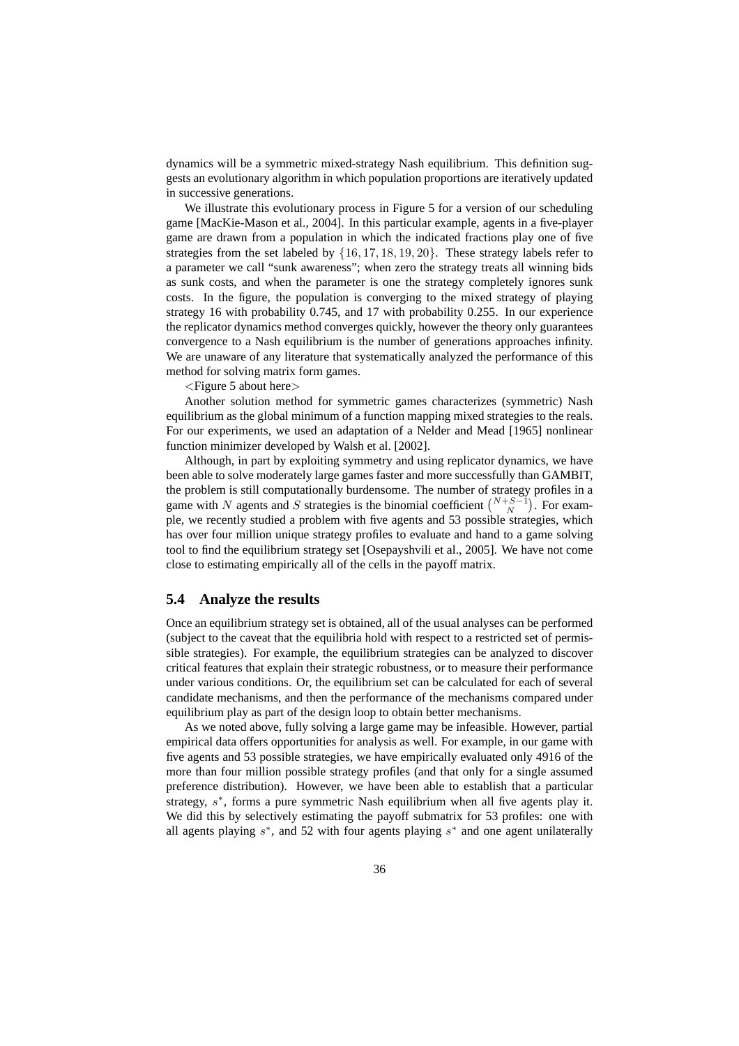dynamics will be a symmetric mixed-strategy Nash equilibrium. This definition suggests an evolutionary algorithm in which population proportions are iteratively updated in successive generations.

We illustrate this evolutionary process in Figure 5 for a version of our scheduling game [MacKie-Mason et al., 2004]. In this particular example, agents in a five-player game are drawn from a population in which the indicated fractions play one of five strategies from the set labeled by  $\{16, 17, 18, 19, 20\}$ . These strategy labels refer to a parameter we call "sunk awareness"; when zero the strategy treats all winning bids as sunk costs, and when the parameter is one the strategy completely ignores sunk costs. In the figure, the population is converging to the mixed strategy of playing strategy 16 with probability 0.745, and 17 with probability 0.255. In our experience the replicator dynamics method converges quickly, however the theory only guarantees convergence to a Nash equilibrium is the number of generations approaches infinity. We are unaware of any literature that systematically analyzed the performance of this method for solving matrix form games.

<Figure 5 about here>

Another solution method for symmetric games characterizes (symmetric) Nash equilibrium as the global minimum of a function mapping mixed strategies to the reals. For our experiments, we used an adaptation of a Nelder and Mead [1965] nonlinear function minimizer developed by Walsh et al. [2002].

Although, in part by exploiting symmetry and using replicator dynamics, we have been able to solve moderately large games faster and more successfully than GAMBIT, the problem is still computationally burdensome. The number of strategy profiles in a the problem is still computationally burdensome. The number of strategy profiles in a game with N agents and S strategies is the binomial coefficient  $\binom{N+S-1}{N}$ . For example, we recently studied a problem with five agents and 53 possible strategies, which has over four million unique strategy profiles to evaluate and hand to a game solving tool to find the equilibrium strategy set [Osepayshvili et al., 2005]. We have not come close to estimating empirically all of the cells in the payoff matrix.

#### **5.4 Analyze the results**

Once an equilibrium strategy set is obtained, all of the usual analyses can be performed (subject to the caveat that the equilibria hold with respect to a restricted set of permissible strategies). For example, the equilibrium strategies can be analyzed to discover critical features that explain their strategic robustness, or to measure their performance under various conditions. Or, the equilibrium set can be calculated for each of several candidate mechanisms, and then the performance of the mechanisms compared under equilibrium play as part of the design loop to obtain better mechanisms.

As we noted above, fully solving a large game may be infeasible. However, partial empirical data offers opportunities for analysis as well. For example, in our game with five agents and 53 possible strategies, we have empirically evaluated only 4916 of the more than four million possible strategy profiles (and that only for a single assumed preference distribution). However, we have been able to establish that a particular strategy,  $s^*$ , forms a pure symmetric Nash equilibrium when all five agents play it. We did this by selectively estimating the payoff submatrix for 53 profiles: one with all agents playing  $s^*$ , and 52 with four agents playing  $s^*$  and one agent unilaterally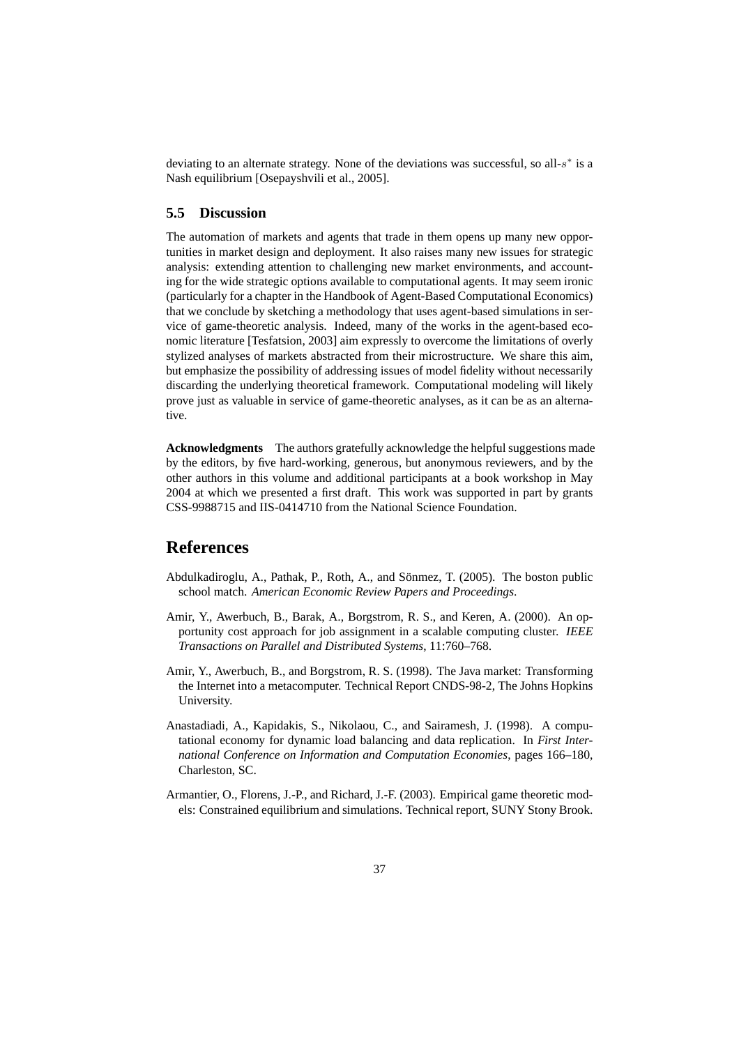deviating to an alternate strategy. None of the deviations was successful, so all- $s^*$  is a Nash equilibrium [Osepayshvili et al., 2005].

#### **5.5 Discussion**

The automation of markets and agents that trade in them opens up many new opportunities in market design and deployment. It also raises many new issues for strategic analysis: extending attention to challenging new market environments, and accounting for the wide strategic options available to computational agents. It may seem ironic (particularly for a chapter in the Handbook of Agent-Based Computational Economics) that we conclude by sketching a methodology that uses agent-based simulations in service of game-theoretic analysis. Indeed, many of the works in the agent-based economic literature [Tesfatsion, 2003] aim expressly to overcome the limitations of overly stylized analyses of markets abstracted from their microstructure. We share this aim, but emphasize the possibility of addressing issues of model fidelity without necessarily discarding the underlying theoretical framework. Computational modeling will likely prove just as valuable in service of game-theoretic analyses, as it can be as an alternative.

**Acknowledgments** The authors gratefully acknowledge the helpful suggestions made by the editors, by five hard-working, generous, but anonymous reviewers, and by the other authors in this volume and additional participants at a book workshop in May 2004 at which we presented a first draft. This work was supported in part by grants CSS-9988715 and IIS-0414710 from the National Science Foundation.

## **References**

- Abdulkadiroglu, A., Pathak, P., Roth, A., and Sönmez, T. (2005). The boston public school match. *American Economic Review Papers and Proceedings*.
- Amir, Y., Awerbuch, B., Barak, A., Borgstrom, R. S., and Keren, A. (2000). An opportunity cost approach for job assignment in a scalable computing cluster. *IEEE Transactions on Parallel and Distributed Systems*, 11:760–768.
- Amir, Y., Awerbuch, B., and Borgstrom, R. S. (1998). The Java market: Transforming the Internet into a metacomputer. Technical Report CNDS-98-2, The Johns Hopkins University.
- Anastadiadi, A., Kapidakis, S., Nikolaou, C., and Sairamesh, J. (1998). A computational economy for dynamic load balancing and data replication. In *First International Conference on Information and Computation Economies*, pages 166–180, Charleston, SC.
- Armantier, O., Florens, J.-P., and Richard, J.-F. (2003). Empirical game theoretic models: Constrained equilibrium and simulations. Technical report, SUNY Stony Brook.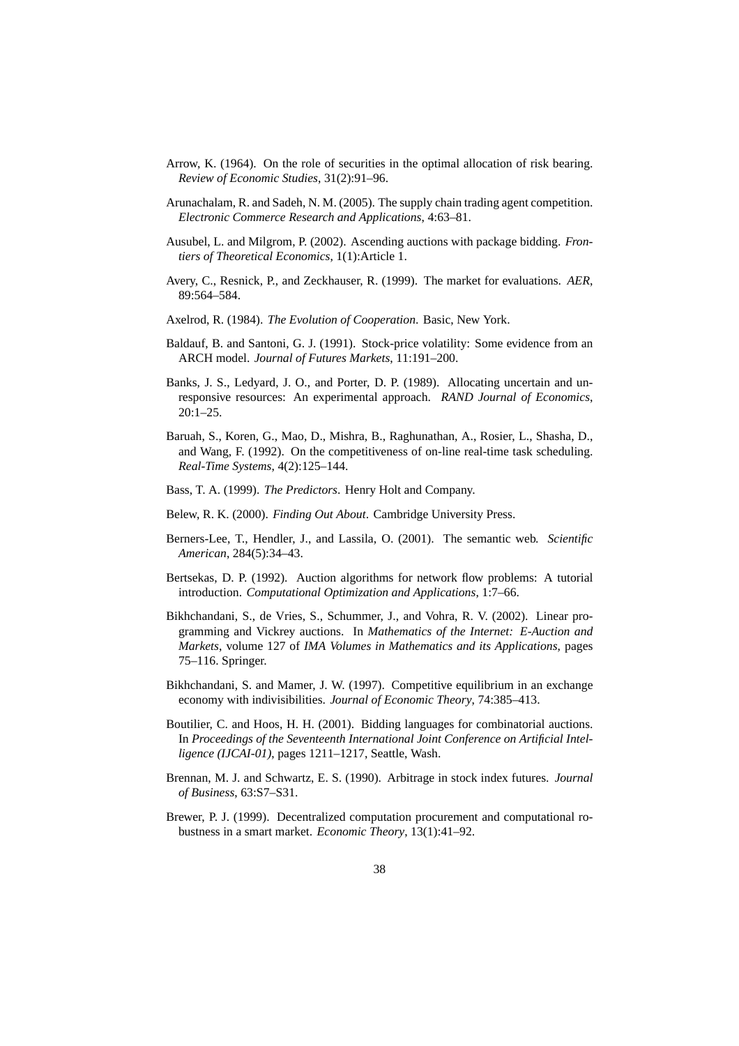- Arrow, K. (1964). On the role of securities in the optimal allocation of risk bearing. *Review of Economic Studies*, 31(2):91–96.
- Arunachalam, R. and Sadeh, N. M. (2005). The supply chain trading agent competition. *Electronic Commerce Research and Applications*, 4:63–81.
- Ausubel, L. and Milgrom, P. (2002). Ascending auctions with package bidding. *Frontiers of Theoretical Economics*, 1(1):Article 1.
- Avery, C., Resnick, P., and Zeckhauser, R. (1999). The market for evaluations. *AER*, 89:564–584.
- Axelrod, R. (1984). *The Evolution of Cooperation*. Basic, New York.
- Baldauf, B. and Santoni, G. J. (1991). Stock-price volatility: Some evidence from an ARCH model. *Journal of Futures Markets*, 11:191–200.
- Banks, J. S., Ledyard, J. O., and Porter, D. P. (1989). Allocating uncertain and unresponsive resources: An experimental approach. *RAND Journal of Economics*,  $20:1-25.$
- Baruah, S., Koren, G., Mao, D., Mishra, B., Raghunathan, A., Rosier, L., Shasha, D., and Wang, F. (1992). On the competitiveness of on-line real-time task scheduling. *Real-Time Systems*, 4(2):125–144.
- Bass, T. A. (1999). *The Predictors*. Henry Holt and Company.
- Belew, R. K. (2000). *Finding Out About*. Cambridge University Press.
- Berners-Lee, T., Hendler, J., and Lassila, O. (2001). The semantic web. *Scientific American*, 284(5):34–43.
- Bertsekas, D. P. (1992). Auction algorithms for network flow problems: A tutorial introduction. *Computational Optimization and Applications*, 1:7–66.
- Bikhchandani, S., de Vries, S., Schummer, J., and Vohra, R. V. (2002). Linear programming and Vickrey auctions. In *Mathematics of the Internet: E-Auction and Markets*, volume 127 of *IMA Volumes in Mathematics and its Applications*, pages 75–116. Springer.
- Bikhchandani, S. and Mamer, J. W. (1997). Competitive equilibrium in an exchange economy with indivisibilities. *Journal of Economic Theory*, 74:385–413.
- Boutilier, C. and Hoos, H. H. (2001). Bidding languages for combinatorial auctions. In *Proceedings of the Seventeenth International Joint Conference on Artificial Intelligence (IJCAI-01)*, pages 1211–1217, Seattle, Wash.
- Brennan, M. J. and Schwartz, E. S. (1990). Arbitrage in stock index futures. *Journal of Business*, 63:S7–S31.
- Brewer, P. J. (1999). Decentralized computation procurement and computational robustness in a smart market. *Economic Theory*, 13(1):41–92.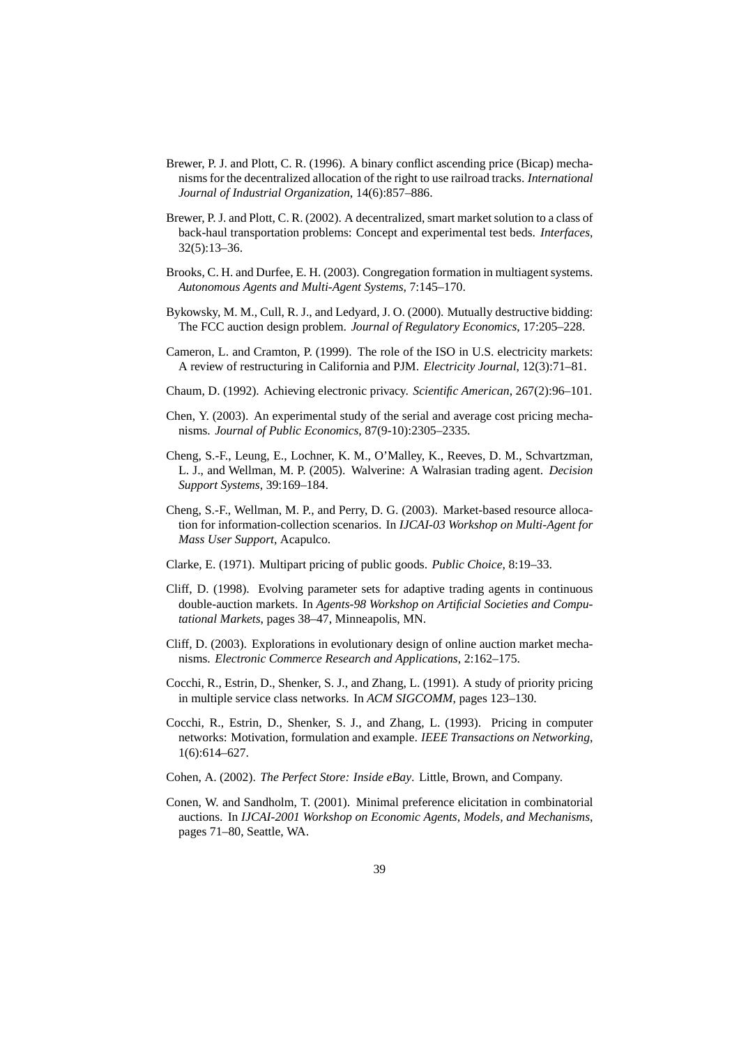- Brewer, P. J. and Plott, C. R. (1996). A binary conflict ascending price (Bicap) mechanisms for the decentralized allocation of the right to use railroad tracks. *International Journal of Industrial Organization*, 14(6):857–886.
- Brewer, P. J. and Plott, C. R. (2002). A decentralized, smart market solution to a class of back-haul transportation problems: Concept and experimental test beds. *Interfaces*, 32(5):13–36.
- Brooks, C. H. and Durfee, E. H. (2003). Congregation formation in multiagent systems. *Autonomous Agents and Multi-Agent Systems*, 7:145–170.
- Bykowsky, M. M., Cull, R. J., and Ledyard, J. O. (2000). Mutually destructive bidding: The FCC auction design problem. *Journal of Regulatory Economics*, 17:205–228.
- Cameron, L. and Cramton, P. (1999). The role of the ISO in U.S. electricity markets: A review of restructuring in California and PJM. *Electricity Journal*, 12(3):71–81.
- Chaum, D. (1992). Achieving electronic privacy. *Scientific American*, 267(2):96–101.
- Chen, Y. (2003). An experimental study of the serial and average cost pricing mechanisms. *Journal of Public Economics*, 87(9-10):2305–2335.
- Cheng, S.-F., Leung, E., Lochner, K. M., O'Malley, K., Reeves, D. M., Schvartzman, L. J., and Wellman, M. P. (2005). Walverine: A Walrasian trading agent. *Decision Support Systems*, 39:169–184.
- Cheng, S.-F., Wellman, M. P., and Perry, D. G. (2003). Market-based resource allocation for information-collection scenarios. In *IJCAI-03 Workshop on Multi-Agent for Mass User Support*, Acapulco.
- Clarke, E. (1971). Multipart pricing of public goods. *Public Choice*, 8:19–33.
- Cliff, D. (1998). Evolving parameter sets for adaptive trading agents in continuous double-auction markets. In *Agents-98 Workshop on Artificial Societies and Computational Markets*, pages 38–47, Minneapolis, MN.
- Cliff, D. (2003). Explorations in evolutionary design of online auction market mechanisms. *Electronic Commerce Research and Applications*, 2:162–175.
- Cocchi, R., Estrin, D., Shenker, S. J., and Zhang, L. (1991). A study of priority pricing in multiple service class networks. In *ACM SIGCOMM*, pages 123–130.
- Cocchi, R., Estrin, D., Shenker, S. J., and Zhang, L. (1993). Pricing in computer networks: Motivation, formulation and example. *IEEE Transactions on Networking*, 1(6):614–627.
- Cohen, A. (2002). *The Perfect Store: Inside eBay*. Little, Brown, and Company.
- Conen, W. and Sandholm, T. (2001). Minimal preference elicitation in combinatorial auctions. In *IJCAI-2001 Workshop on Economic Agents, Models, and Mechanisms*, pages 71–80, Seattle, WA.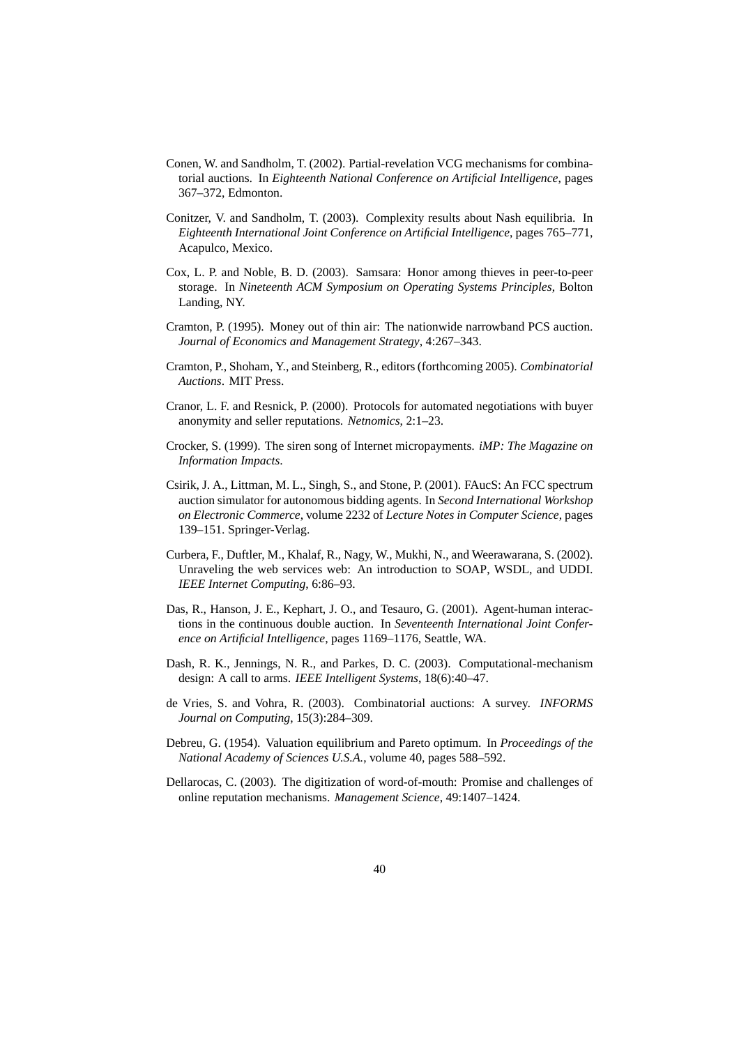- Conen, W. and Sandholm, T. (2002). Partial-revelation VCG mechanisms for combinatorial auctions. In *Eighteenth National Conference on Artificial Intelligence*, pages 367–372, Edmonton.
- Conitzer, V. and Sandholm, T. (2003). Complexity results about Nash equilibria. In *Eighteenth International Joint Conference on Artificial Intelligence*, pages 765–771, Acapulco, Mexico.
- Cox, L. P. and Noble, B. D. (2003). Samsara: Honor among thieves in peer-to-peer storage. In *Nineteenth ACM Symposium on Operating Systems Principles*, Bolton Landing, NY.
- Cramton, P. (1995). Money out of thin air: The nationwide narrowband PCS auction. *Journal of Economics and Management Strategy*, 4:267–343.
- Cramton, P., Shoham, Y., and Steinberg, R., editors (forthcoming 2005). *Combinatorial Auctions*. MIT Press.
- Cranor, L. F. and Resnick, P. (2000). Protocols for automated negotiations with buyer anonymity and seller reputations. *Netnomics*, 2:1–23.
- Crocker, S. (1999). The siren song of Internet micropayments. *iMP: The Magazine on Information Impacts*.
- Csirik, J. A., Littman, M. L., Singh, S., and Stone, P. (2001). FAucS: An FCC spectrum auction simulator for autonomous bidding agents. In *Second International Workshop on Electronic Commerce*, volume 2232 of *Lecture Notes in Computer Science*, pages 139–151. Springer-Verlag.
- Curbera, F., Duftler, M., Khalaf, R., Nagy, W., Mukhi, N., and Weerawarana, S. (2002). Unraveling the web services web: An introduction to SOAP, WSDL, and UDDI. *IEEE Internet Computing*, 6:86–93.
- Das, R., Hanson, J. E., Kephart, J. O., and Tesauro, G. (2001). Agent-human interactions in the continuous double auction. In *Seventeenth International Joint Conference on Artificial Intelligence*, pages 1169–1176, Seattle, WA.
- Dash, R. K., Jennings, N. R., and Parkes, D. C. (2003). Computational-mechanism design: A call to arms. *IEEE Intelligent Systems*, 18(6):40–47.
- de Vries, S. and Vohra, R. (2003). Combinatorial auctions: A survey. *INFORMS Journal on Computing*, 15(3):284–309.
- Debreu, G. (1954). Valuation equilibrium and Pareto optimum. In *Proceedings of the National Academy of Sciences U.S.A.*, volume 40, pages 588–592.
- Dellarocas, C. (2003). The digitization of word-of-mouth: Promise and challenges of online reputation mechanisms. *Management Science*, 49:1407–1424.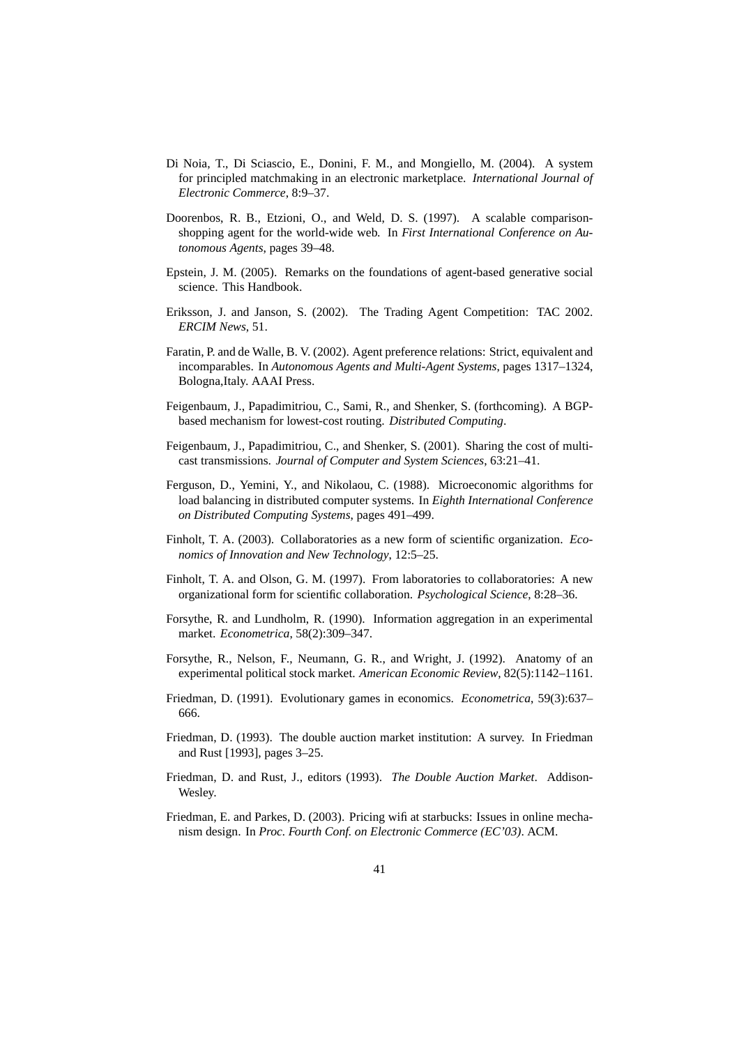- Di Noia, T., Di Sciascio, E., Donini, F. M., and Mongiello, M. (2004). A system for principled matchmaking in an electronic marketplace. *International Journal of Electronic Commerce*, 8:9–37.
- Doorenbos, R. B., Etzioni, O., and Weld, D. S. (1997). A scalable comparisonshopping agent for the world-wide web. In *First International Conference on Autonomous Agents*, pages 39–48.
- Epstein, J. M. (2005). Remarks on the foundations of agent-based generative social science. This Handbook.
- Eriksson, J. and Janson, S. (2002). The Trading Agent Competition: TAC 2002. *ERCIM News*, 51.
- Faratin, P. and de Walle, B. V. (2002). Agent preference relations: Strict, equivalent and incomparables. In *Autonomous Agents and Multi-Agent Systems*, pages 1317–1324, Bologna,Italy. AAAI Press.
- Feigenbaum, J., Papadimitriou, C., Sami, R., and Shenker, S. (forthcoming). A BGPbased mechanism for lowest-cost routing. *Distributed Computing*.
- Feigenbaum, J., Papadimitriou, C., and Shenker, S. (2001). Sharing the cost of multicast transmissions. *Journal of Computer and System Sciences*, 63:21–41.
- Ferguson, D., Yemini, Y., and Nikolaou, C. (1988). Microeconomic algorithms for load balancing in distributed computer systems. In *Eighth International Conference on Distributed Computing Systems*, pages 491–499.
- Finholt, T. A. (2003). Collaboratories as a new form of scientific organization. *Economics of Innovation and New Technology*, 12:5–25.
- Finholt, T. A. and Olson, G. M. (1997). From laboratories to collaboratories: A new organizational form for scientific collaboration. *Psychological Science*, 8:28–36.
- Forsythe, R. and Lundholm, R. (1990). Information aggregation in an experimental market. *Econometrica*, 58(2):309–347.
- Forsythe, R., Nelson, F., Neumann, G. R., and Wright, J. (1992). Anatomy of an experimental political stock market. *American Economic Review*, 82(5):1142–1161.
- Friedman, D. (1991). Evolutionary games in economics. *Econometrica*, 59(3):637– 666.
- Friedman, D. (1993). The double auction market institution: A survey. In Friedman and Rust [1993], pages 3–25.
- Friedman, D. and Rust, J., editors (1993). *The Double Auction Market*. Addison-Wesley.
- Friedman, E. and Parkes, D. (2003). Pricing wifi at starbucks: Issues in online mechanism design. In *Proc. Fourth Conf. on Electronic Commerce (EC'03)*. ACM.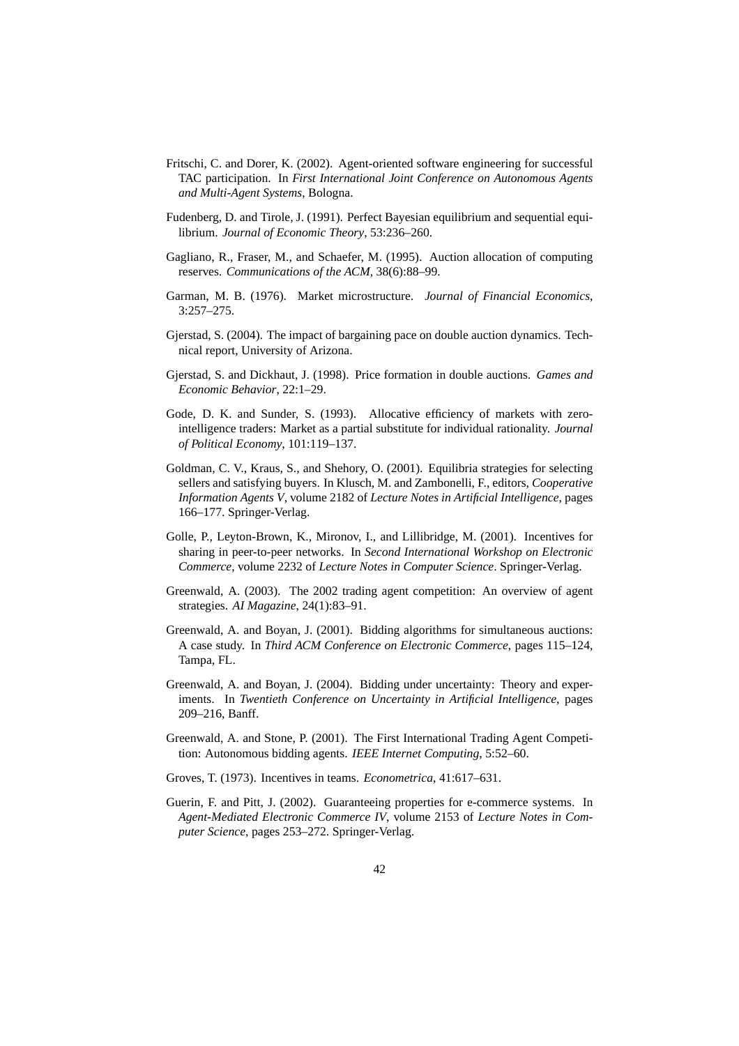- Fritschi, C. and Dorer, K. (2002). Agent-oriented software engineering for successful TAC participation. In *First International Joint Conference on Autonomous Agents and Multi-Agent Systems*, Bologna.
- Fudenberg, D. and Tirole, J. (1991). Perfect Bayesian equilibrium and sequential equilibrium. *Journal of Economic Theory*, 53:236–260.
- Gagliano, R., Fraser, M., and Schaefer, M. (1995). Auction allocation of computing reserves. *Communications of the ACM*, 38(6):88–99.
- Garman, M. B. (1976). Market microstructure. *Journal of Financial Economics*, 3:257–275.
- Gjerstad, S. (2004). The impact of bargaining pace on double auction dynamics. Technical report, University of Arizona.
- Gjerstad, S. and Dickhaut, J. (1998). Price formation in double auctions. *Games and Economic Behavior*, 22:1–29.
- Gode, D. K. and Sunder, S. (1993). Allocative efficiency of markets with zerointelligence traders: Market as a partial substitute for individual rationality. *Journal of Political Economy*, 101:119–137.
- Goldman, C. V., Kraus, S., and Shehory, O. (2001). Equilibria strategies for selecting sellers and satisfying buyers. In Klusch, M. and Zambonelli, F., editors, *Cooperative Information Agents V*, volume 2182 of *Lecture Notes in Artificial Intelligence*, pages 166–177. Springer-Verlag.
- Golle, P., Leyton-Brown, K., Mironov, I., and Lillibridge, M. (2001). Incentives for sharing in peer-to-peer networks. In *Second International Workshop on Electronic Commerce*, volume 2232 of *Lecture Notes in Computer Science*. Springer-Verlag.
- Greenwald, A. (2003). The 2002 trading agent competition: An overview of agent strategies. *AI Magazine*, 24(1):83–91.
- Greenwald, A. and Boyan, J. (2001). Bidding algorithms for simultaneous auctions: A case study. In *Third ACM Conference on Electronic Commerce*, pages 115–124, Tampa, FL.
- Greenwald, A. and Boyan, J. (2004). Bidding under uncertainty: Theory and experiments. In *Twentieth Conference on Uncertainty in Artificial Intelligence*, pages 209–216, Banff.
- Greenwald, A. and Stone, P. (2001). The First International Trading Agent Competition: Autonomous bidding agents. *IEEE Internet Computing*, 5:52–60.
- Groves, T. (1973). Incentives in teams. *Econometrica*, 41:617–631.
- Guerin, F. and Pitt, J. (2002). Guaranteeing properties for e-commerce systems. In *Agent-Mediated Electronic Commerce IV*, volume 2153 of *Lecture Notes in Computer Science*, pages 253–272. Springer-Verlag.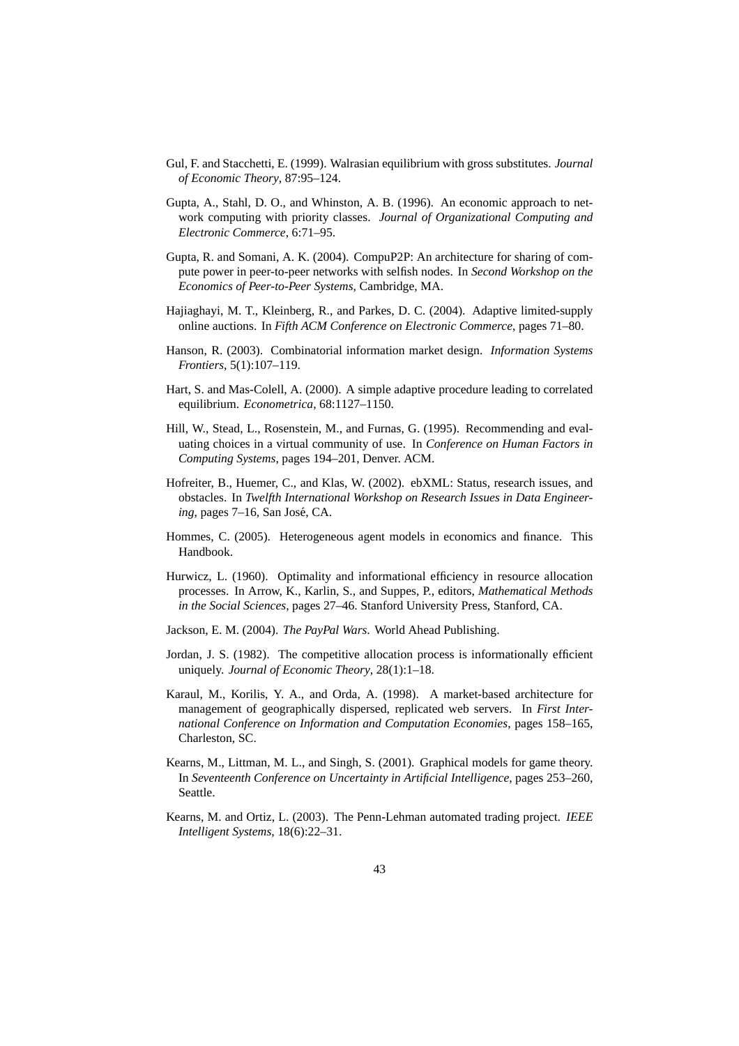- Gul, F. and Stacchetti, E. (1999). Walrasian equilibrium with gross substitutes. *Journal of Economic Theory*, 87:95–124.
- Gupta, A., Stahl, D. O., and Whinston, A. B. (1996). An economic approach to network computing with priority classes. *Journal of Organizational Computing and Electronic Commerce*, 6:71–95.
- Gupta, R. and Somani, A. K. (2004). CompuP2P: An architecture for sharing of compute power in peer-to-peer networks with selfish nodes. In *Second Workshop on the Economics of Peer-to-Peer Systems*, Cambridge, MA.
- Hajiaghayi, M. T., Kleinberg, R., and Parkes, D. C. (2004). Adaptive limited-supply online auctions. In *Fifth ACM Conference on Electronic Commerce*, pages 71–80.
- Hanson, R. (2003). Combinatorial information market design. *Information Systems Frontiers*, 5(1):107–119.
- Hart, S. and Mas-Colell, A. (2000). A simple adaptive procedure leading to correlated equilibrium. *Econometrica*, 68:1127–1150.
- Hill, W., Stead, L., Rosenstein, M., and Furnas, G. (1995). Recommending and evaluating choices in a virtual community of use. In *Conference on Human Factors in Computing Systems*, pages 194–201, Denver. ACM.
- Hofreiter, B., Huemer, C., and Klas, W. (2002). ebXML: Status, research issues, and obstacles. In *Twelfth International Workshop on Research Issues in Data Engineering*, pages 7–16, San José, CA.
- Hommes, C. (2005). Heterogeneous agent models in economics and finance. This Handbook.
- Hurwicz, L. (1960). Optimality and informational efficiency in resource allocation processes. In Arrow, K., Karlin, S., and Suppes, P., editors, *Mathematical Methods in the Social Sciences*, pages 27–46. Stanford University Press, Stanford, CA.
- Jackson, E. M. (2004). *The PayPal Wars*. World Ahead Publishing.
- Jordan, J. S. (1982). The competitive allocation process is informationally efficient uniquely. *Journal of Economic Theory*, 28(1):1–18.
- Karaul, M., Korilis, Y. A., and Orda, A. (1998). A market-based architecture for management of geographically dispersed, replicated web servers. In *First International Conference on Information and Computation Economies*, pages 158–165, Charleston, SC.
- Kearns, M., Littman, M. L., and Singh, S. (2001). Graphical models for game theory. In *Seventeenth Conference on Uncertainty in Artificial Intelligence*, pages 253–260, Seattle.
- Kearns, M. and Ortiz, L. (2003). The Penn-Lehman automated trading project. *IEEE Intelligent Systems*, 18(6):22–31.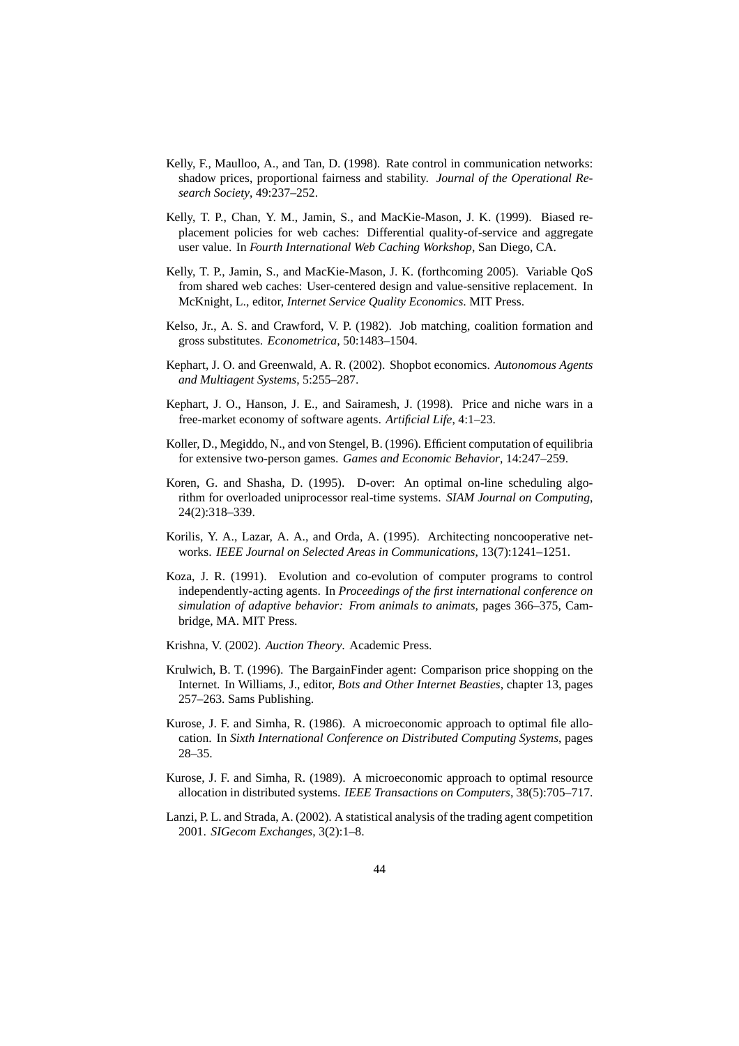- Kelly, F., Maulloo, A., and Tan, D. (1998). Rate control in communication networks: shadow prices, proportional fairness and stability. *Journal of the Operational Research Society*, 49:237–252.
- Kelly, T. P., Chan, Y. M., Jamin, S., and MacKie-Mason, J. K. (1999). Biased replacement policies for web caches: Differential quality-of-service and aggregate user value. In *Fourth International Web Caching Workshop*, San Diego, CA.
- Kelly, T. P., Jamin, S., and MacKie-Mason, J. K. (forthcoming 2005). Variable QoS from shared web caches: User-centered design and value-sensitive replacement. In McKnight, L., editor, *Internet Service Quality Economics*. MIT Press.
- Kelso, Jr., A. S. and Crawford, V. P. (1982). Job matching, coalition formation and gross substitutes. *Econometrica*, 50:1483–1504.
- Kephart, J. O. and Greenwald, A. R. (2002). Shopbot economics. *Autonomous Agents and Multiagent Systems*, 5:255–287.
- Kephart, J. O., Hanson, J. E., and Sairamesh, J. (1998). Price and niche wars in a free-market economy of software agents. *Artificial Life*, 4:1–23.
- Koller, D., Megiddo, N., and von Stengel, B. (1996). Efficient computation of equilibria for extensive two-person games. *Games and Economic Behavior*, 14:247–259.
- Koren, G. and Shasha, D. (1995). D-over: An optimal on-line scheduling algorithm for overloaded uniprocessor real-time systems. *SIAM Journal on Computing*, 24(2):318–339.
- Korilis, Y. A., Lazar, A. A., and Orda, A. (1995). Architecting noncooperative networks. *IEEE Journal on Selected Areas in Communications*, 13(7):1241–1251.
- Koza, J. R. (1991). Evolution and co-evolution of computer programs to control independently-acting agents. In *Proceedings of the first international conference on simulation of adaptive behavior: From animals to animats*, pages 366–375, Cambridge, MA. MIT Press.
- Krishna, V. (2002). *Auction Theory*. Academic Press.
- Krulwich, B. T. (1996). The BargainFinder agent: Comparison price shopping on the Internet. In Williams, J., editor, *Bots and Other Internet Beasties*, chapter 13, pages 257–263. Sams Publishing.
- Kurose, J. F. and Simha, R. (1986). A microeconomic approach to optimal file allocation. In *Sixth International Conference on Distributed Computing Systems*, pages 28–35.
- Kurose, J. F. and Simha, R. (1989). A microeconomic approach to optimal resource allocation in distributed systems. *IEEE Transactions on Computers*, 38(5):705–717.
- Lanzi, P. L. and Strada, A. (2002). A statistical analysis of the trading agent competition 2001. *SIGecom Exchanges*, 3(2):1–8.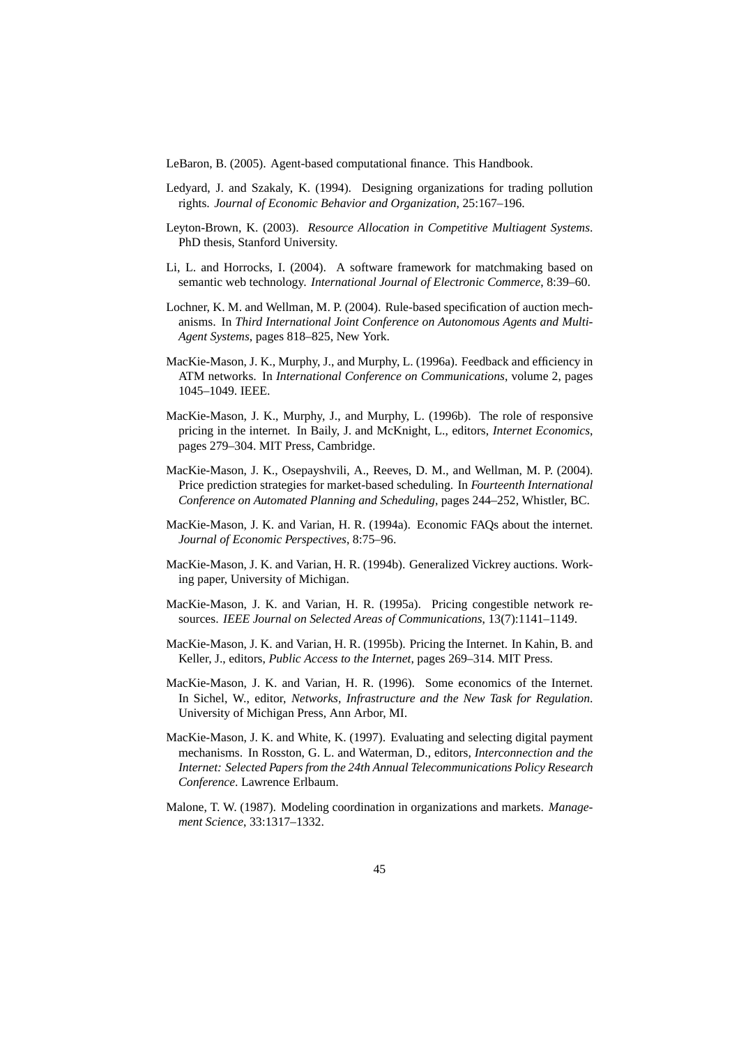LeBaron, B. (2005). Agent-based computational finance. This Handbook.

- Ledyard, J. and Szakaly, K. (1994). Designing organizations for trading pollution rights. *Journal of Economic Behavior and Organization*, 25:167–196.
- Leyton-Brown, K. (2003). *Resource Allocation in Competitive Multiagent Systems*. PhD thesis, Stanford University.
- Li, L. and Horrocks, I. (2004). A software framework for matchmaking based on semantic web technology. *International Journal of Electronic Commerce*, 8:39–60.
- Lochner, K. M. and Wellman, M. P. (2004). Rule-based specification of auction mechanisms. In *Third International Joint Conference on Autonomous Agents and Multi-Agent Systems*, pages 818–825, New York.
- MacKie-Mason, J. K., Murphy, J., and Murphy, L. (1996a). Feedback and efficiency in ATM networks. In *International Conference on Communications*, volume 2, pages 1045–1049. IEEE.
- MacKie-Mason, J. K., Murphy, J., and Murphy, L. (1996b). The role of responsive pricing in the internet. In Baily, J. and McKnight, L., editors, *Internet Economics*, pages 279–304. MIT Press, Cambridge.
- MacKie-Mason, J. K., Osepayshvili, A., Reeves, D. M., and Wellman, M. P. (2004). Price prediction strategies for market-based scheduling. In *Fourteenth International Conference on Automated Planning and Scheduling*, pages 244–252, Whistler, BC.
- MacKie-Mason, J. K. and Varian, H. R. (1994a). Economic FAQs about the internet. *Journal of Economic Perspectives*, 8:75–96.
- MacKie-Mason, J. K. and Varian, H. R. (1994b). Generalized Vickrey auctions. Working paper, University of Michigan.
- MacKie-Mason, J. K. and Varian, H. R. (1995a). Pricing congestible network resources. *IEEE Journal on Selected Areas of Communications*, 13(7):1141–1149.
- MacKie-Mason, J. K. and Varian, H. R. (1995b). Pricing the Internet. In Kahin, B. and Keller, J., editors, *Public Access to the Internet*, pages 269–314. MIT Press.
- MacKie-Mason, J. K. and Varian, H. R. (1996). Some economics of the Internet. In Sichel, W., editor, *Networks, Infrastructure and the New Task for Regulation*. University of Michigan Press, Ann Arbor, MI.
- MacKie-Mason, J. K. and White, K. (1997). Evaluating and selecting digital payment mechanisms. In Rosston, G. L. and Waterman, D., editors, *Interconnection and the Internet: Selected Papers from the 24th Annual Telecommunications Policy Research Conference*. Lawrence Erlbaum.
- Malone, T. W. (1987). Modeling coordination in organizations and markets. *Management Science*, 33:1317–1332.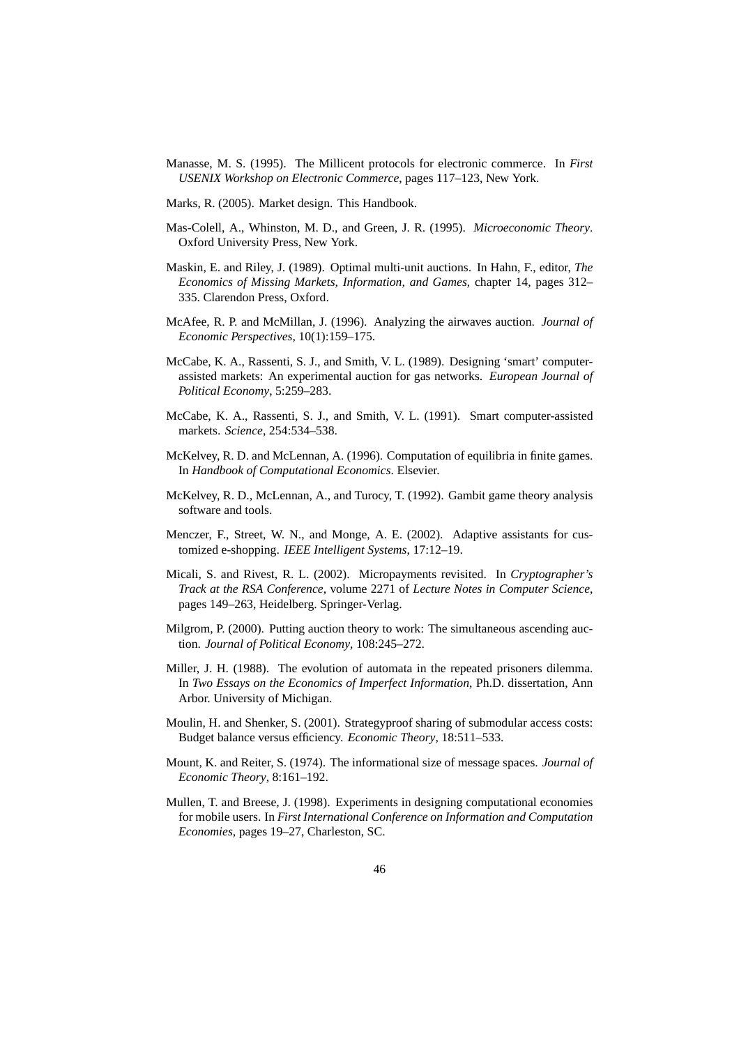- Manasse, M. S. (1995). The Millicent protocols for electronic commerce. In *First USENIX Workshop on Electronic Commerce*, pages 117–123, New York.
- Marks, R. (2005). Market design. This Handbook.
- Mas-Colell, A., Whinston, M. D., and Green, J. R. (1995). *Microeconomic Theory*. Oxford University Press, New York.
- Maskin, E. and Riley, J. (1989). Optimal multi-unit auctions. In Hahn, F., editor, *The Economics of Missing Markets, Information, and Games*, chapter 14, pages 312– 335. Clarendon Press, Oxford.
- McAfee, R. P. and McMillan, J. (1996). Analyzing the airwaves auction. *Journal of Economic Perspectives*, 10(1):159–175.
- McCabe, K. A., Rassenti, S. J., and Smith, V. L. (1989). Designing 'smart' computerassisted markets: An experimental auction for gas networks. *European Journal of Political Economy*, 5:259–283.
- McCabe, K. A., Rassenti, S. J., and Smith, V. L. (1991). Smart computer-assisted markets. *Science*, 254:534–538.
- McKelvey, R. D. and McLennan, A. (1996). Computation of equilibria in finite games. In *Handbook of Computational Economics*. Elsevier.
- McKelvey, R. D., McLennan, A., and Turocy, T. (1992). Gambit game theory analysis software and tools.
- Menczer, F., Street, W. N., and Monge, A. E. (2002). Adaptive assistants for customized e-shopping. *IEEE Intelligent Systems*, 17:12–19.
- Micali, S. and Rivest, R. L. (2002). Micropayments revisited. In *Cryptographer's Track at the RSA Conference*, volume 2271 of *Lecture Notes in Computer Science*, pages 149–263, Heidelberg. Springer-Verlag.
- Milgrom, P. (2000). Putting auction theory to work: The simultaneous ascending auction. *Journal of Political Economy*, 108:245–272.
- Miller, J. H. (1988). The evolution of automata in the repeated prisoners dilemma. In *Two Essays on the Economics of Imperfect Information*, Ph.D. dissertation, Ann Arbor. University of Michigan.
- Moulin, H. and Shenker, S. (2001). Strategyproof sharing of submodular access costs: Budget balance versus efficiency. *Economic Theory*, 18:511–533.
- Mount, K. and Reiter, S. (1974). The informational size of message spaces. *Journal of Economic Theory*, 8:161–192.
- Mullen, T. and Breese, J. (1998). Experiments in designing computational economies for mobile users. In *First International Conference on Information and Computation Economies*, pages 19–27, Charleston, SC.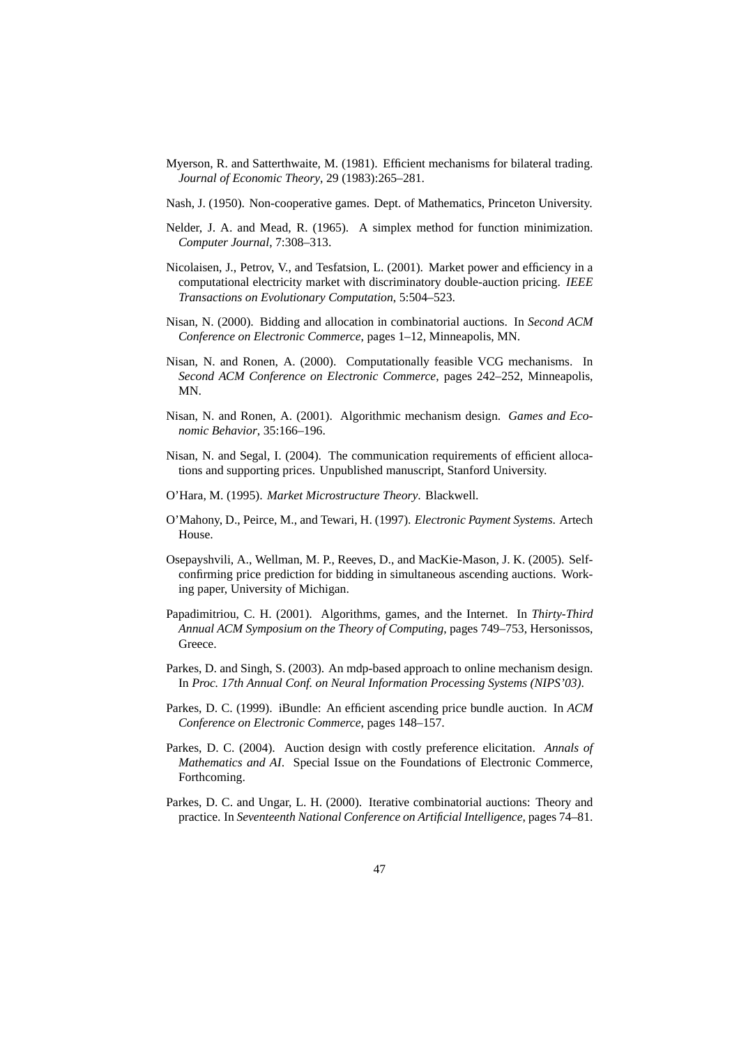- Myerson, R. and Satterthwaite, M. (1981). Efficient mechanisms for bilateral trading. *Journal of Economic Theory*, 29 (1983):265–281.
- Nash, J. (1950). Non-cooperative games. Dept. of Mathematics, Princeton University.
- Nelder, J. A. and Mead, R. (1965). A simplex method for function minimization. *Computer Journal*, 7:308–313.
- Nicolaisen, J., Petrov, V., and Tesfatsion, L. (2001). Market power and efficiency in a computational electricity market with discriminatory double-auction pricing. *IEEE Transactions on Evolutionary Computation*, 5:504–523.
- Nisan, N. (2000). Bidding and allocation in combinatorial auctions. In *Second ACM Conference on Electronic Commerce*, pages 1–12, Minneapolis, MN.
- Nisan, N. and Ronen, A. (2000). Computationally feasible VCG mechanisms. In *Second ACM Conference on Electronic Commerce*, pages 242–252, Minneapolis, MN.
- Nisan, N. and Ronen, A. (2001). Algorithmic mechanism design. *Games and Economic Behavior*, 35:166–196.
- Nisan, N. and Segal, I. (2004). The communication requirements of efficient allocations and supporting prices. Unpublished manuscript, Stanford University.
- O'Hara, M. (1995). *Market Microstructure Theory*. Blackwell.
- O'Mahony, D., Peirce, M., and Tewari, H. (1997). *Electronic Payment Systems*. Artech House.
- Osepayshvili, A., Wellman, M. P., Reeves, D., and MacKie-Mason, J. K. (2005). Selfconfirming price prediction for bidding in simultaneous ascending auctions. Working paper, University of Michigan.
- Papadimitriou, C. H. (2001). Algorithms, games, and the Internet. In *Thirty-Third Annual ACM Symposium on the Theory of Computing*, pages 749–753, Hersonissos, Greece.
- Parkes, D. and Singh, S. (2003). An mdp-based approach to online mechanism design. In *Proc. 17th Annual Conf. on Neural Information Processing Systems (NIPS'03)*.
- Parkes, D. C. (1999). iBundle: An efficient ascending price bundle auction. In *ACM Conference on Electronic Commerce*, pages 148–157.
- Parkes, D. C. (2004). Auction design with costly preference elicitation. *Annals of Mathematics and AI*. Special Issue on the Foundations of Electronic Commerce, Forthcoming.
- Parkes, D. C. and Ungar, L. H. (2000). Iterative combinatorial auctions: Theory and practice. In *Seventeenth National Conference on Artificial Intelligence*, pages 74–81.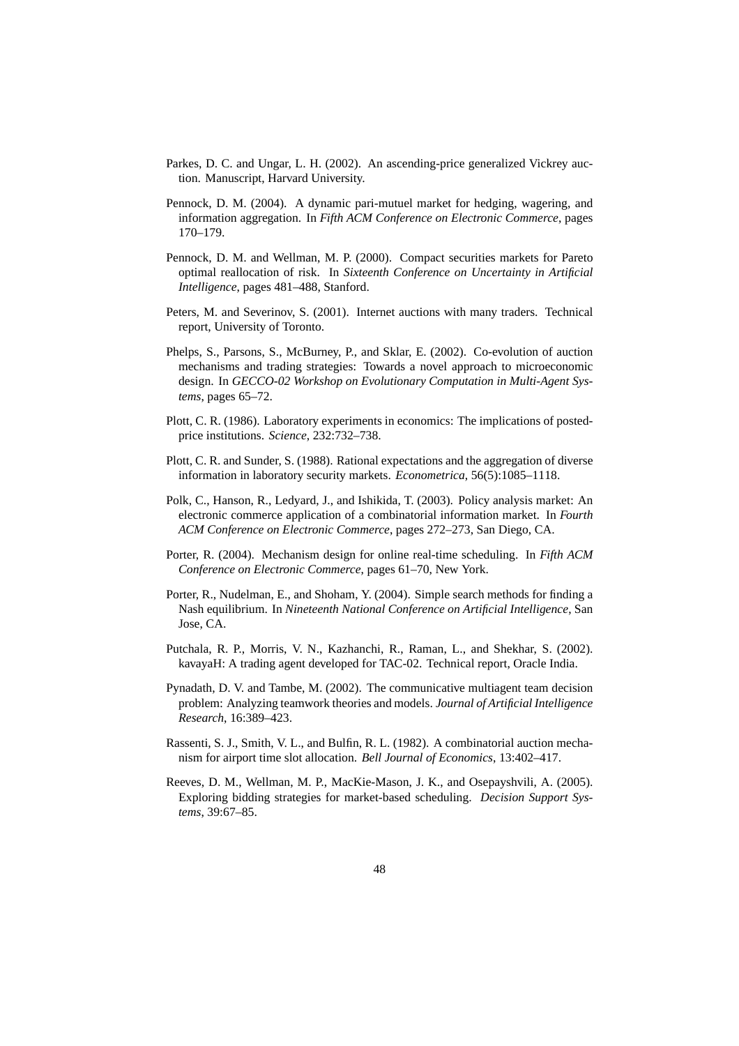- Parkes, D. C. and Ungar, L. H. (2002). An ascending-price generalized Vickrey auction. Manuscript, Harvard University.
- Pennock, D. M. (2004). A dynamic pari-mutuel market for hedging, wagering, and information aggregation. In *Fifth ACM Conference on Electronic Commerce*, pages 170–179.
- Pennock, D. M. and Wellman, M. P. (2000). Compact securities markets for Pareto optimal reallocation of risk. In *Sixteenth Conference on Uncertainty in Artificial Intelligence*, pages 481–488, Stanford.
- Peters, M. and Severinov, S. (2001). Internet auctions with many traders. Technical report, University of Toronto.
- Phelps, S., Parsons, S., McBurney, P., and Sklar, E. (2002). Co-evolution of auction mechanisms and trading strategies: Towards a novel approach to microeconomic design. In *GECCO-02 Workshop on Evolutionary Computation in Multi-Agent Systems*, pages 65–72.
- Plott, C. R. (1986). Laboratory experiments in economics: The implications of postedprice institutions. *Science*, 232:732–738.
- Plott, C. R. and Sunder, S. (1988). Rational expectations and the aggregation of diverse information in laboratory security markets. *Econometrica*, 56(5):1085–1118.
- Polk, C., Hanson, R., Ledyard, J., and Ishikida, T. (2003). Policy analysis market: An electronic commerce application of a combinatorial information market. In *Fourth ACM Conference on Electronic Commerce*, pages 272–273, San Diego, CA.
- Porter, R. (2004). Mechanism design for online real-time scheduling. In *Fifth ACM Conference on Electronic Commerce*, pages 61–70, New York.
- Porter, R., Nudelman, E., and Shoham, Y. (2004). Simple search methods for finding a Nash equilibrium. In *Nineteenth National Conference on Artificial Intelligence*, San Jose, CA.
- Putchala, R. P., Morris, V. N., Kazhanchi, R., Raman, L., and Shekhar, S. (2002). kavayaH: A trading agent developed for TAC-02. Technical report, Oracle India.
- Pynadath, D. V. and Tambe, M. (2002). The communicative multiagent team decision problem: Analyzing teamwork theories and models. *Journal of Artificial Intelligence Research*, 16:389–423.
- Rassenti, S. J., Smith, V. L., and Bulfin, R. L. (1982). A combinatorial auction mechanism for airport time slot allocation. *Bell Journal of Economics*, 13:402–417.
- Reeves, D. M., Wellman, M. P., MacKie-Mason, J. K., and Osepayshvili, A. (2005). Exploring bidding strategies for market-based scheduling. *Decision Support Systems*, 39:67–85.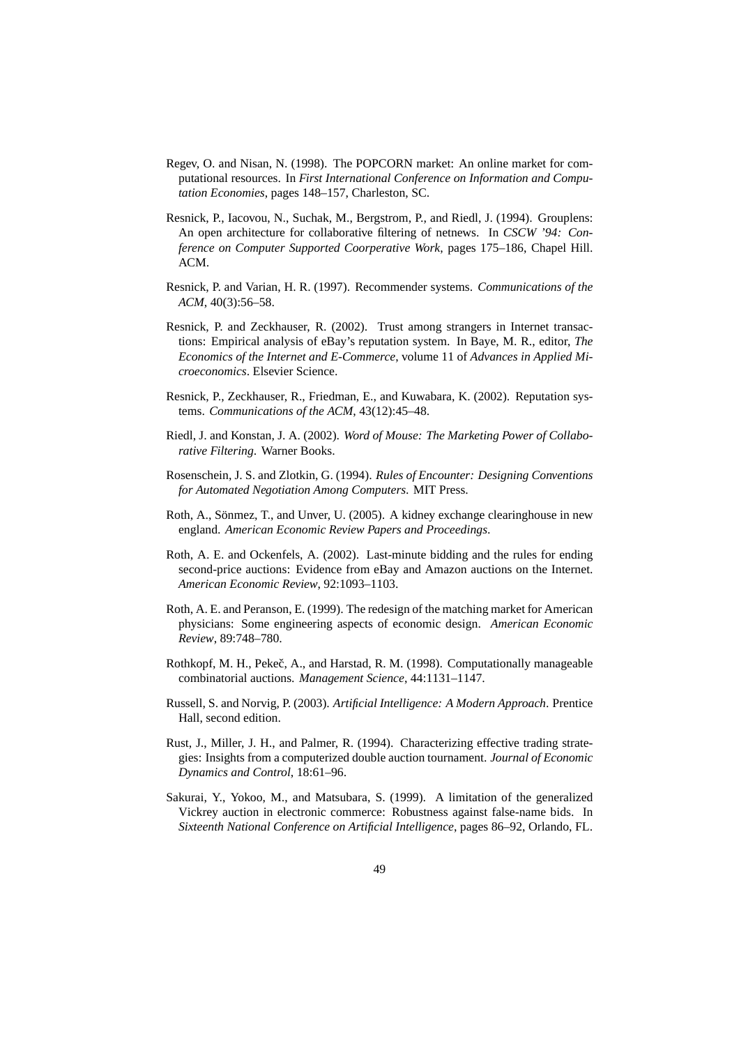- Regev, O. and Nisan, N. (1998). The POPCORN market: An online market for computational resources. In *First International Conference on Information and Computation Economies*, pages 148–157, Charleston, SC.
- Resnick, P., Iacovou, N., Suchak, M., Bergstrom, P., and Riedl, J. (1994). Grouplens: An open architecture for collaborative filtering of netnews. In *CSCW '94: Conference on Computer Supported Coorperative Work*, pages 175–186, Chapel Hill. ACM.
- Resnick, P. and Varian, H. R. (1997). Recommender systems. *Communications of the ACM*, 40(3):56–58.
- Resnick, P. and Zeckhauser, R. (2002). Trust among strangers in Internet transactions: Empirical analysis of eBay's reputation system. In Baye, M. R., editor, *The Economics of the Internet and E-Commerce*, volume 11 of *Advances in Applied Microeconomics*. Elsevier Science.
- Resnick, P., Zeckhauser, R., Friedman, E., and Kuwabara, K. (2002). Reputation systems. *Communications of the ACM*, 43(12):45–48.
- Riedl, J. and Konstan, J. A. (2002). *Word of Mouse: The Marketing Power of Collaborative Filtering*. Warner Books.
- Rosenschein, J. S. and Zlotkin, G. (1994). *Rules of Encounter: Designing Conventions for Automated Negotiation Among Computers*. MIT Press.
- Roth, A., Sönmez, T., and Unver, U. (2005). A kidney exchange clearinghouse in new england. *American Economic Review Papers and Proceedings*.
- Roth, A. E. and Ockenfels, A. (2002). Last-minute bidding and the rules for ending second-price auctions: Evidence from eBay and Amazon auctions on the Internet. *American Economic Review*, 92:1093–1103.
- Roth, A. E. and Peranson, E. (1999). The redesign of the matching market for American physicians: Some engineering aspects of economic design. *American Economic Review*, 89:748–780.
- Rothkopf, M. H., Pekeč, A., and Harstad, R. M. (1998). Computationally manageable combinatorial auctions. *Management Science*, 44:1131–1147.
- Russell, S. and Norvig, P. (2003). *Artificial Intelligence: A Modern Approach*. Prentice Hall, second edition.
- Rust, J., Miller, J. H., and Palmer, R. (1994). Characterizing effective trading strategies: Insights from a computerized double auction tournament. *Journal of Economic Dynamics and Control*, 18:61–96.
- Sakurai, Y., Yokoo, M., and Matsubara, S. (1999). A limitation of the generalized Vickrey auction in electronic commerce: Robustness against false-name bids. In *Sixteenth National Conference on Artificial Intelligence*, pages 86–92, Orlando, FL.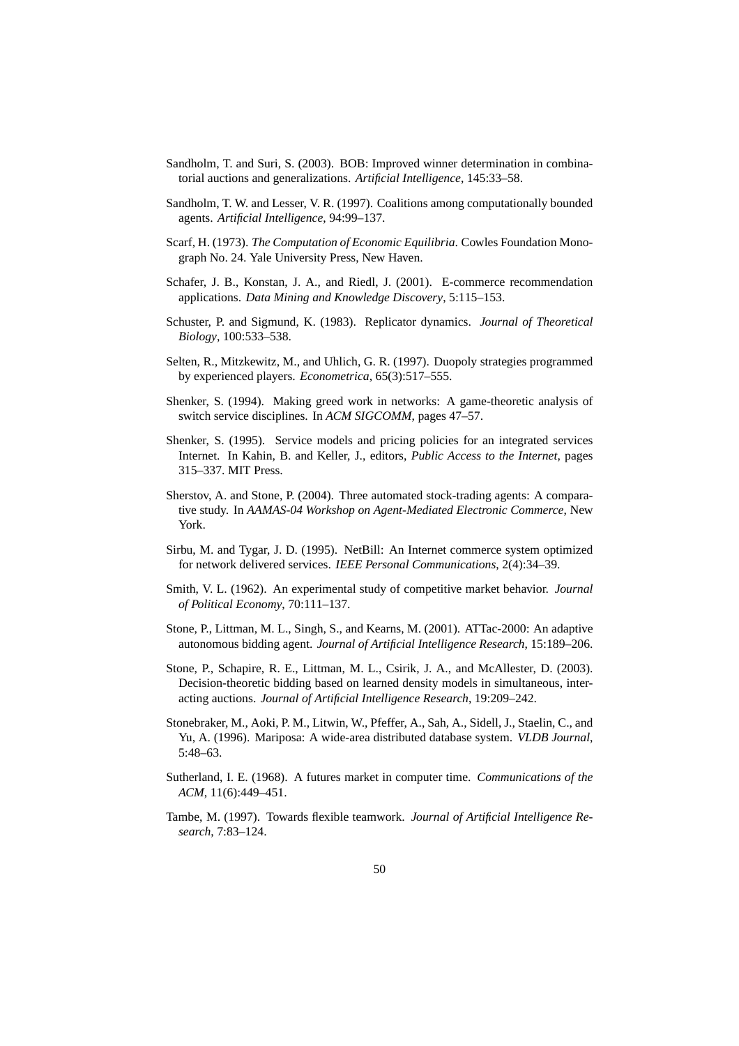- Sandholm, T. and Suri, S. (2003). BOB: Improved winner determination in combinatorial auctions and generalizations. *Artificial Intelligence*, 145:33–58.
- Sandholm, T. W. and Lesser, V. R. (1997). Coalitions among computationally bounded agents. *Artificial Intelligence*, 94:99–137.
- Scarf, H. (1973). *The Computation of Economic Equilibria*. Cowles Foundation Monograph No. 24. Yale University Press, New Haven.
- Schafer, J. B., Konstan, J. A., and Riedl, J. (2001). E-commerce recommendation applications. *Data Mining and Knowledge Discovery*, 5:115–153.
- Schuster, P. and Sigmund, K. (1983). Replicator dynamics. *Journal of Theoretical Biology*, 100:533–538.
- Selten, R., Mitzkewitz, M., and Uhlich, G. R. (1997). Duopoly strategies programmed by experienced players. *Econometrica*, 65(3):517–555.
- Shenker, S. (1994). Making greed work in networks: A game-theoretic analysis of switch service disciplines. In *ACM SIGCOMM*, pages 47–57.
- Shenker, S. (1995). Service models and pricing policies for an integrated services Internet. In Kahin, B. and Keller, J., editors, *Public Access to the Internet*, pages 315–337. MIT Press.
- Sherstov, A. and Stone, P. (2004). Three automated stock-trading agents: A comparative study. In *AAMAS-04 Workshop on Agent-Mediated Electronic Commerce*, New York.
- Sirbu, M. and Tygar, J. D. (1995). NetBill: An Internet commerce system optimized for network delivered services. *IEEE Personal Communications*, 2(4):34–39.
- Smith, V. L. (1962). An experimental study of competitive market behavior. *Journal of Political Economy*, 70:111–137.
- Stone, P., Littman, M. L., Singh, S., and Kearns, M. (2001). ATTac-2000: An adaptive autonomous bidding agent. *Journal of Artificial Intelligence Research*, 15:189–206.
- Stone, P., Schapire, R. E., Littman, M. L., Csirik, J. A., and McAllester, D. (2003). Decision-theoretic bidding based on learned density models in simultaneous, interacting auctions. *Journal of Artificial Intelligence Research*, 19:209–242.
- Stonebraker, M., Aoki, P. M., Litwin, W., Pfeffer, A., Sah, A., Sidell, J., Staelin, C., and Yu, A. (1996). Mariposa: A wide-area distributed database system. *VLDB Journal*, 5:48–63.
- Sutherland, I. E. (1968). A futures market in computer time. *Communications of the ACM*, 11(6):449–451.
- Tambe, M. (1997). Towards flexible teamwork. *Journal of Artificial Intelligence Research*, 7:83–124.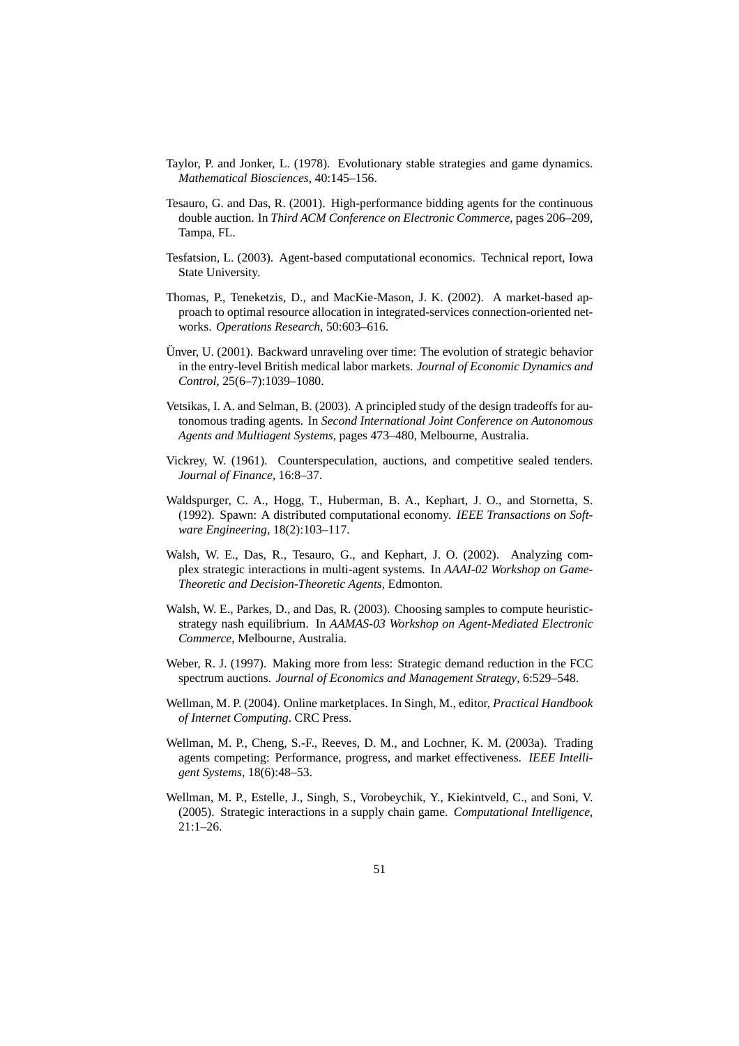- Taylor, P. and Jonker, L. (1978). Evolutionary stable strategies and game dynamics. *Mathematical Biosciences*, 40:145–156.
- Tesauro, G. and Das, R. (2001). High-performance bidding agents for the continuous double auction. In *Third ACM Conference on Electronic Commerce*, pages 206–209, Tampa, FL.
- Tesfatsion, L. (2003). Agent-based computational economics. Technical report, Iowa State University.
- Thomas, P., Teneketzis, D., and MacKie-Mason, J. K. (2002). A market-based approach to optimal resource allocation in integrated-services connection-oriented networks. *Operations Research*, 50:603–616.
- Unver, U. (2001). Backward unraveling over time: The evolution of strategic behavior in the entry-level British medical labor markets. *Journal of Economic Dynamics and Control*, 25(6–7):1039–1080.
- Vetsikas, I. A. and Selman, B. (2003). A principled study of the design tradeoffs for autonomous trading agents. In *Second International Joint Conference on Autonomous Agents and Multiagent Systems*, pages 473–480, Melbourne, Australia.
- Vickrey, W. (1961). Counterspeculation, auctions, and competitive sealed tenders. *Journal of Finance*, 16:8–37.
- Waldspurger, C. A., Hogg, T., Huberman, B. A., Kephart, J. O., and Stornetta, S. (1992). Spawn: A distributed computational economy. *IEEE Transactions on Software Engineering*, 18(2):103–117.
- Walsh, W. E., Das, R., Tesauro, G., and Kephart, J. O. (2002). Analyzing complex strategic interactions in multi-agent systems. In *AAAI-02 Workshop on Game-Theoretic and Decision-Theoretic Agents*, Edmonton.
- Walsh, W. E., Parkes, D., and Das, R. (2003). Choosing samples to compute heuristicstrategy nash equilibrium. In *AAMAS-03 Workshop on Agent-Mediated Electronic Commerce*, Melbourne, Australia.
- Weber, R. J. (1997). Making more from less: Strategic demand reduction in the FCC spectrum auctions. *Journal of Economics and Management Strategy*, 6:529–548.
- Wellman, M. P. (2004). Online marketplaces. In Singh, M., editor, *Practical Handbook of Internet Computing*. CRC Press.
- Wellman, M. P., Cheng, S.-F., Reeves, D. M., and Lochner, K. M. (2003a). Trading agents competing: Performance, progress, and market effectiveness. *IEEE Intelligent Systems*, 18(6):48–53.
- Wellman, M. P., Estelle, J., Singh, S., Vorobeychik, Y., Kiekintveld, C., and Soni, V. (2005). Strategic interactions in a supply chain game. *Computational Intelligence*, 21:1–26.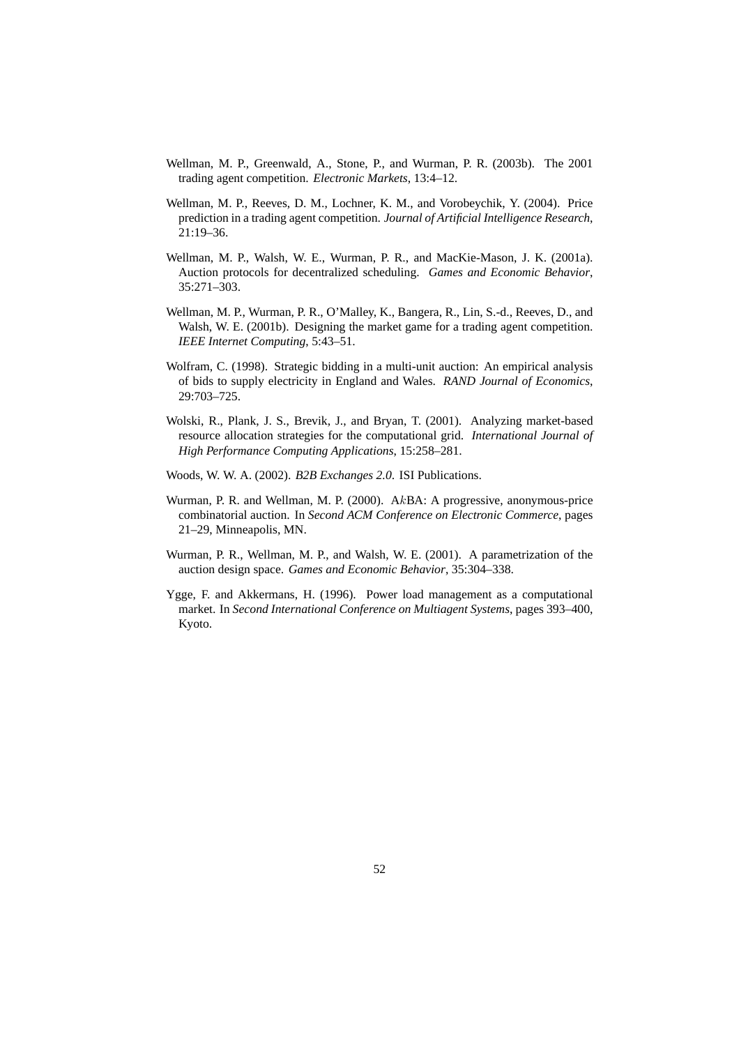- Wellman, M. P., Greenwald, A., Stone, P., and Wurman, P. R. (2003b). The 2001 trading agent competition. *Electronic Markets*, 13:4–12.
- Wellman, M. P., Reeves, D. M., Lochner, K. M., and Vorobeychik, Y. (2004). Price prediction in a trading agent competition. *Journal of Artificial Intelligence Research*, 21:19–36.
- Wellman, M. P., Walsh, W. E., Wurman, P. R., and MacKie-Mason, J. K. (2001a). Auction protocols for decentralized scheduling. *Games and Economic Behavior*, 35:271–303.
- Wellman, M. P., Wurman, P. R., O'Malley, K., Bangera, R., Lin, S.-d., Reeves, D., and Walsh, W. E. (2001b). Designing the market game for a trading agent competition. *IEEE Internet Computing*, 5:43–51.
- Wolfram, C. (1998). Strategic bidding in a multi-unit auction: An empirical analysis of bids to supply electricity in England and Wales. *RAND Journal of Economics*, 29:703–725.
- Wolski, R., Plank, J. S., Brevik, J., and Bryan, T. (2001). Analyzing market-based resource allocation strategies for the computational grid. *International Journal of High Performance Computing Applications*, 15:258–281.
- Woods, W. W. A. (2002). *B2B Exchanges 2.0*. ISI Publications.
- Wurman, P. R. and Wellman, M. P. (2000). AkBA: A progressive, anonymous-price combinatorial auction. In *Second ACM Conference on Electronic Commerce*, pages 21–29, Minneapolis, MN.
- Wurman, P. R., Wellman, M. P., and Walsh, W. E. (2001). A parametrization of the auction design space. *Games and Economic Behavior*, 35:304–338.
- Ygge, F. and Akkermans, H. (1996). Power load management as a computational market. In *Second International Conference on Multiagent Systems*, pages 393–400, Kyoto.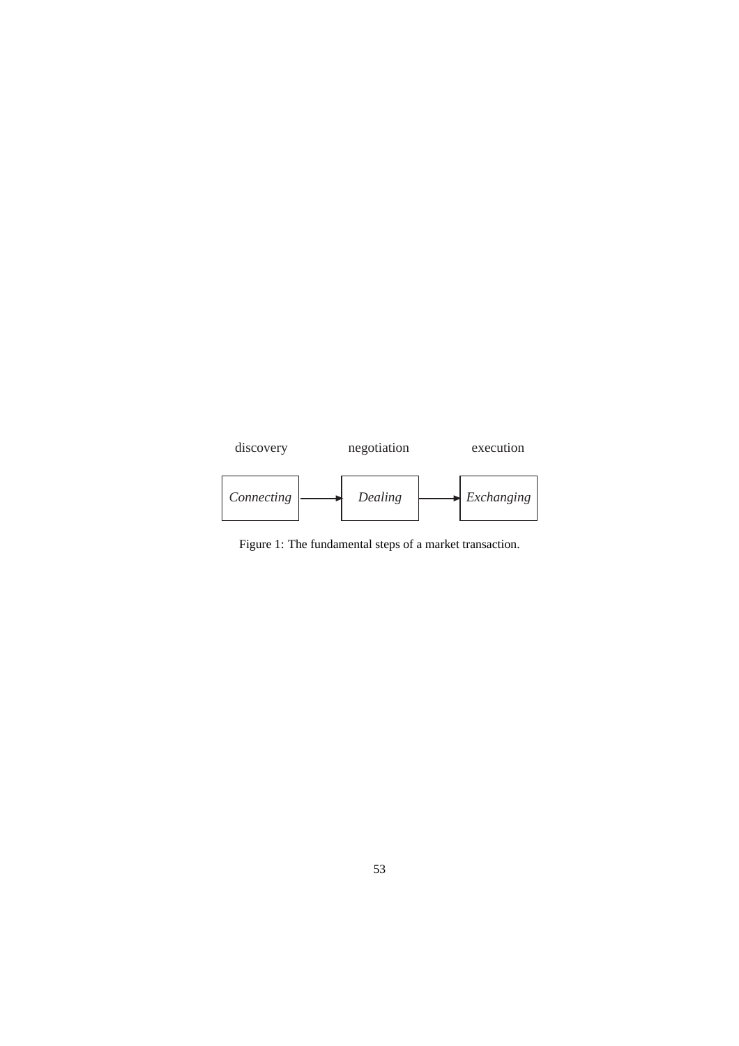

Figure 1: The fundamental steps of a market transaction.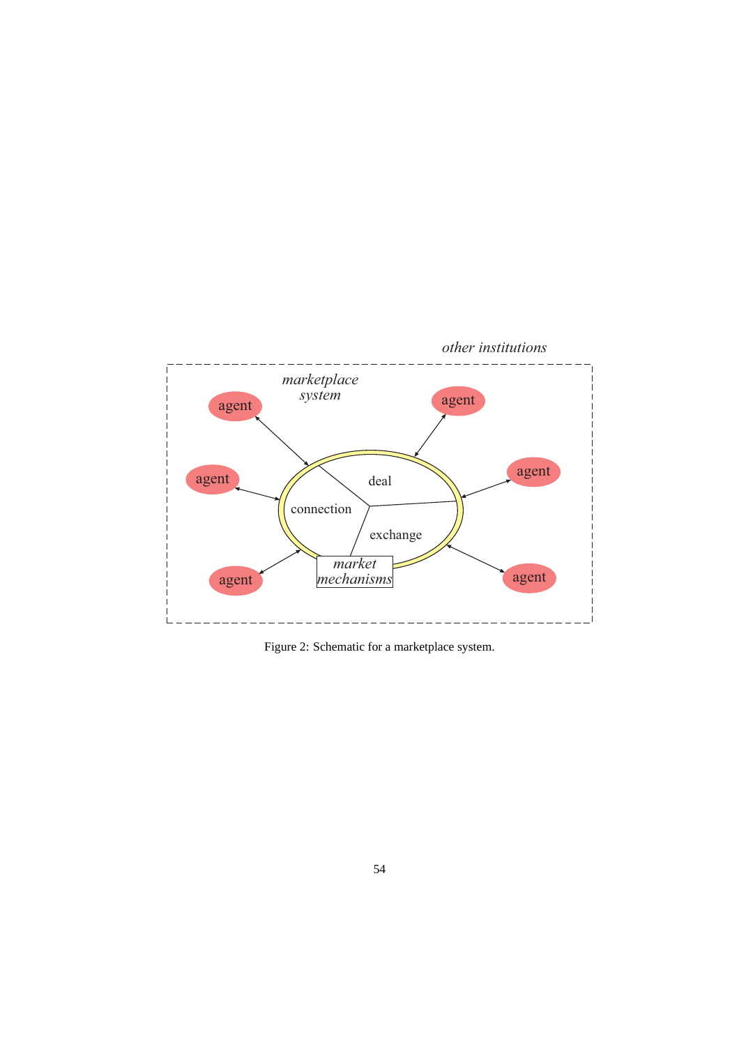

Figure 2: Schematic for a marketplace system.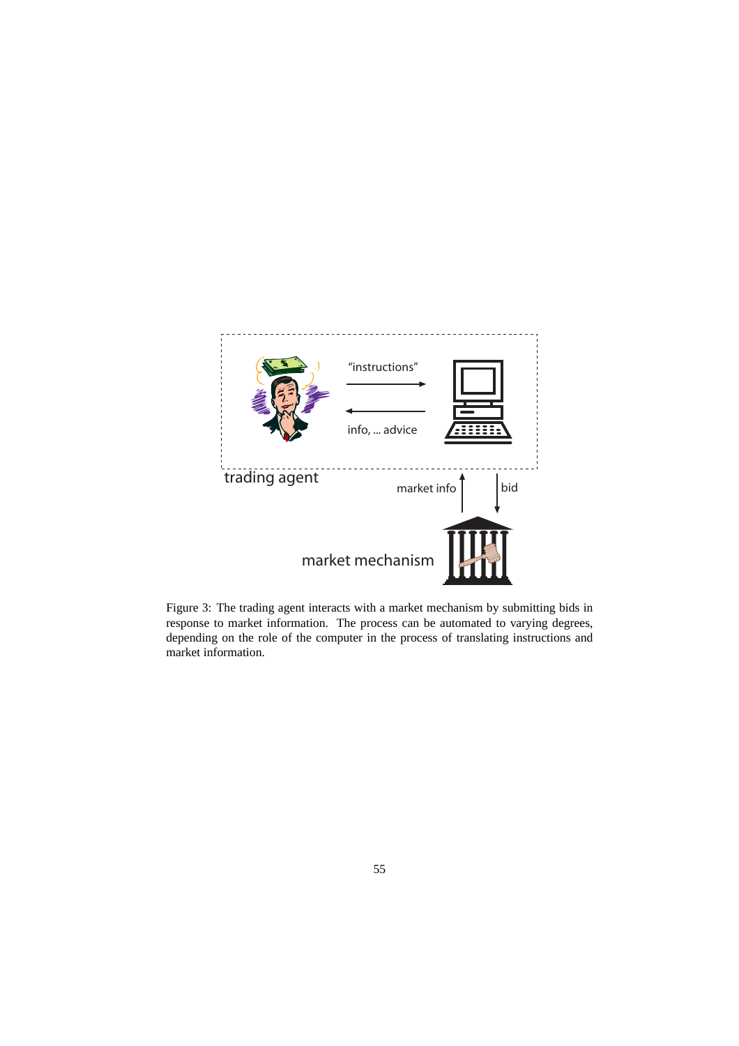

Figure 3: The trading agent interacts with a market mechanism by submitting bids in response to market information. The process can be automated to varying degrees, depending on the role of the computer in the process of translating instructions and market information.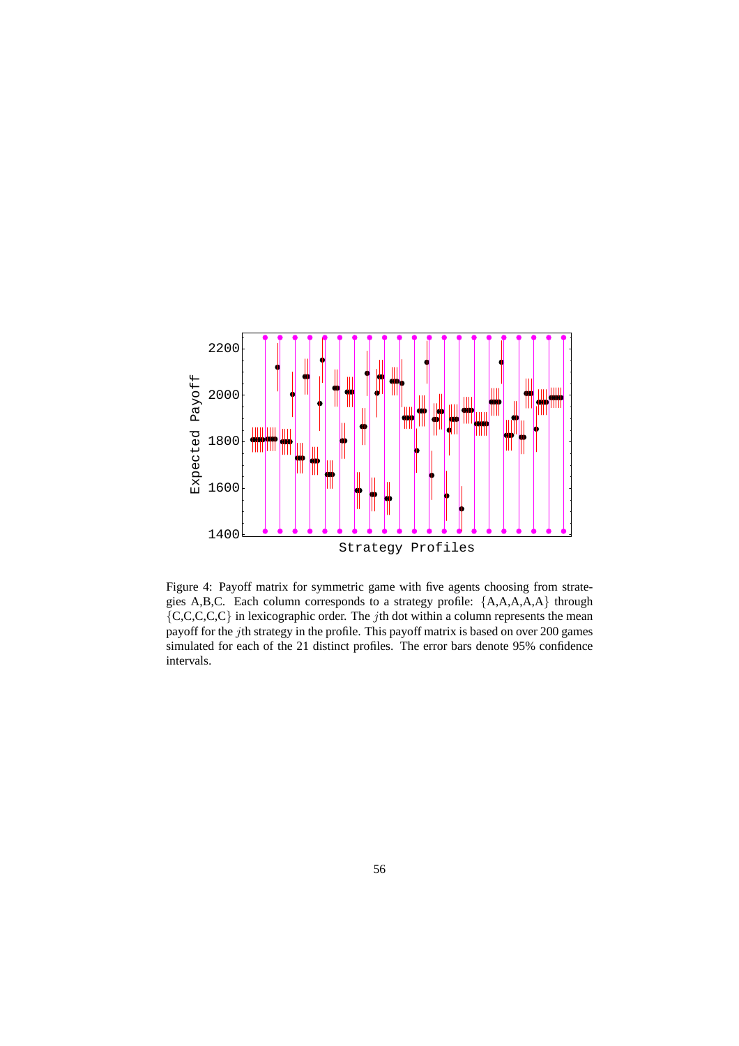

Figure 4: Payoff matrix for symmetric game with five agents choosing from strategies A,B,C. Each column corresponds to a strategy profile: {A,A,A,A,A} through {C,C,C,C,C} in lexicographic order. The jth dot within a column represents the mean payoff for the jth strategy in the profile. This payoff matrix is based on over 200 games simulated for each of the 21 distinct profiles. The error bars denote 95% confidence intervals.